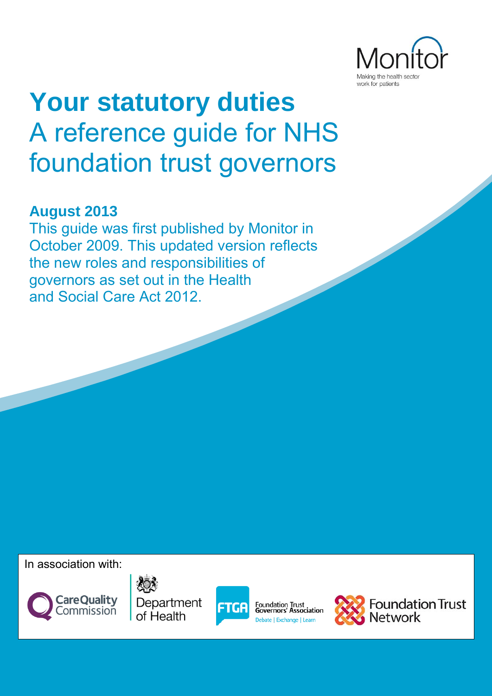

# **Your statutory duties**  A reference guide for NHS foundation trust governors

# **August 2013**

This guide was first published by Monitor in October 2009. This updated version reflects the new roles and responsibilities of governors as set out in the Health and Social Care Act 2012.

In association with:







Foundation Trust<br>Governors' Association Debate | Exchange | Learn



**Foundation Trust**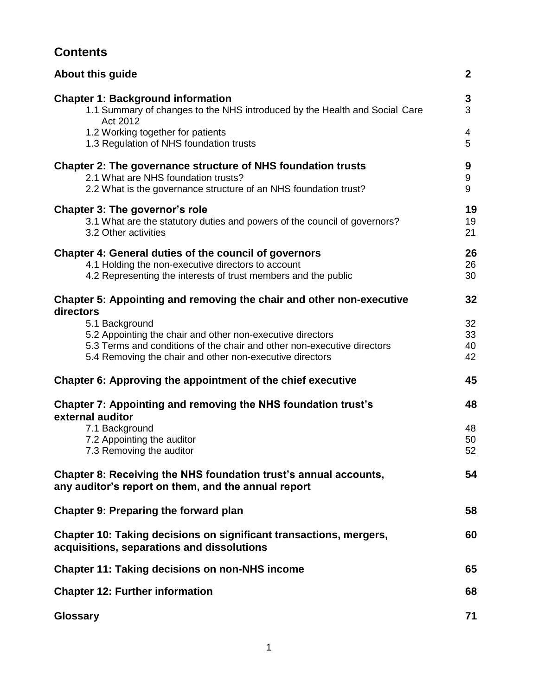# **Contents**

| <b>About this guide</b>                                                                                                                                                              | $\boldsymbol{2}$ |
|--------------------------------------------------------------------------------------------------------------------------------------------------------------------------------------|------------------|
| <b>Chapter 1: Background information</b><br>1.1 Summary of changes to the NHS introduced by the Health and Social Care<br>Act 2012                                                   | 3<br>3           |
| 1.2 Working together for patients<br>1.3 Regulation of NHS foundation trusts                                                                                                         | 4<br>5           |
| Chapter 2: The governance structure of NHS foundation trusts<br>2.1 What are NHS foundation trusts?<br>2.2 What is the governance structure of an NHS foundation trust?              | 9<br>9<br>9      |
| Chapter 3: The governor's role<br>3.1 What are the statutory duties and powers of the council of governors?<br>3.2 Other activities                                                  | 19<br>19<br>21   |
| <b>Chapter 4: General duties of the council of governors</b><br>4.1 Holding the non-executive directors to account<br>4.2 Representing the interests of trust members and the public | 26<br>26<br>30   |
| Chapter 5: Appointing and removing the chair and other non-executive                                                                                                                 | 32               |
| directors<br>5.1 Background                                                                                                                                                          | 32               |
| 5.2 Appointing the chair and other non-executive directors                                                                                                                           | 33               |
| 5.3 Terms and conditions of the chair and other non-executive directors<br>5.4 Removing the chair and other non-executive directors                                                  | 40<br>42         |
| Chapter 6: Approving the appointment of the chief executive                                                                                                                          | 45               |
| Chapter 7: Appointing and removing the NHS foundation trust's<br>external auditor                                                                                                    | 48               |
| 7.1 Background                                                                                                                                                                       | 48               |
| 7.2 Appointing the auditor<br>7.3 Removing the auditor                                                                                                                               | 50<br>52         |
| Chapter 8: Receiving the NHS foundation trust's annual accounts,<br>any auditor's report on them, and the annual report                                                              | 54               |
| <b>Chapter 9: Preparing the forward plan</b>                                                                                                                                         | 58               |
| Chapter 10: Taking decisions on significant transactions, mergers,<br>acquisitions, separations and dissolutions                                                                     | 60               |
| <b>Chapter 11: Taking decisions on non-NHS income</b>                                                                                                                                | 65               |
| <b>Chapter 12: Further information</b>                                                                                                                                               | 68               |
| <b>Glossary</b>                                                                                                                                                                      | 71               |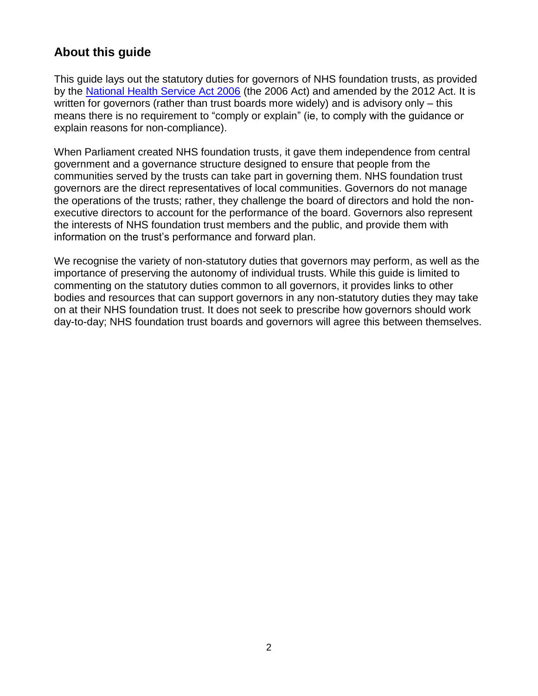# **About this guide**

This guide lays out the statutory duties for governors of NHS foundation trusts, as provided by the [National Health Service Act 2006](http://www.legislation.gov.uk/ukpga/2006/41/contents) (the 2006 Act) and amended by the 2012 Act. It is written for governors (rather than trust boards more widely) and is advisory only – this means there is no requirement to "comply or explain" (ie, to comply with the guidance or explain reasons for non-compliance).

When Parliament created NHS foundation trusts, it gave them independence from central government and a governance structure designed to ensure that people from the communities served by the trusts can take part in governing them. NHS foundation trust governors are the direct representatives of local communities. Governors do not manage the operations of the trusts; rather, they challenge the board of directors and hold the nonexecutive directors to account for the performance of the board. Governors also represent the interests of NHS foundation trust members and the public, and provide them with information on the trust's performance and forward plan.

We recognise the variety of non-statutory duties that governors may perform, as well as the importance of preserving the autonomy of individual trusts. While this guide is limited to commenting on the statutory duties common to all governors, it provides links to other bodies and resources that can support governors in any non-statutory duties they may take on at their NHS foundation trust. It does not seek to prescribe how governors should work day-to-day; NHS foundation trust boards and governors will agree this between themselves.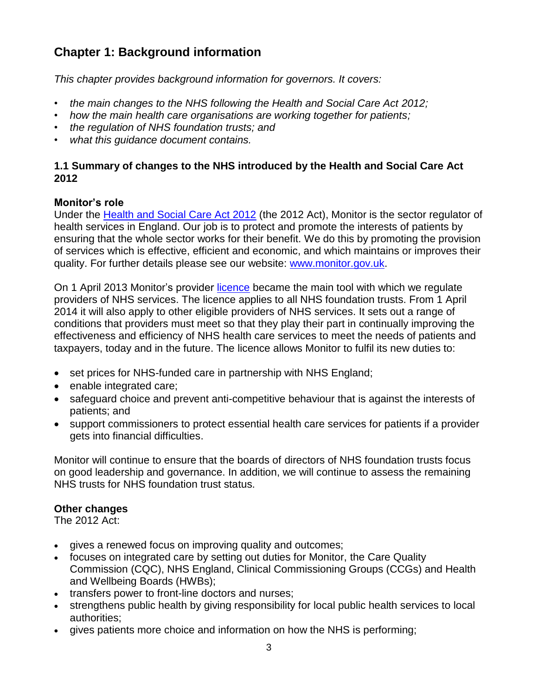# **Chapter 1: Background information**

*This chapter provides background information for governors. It covers:*

- *the main changes to the NHS following the Health and Social Care Act 2012;*
- *how the main health care organisations are working together for patients;*
- *the regulation of NHS foundation trusts; and*
- *what this guidance document contains.*

## **1.1 Summary of changes to the NHS introduced by the Health and Social Care Act 2012**

## **Monitor's role**

Under the [Health and Social Care Act 2012](http://www.legislation.gov.uk/ukpga/2012/7/contents/enacted) (the 2012 Act), Monitor is the sector regulator of health services in England. Our job is to protect and promote the interests of patients by ensuring that the whole sector works for their benefit. We do this by promoting the provision of services which is effective, efficient and economic, and which maintains or improves their quality. For further details please see our website: [www.monitor.gov.uk.](http://www.monitor-nhsft.gov.uk/)

On 1 April 2013 Monitor's provider [licence](http://www.monitor.gov.uk/home/news-events-publications/our-publications/monitors-new-role/the-new-nhs-provider-licence) became the main tool with which we regulate providers of NHS services. The licence applies to all NHS foundation trusts. From 1 April 2014 it will also apply to other eligible providers of NHS services. It sets out a range of conditions that providers must meet so that they play their part in continually improving the effectiveness and efficiency of NHS health care services to meet the needs of patients and taxpayers, today and in the future. The licence allows Monitor to fulfil its new duties to:

- set prices for NHS-funded care in partnership with NHS England;
- enable integrated care;
- safeguard choice and prevent anti-competitive behaviour that is against the interests of patients; and
- support commissioners to protect essential health care services for patients if a provider gets into financial difficulties.

Monitor will continue to ensure that the boards of directors of NHS foundation trusts focus on good leadership and governance. In addition, we will continue to assess the remaining NHS trusts for NHS foundation trust status.

#### **Other changes**

The 2012 Act:

- gives a renewed focus on improving quality and outcomes;
- focuses on integrated care by setting out duties for Monitor, the Care Quality Commission (CQC), NHS England, Clinical Commissioning Groups (CCGs) and Health and Wellbeing Boards (HWBs);
- transfers power to front-line doctors and nurses;
- strengthens public health by giving responsibility for local public health services to local authorities;
- gives patients more choice and information on how the NHS is performing;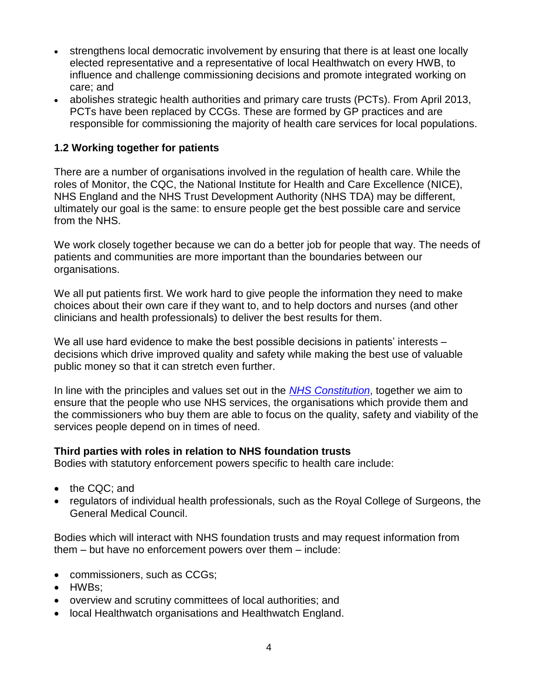- strengthens local democratic involvement by ensuring that there is at least one locally elected representative and a representative of local Healthwatch on every HWB, to influence and challenge commissioning decisions and promote integrated working on care; and
- abolishes strategic health authorities and primary care trusts (PCTs). From April 2013, PCTs have been replaced by CCGs. These are formed by GP practices and are responsible for commissioning the majority of health care services for local populations.

# **1.2 Working together for patients**

There are a number of organisations involved in the regulation of health care. While the roles of Monitor, the CQC, the National Institute for Health and Care Excellence (NICE), NHS England and the NHS Trust Development Authority (NHS TDA) may be different, ultimately our goal is the same: to ensure people get the best possible care and service from the NHS.

We work closely together because we can do a better job for people that way. The needs of patients and communities are more important than the boundaries between our organisations.

We all put patients first. We work hard to give people the information they need to make choices about their own care if they want to, and to help doctors and nurses (and other clinicians and health professionals) to deliver the best results for them.

We all use hard evidence to make the best possible decisions in patients' interests – decisions which drive improved quality and safety while making the best use of valuable public money so that it can stretch even further.

In line with the principles and values set out in the *[NHS Constitution](https://www.gov.uk/government/uploads/system/uploads/attachment_data/file/170656/NHS_Constitution.pdf)*, together we aim to ensure that the people who use NHS services, the organisations which provide them and the commissioners who buy them are able to focus on the quality, safety and viability of the services people depend on in times of need.

#### **Third parties with roles in relation to NHS foundation trusts**

Bodies with statutory enforcement powers specific to health care include:

- the CQC; and
- regulators of individual health professionals, such as the Royal College of Surgeons, the General Medical Council.

Bodies which will interact with NHS foundation trusts and may request information from them – but have no enforcement powers over them – include:

- commissioners, such as CCGs;
- HWBs:
- overview and scrutiny committees of local authorities; and
- local Healthwatch organisations and Healthwatch England.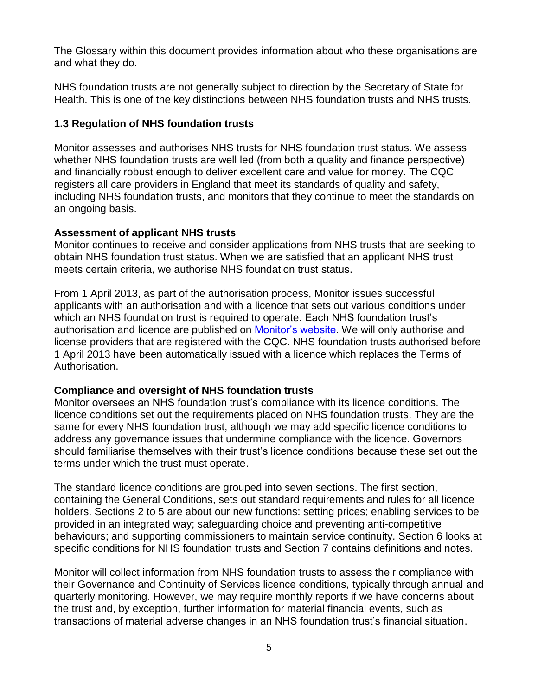The Glossary within this document provides information about who these organisations are and what they do.

NHS foundation trusts are not generally subject to direction by the Secretary of State for Health. This is one of the key distinctions between NHS foundation trusts and NHS trusts.

## **1.3 Regulation of NHS foundation trusts**

Monitor assesses and authorises NHS trusts for NHS foundation trust status. We assess whether NHS foundation trusts are well led (from both a quality and finance perspective) and financially robust enough to deliver excellent care and value for money. The CQC registers all care providers in England that meet its standards of quality and safety, including NHS foundation trusts, and monitors that they continue to meet the standards on an ongoing basis.

#### **Assessment of applicant NHS trusts**

Monitor continues to receive and consider applications from NHS trusts that are seeking to obtain NHS foundation trust status. When we are satisfied that an applicant NHS trust meets certain criteria, we authorise NHS foundation trust status.

From 1 April 2013, as part of the authorisation process, Monitor issues successful applicants with an authorisation and with a licence that sets out various conditions under which an NHS foundation trust is required to operate. Each NHS foundation trust's authorisation and licence are published on [Monitor's website.](http://www.monitor.gov.uk/) We will only authorise and license providers that are registered with the CQC. NHS foundation trusts authorised before 1 April 2013 have been automatically issued with a licence which replaces the Terms of Authorisation.

# **Compliance and oversight of NHS foundation trusts**

Monitor oversees an NHS foundation trust's compliance with its licence conditions. The licence conditions set out the requirements placed on NHS foundation trusts. They are the same for every NHS foundation trust, although we may add specific licence conditions to address any governance issues that undermine compliance with the licence. Governors should familiarise themselves with their trust's licence conditions because these set out the terms under which the trust must operate.

The standard licence conditions are grouped into seven sections. The first section, containing the General Conditions, sets out standard requirements and rules for all licence holders. Sections 2 to 5 are about our new functions: setting prices; enabling services to be provided in an integrated way; safeguarding choice and preventing anti-competitive behaviours; and supporting commissioners to maintain service continuity. Section 6 looks at specific conditions for NHS foundation trusts and Section 7 contains definitions and notes.

Monitor will collect information from NHS foundation trusts to assess their compliance with their Governance and Continuity of Services licence conditions, typically through annual and quarterly monitoring. However, we may require monthly reports if we have concerns about the trust and, by exception, further information for material financial events, such as transactions of material adverse changes in an NHS foundation trust's financial situation.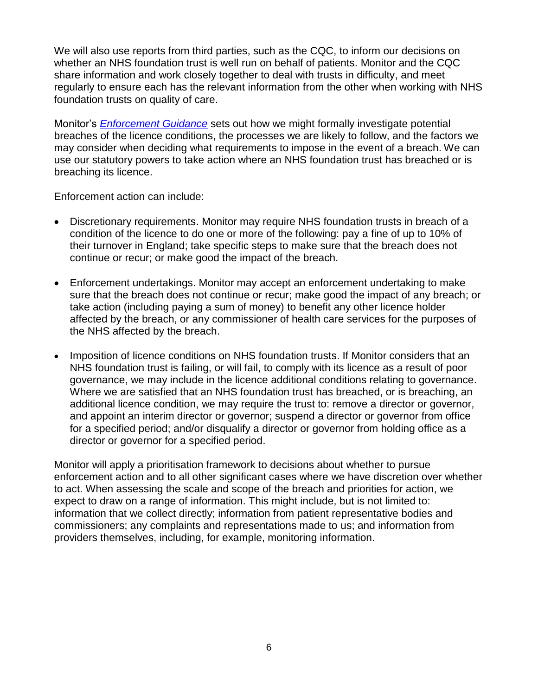We will also use reports from third parties, such as the CQC, to inform our decisions on whether an NHS foundation trust is well run on behalf of patients. Monitor and the CQC share information and work closely together to deal with trusts in difficulty, and meet regularly to ensure each has the relevant information from the other when working with NHS foundation trusts on quality of care.

Monitor's *[Enforcement Guidance](http://www.monitor-nhsft.gov.uk/home/news-events-publications/our-publications/browse-category/guidance-health-care-providers-and-co-7)* sets out how we might formally investigate potential breaches of the licence conditions, the processes we are likely to follow, and the factors we may consider when deciding what requirements to impose in the event of a breach. We can use our statutory powers to take action where an NHS foundation trust has breached or is breaching its licence.

Enforcement action can include:

- Discretionary requirements. Monitor may require NHS foundation trusts in breach of a condition of the licence to do one or more of the following: pay a fine of up to 10% of their turnover in England; take specific steps to make sure that the breach does not continue or recur; or make good the impact of the breach.
- Enforcement undertakings. Monitor may accept an enforcement undertaking to make sure that the breach does not continue or recur; make good the impact of any breach; or take action (including paying a sum of money) to benefit any other licence holder affected by the breach, or any commissioner of health care services for the purposes of the NHS affected by the breach.
- Imposition of licence conditions on NHS foundation trusts. If Monitor considers that an NHS foundation trust is failing, or will fail, to comply with its licence as a result of poor governance, we may include in the licence additional conditions relating to governance. Where we are satisfied that an NHS foundation trust has breached, or is breaching, an additional licence condition, we may require the trust to: remove a director or governor, and appoint an interim director or governor; suspend a director or governor from office for a specified period; and/or disqualify a director or governor from holding office as a director or governor for a specified period.

Monitor will apply a prioritisation framework to decisions about whether to pursue enforcement action and to all other significant cases where we have discretion over whether to act. When assessing the scale and scope of the breach and priorities for action, we expect to draw on a range of information. This might include, but is not limited to: information that we collect directly; information from patient representative bodies and commissioners; any complaints and representations made to us; and information from providers themselves, including, for example, monitoring information.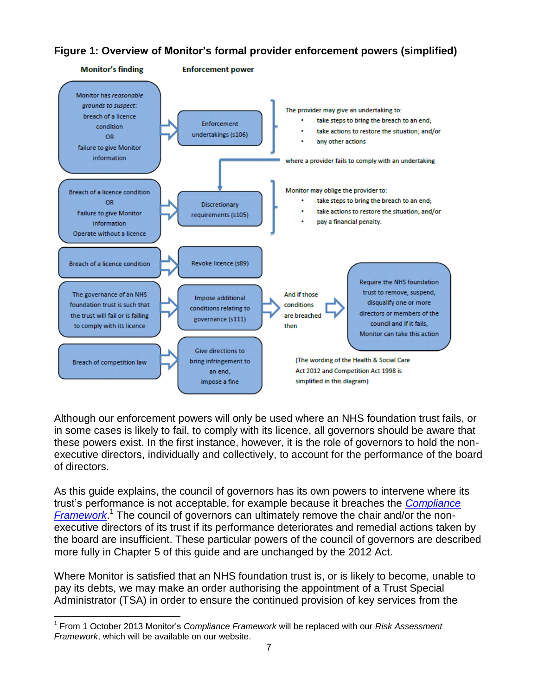# **Figure 1: Overview of Monitor's formal provider enforcement powers (simplified)**



Although our enforcement powers will only be used where an NHS foundation trust fails, or in some cases is likely to fail, to comply with its licence, all governors should be aware that these powers exist. In the first instance, however, it is the role of governors to hold the nonexecutive directors, individually and collectively, to account for the performance of the board of directors.

As this guide explains, the council of governors has its own powers to intervene where its trust's performance is not acceptable, for example because it breaches the *[Compliance](http://www.monitor-nhsft.gov.uk/home/news-events-and-publications/our-publications/browse-category/guidance-foundation-trusts/mandat-7)  [Framework](http://www.monitor-nhsft.gov.uk/home/news-events-and-publications/our-publications/browse-category/guidance-foundation-trusts/mandat-7)*. 1 The council of governors can ultimately remove the chair and/or the nonexecutive directors of its trust if its performance deteriorates and remedial actions taken by the board are insufficient. These particular powers of the council of governors are described more fully in Chapter 5 of this guide and are unchanged by the 2012 Act.

Where Monitor is satisfied that an NHS foundation trust is, or is likely to become, unable to pay its debts, we may make an order authorising the appointment of a Trust Special Administrator (TSA) in order to ensure the continued provision of key services from the

 $\overline{a}$ 1 From 1 October 2013 Monitor's *Compliance Framework* will be replaced with our *Risk Assessment Framework*, which will be available on our website.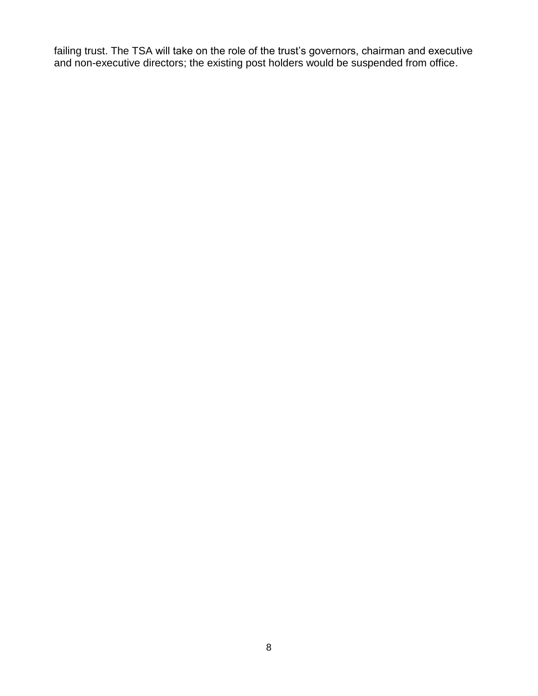failing trust. The TSA will take on the role of the trust's governors, chairman and executive and non-executive directors; the existing post holders would be suspended from office.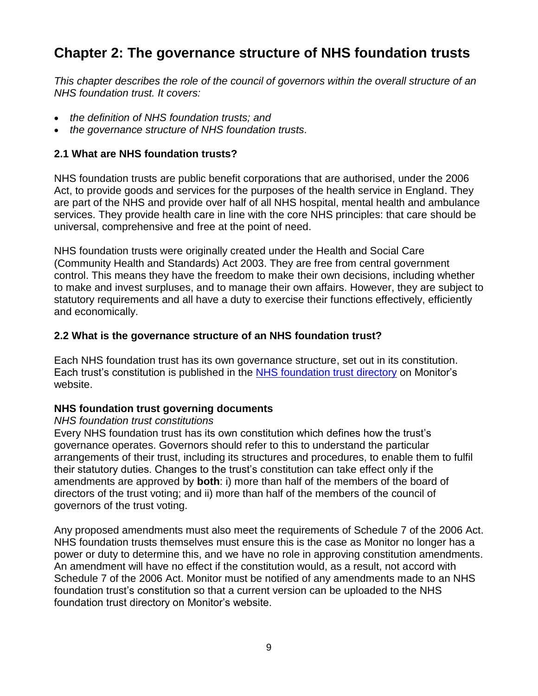# **Chapter 2: The governance structure of NHS foundation trusts**

*This chapter describes the role of the council of governors within the overall structure of an NHS foundation trust. It covers:*

- *the definition of NHS foundation trusts; and*
- *the governance structure of NHS foundation trusts.*

#### **2.1 What are NHS foundation trusts?**

NHS foundation trusts are public benefit corporations that are authorised, under the 2006 Act, to provide goods and services for the purposes of the health service in England. They are part of the NHS and provide over half of all NHS hospital, mental health and ambulance services. They provide health care in line with the core NHS principles: that care should be universal, comprehensive and free at the point of need.

NHS foundation trusts were originally created under the Health and Social Care (Community Health and Standards) Act 2003. They are free from central government control. This means they have the freedom to make their own decisions, including whether to make and invest surpluses, and to manage their own affairs. However, they are subject to statutory requirements and all have a duty to exercise their functions effectively, efficiently and economically.

## **2.2 What is the governance structure of an NHS foundation trust?**

Each NHS foundation trust has its own governance structure, set out in its constitution. Each trust's constitution is published in the [NHS foundation trust directory](http://www.monitor.gov.uk/about-your-local-nhs-foundation-trust/nhs-foundation-trust-directory-and-register-licence-holders) on Monitor's website.

#### **NHS foundation trust governing documents**

#### *NHS foundation trust constitutions*

Every NHS foundation trust has its own constitution which defines how the trust's governance operates. Governors should refer to this to understand the particular arrangements of their trust, including its structures and procedures, to enable them to fulfil their statutory duties. Changes to the trust's constitution can take effect only if the amendments are approved by **both**: i) more than half of the members of the board of directors of the trust voting; and ii) more than half of the members of the council of governors of the trust voting.

Any proposed amendments must also meet the requirements of Schedule 7 of the 2006 Act. NHS foundation trusts themselves must ensure this is the case as Monitor no longer has a power or duty to determine this, and we have no role in approving constitution amendments. An amendment will have no effect if the constitution would, as a result, not accord with Schedule 7 of the 2006 Act. Monitor must be notified of any amendments made to an NHS foundation trust's constitution so that a current version can be uploaded to the NHS foundation trust directory on Monitor's website.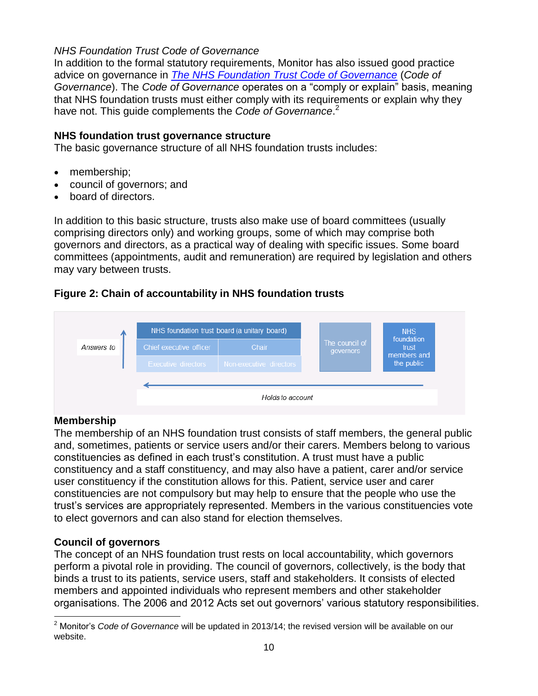#### *NHS Foundation Trust Code of Governance*

In addition to the formal statutory requirements, Monitor has also issued good practice advice on governance in *[The NHS Foundation Trust Code of Governance](http://www.monitor-nhsft.gov.uk/sites/default/files/Code%20of%20Governance_WEB%20(2).pdf)* (*Code of Governance*). The *Code of Governance* operates on a "comply or explain" basis, meaning that NHS foundation trusts must either comply with its requirements or explain why they have not. This guide complements the *Code of Governance*. 2

#### **NHS foundation trust governance structure**

The basic governance structure of all NHS foundation trusts includes:

- membership;
- council of governors; and
- board of directors.

In addition to this basic structure, trusts also make use of board committees (usually comprising directors only) and working groups, some of which may comprise both governors and directors, as a practical way of dealing with specific issues. Some board committees (appointments, audit and remuneration) are required by legislation and others may vary between trusts.

# **Figure 2: Chain of accountability in NHS foundation trusts**



# **Membership**

The membership of an NHS foundation trust consists of staff members, the general public and, sometimes, patients or service users and/or their carers. Members belong to various constituencies as defined in each trust's constitution. A trust must have a public constituency and a staff constituency, and may also have a patient, carer and/or service user constituency if the constitution allows for this. Patient, service user and carer constituencies are not compulsory but may help to ensure that the people who use the trust's services are appropriately represented. Members in the various constituencies vote to elect governors and can also stand for election themselves.

#### **Council of governors**

The concept of an NHS foundation trust rests on local accountability, which governors perform a pivotal role in providing. The council of governors, collectively, is the body that binds a trust to its patients, service users, staff and stakeholders. It consists of elected members and appointed individuals who represent members and other stakeholder organisations. The 2006 and 2012 Acts set out governors' various statutory responsibilities.

 $\overline{a}$ <sup>2</sup> Monitor's *Code of Governance* will be updated in 2013/14; the revised version will be available on our website.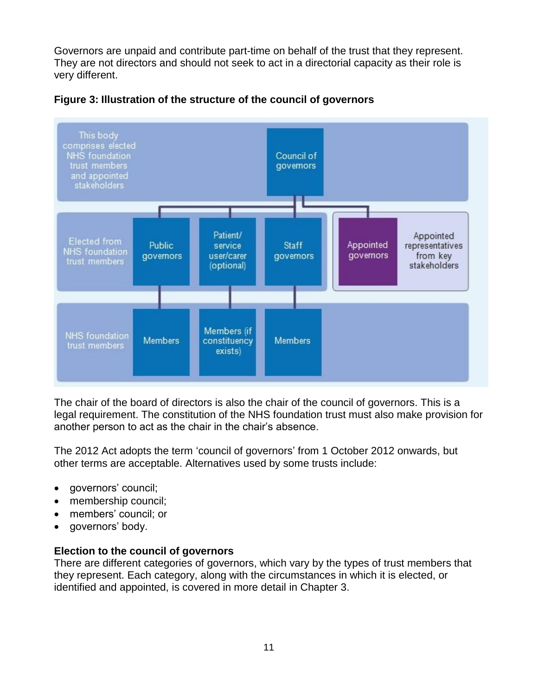Governors are unpaid and contribute part-time on behalf of the trust that they represent. They are not directors and should not seek to act in a directorial capacity as their role is very different.





The chair of the board of directors is also the chair of the council of governors. This is a legal requirement. The constitution of the NHS foundation trust must also make provision for another person to act as the chair in the chair's absence.

The 2012 Act adopts the term 'council of governors' from 1 October 2012 onwards, but other terms are acceptable. Alternatives used by some trusts include:

- governors' council;
- membership council;
- members' council; or
- governors' body.

# **Election to the council of governors**

There are different categories of governors, which vary by the types of trust members that they represent. Each category, along with the circumstances in which it is elected, or identified and appointed, is covered in more detail in Chapter 3.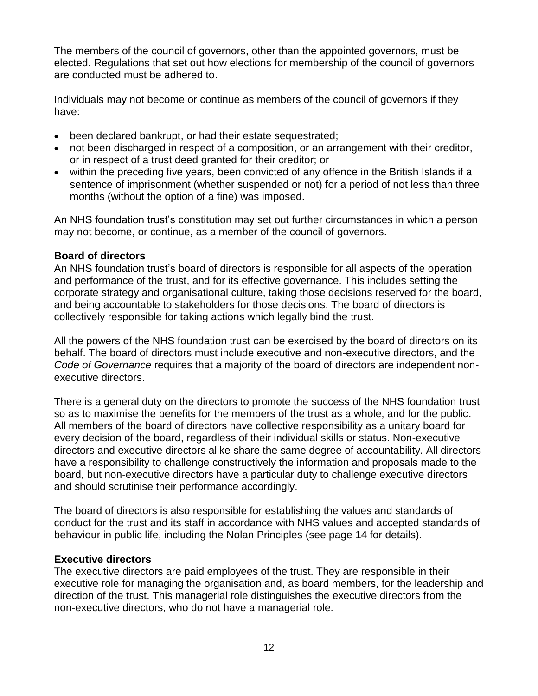The members of the council of governors, other than the appointed governors, must be elected. Regulations that set out how elections for membership of the council of governors are conducted must be adhered to.

Individuals may not become or continue as members of the council of governors if they have:

- been declared bankrupt, or had their estate sequestrated;
- not been discharged in respect of a composition, or an arrangement with their creditor, or in respect of a trust deed granted for their creditor; or
- within the preceding five years, been convicted of any offence in the British Islands if a sentence of imprisonment (whether suspended or not) for a period of not less than three months (without the option of a fine) was imposed.

An NHS foundation trust's constitution may set out further circumstances in which a person may not become, or continue, as a member of the council of governors.

#### **Board of directors**

An NHS foundation trust's board of directors is responsible for all aspects of the operation and performance of the trust, and for its effective governance. This includes setting the corporate strategy and organisational culture, taking those decisions reserved for the board, and being accountable to stakeholders for those decisions. The board of directors is collectively responsible for taking actions which legally bind the trust.

All the powers of the NHS foundation trust can be exercised by the board of directors on its behalf. The board of directors must include executive and non-executive directors, and the *Code of Governance* requires that a majority of the board of directors are independent nonexecutive directors.

There is a general duty on the directors to promote the success of the NHS foundation trust so as to maximise the benefits for the members of the trust as a whole, and for the public. All members of the board of directors have collective responsibility as a unitary board for every decision of the board, regardless of their individual skills or status. Non-executive directors and executive directors alike share the same degree of accountability. All directors have a responsibility to challenge constructively the information and proposals made to the board, but non-executive directors have a particular duty to challenge executive directors and should scrutinise their performance accordingly.

The board of directors is also responsible for establishing the values and standards of conduct for the trust and its staff in accordance with NHS values and accepted standards of behaviour in public life, including the Nolan Principles (see page 14 for details).

#### **Executive directors**

The executive directors are paid employees of the trust. They are responsible in their executive role for managing the organisation and, as board members, for the leadership and direction of the trust. This managerial role distinguishes the executive directors from the non-executive directors, who do not have a managerial role.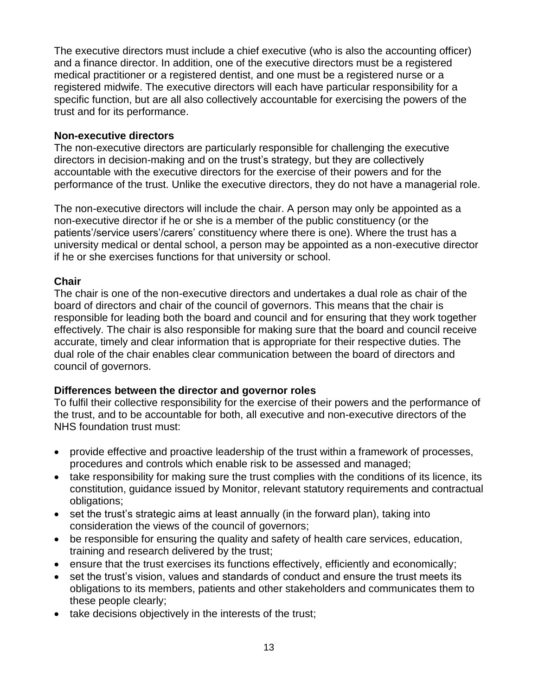The executive directors must include a chief executive (who is also the accounting officer) and a finance director. In addition, one of the executive directors must be a registered medical practitioner or a registered dentist, and one must be a registered nurse or a registered midwife. The executive directors will each have particular responsibility for a specific function, but are all also collectively accountable for exercising the powers of the trust and for its performance.

#### **Non-executive directors**

The non-executive directors are particularly responsible for challenging the executive directors in decision-making and on the trust's strategy, but they are collectively accountable with the executive directors for the exercise of their powers and for the performance of the trust. Unlike the executive directors, they do not have a managerial role.

The non-executive directors will include the chair. A person may only be appointed as a non-executive director if he or she is a member of the public constituency (or the patients'/service users'/carers' constituency where there is one). Where the trust has a university medical or dental school, a person may be appointed as a non-executive director if he or she exercises functions for that university or school.

#### **Chair**

The chair is one of the non-executive directors and undertakes a dual role as chair of the board of directors and chair of the council of governors. This means that the chair is responsible for leading both the board and council and for ensuring that they work together effectively. The chair is also responsible for making sure that the board and council receive accurate, timely and clear information that is appropriate for their respective duties. The dual role of the chair enables clear communication between the board of directors and council of governors.

#### **Differences between the director and governor roles**

To fulfil their collective responsibility for the exercise of their powers and the performance of the trust, and to be accountable for both, all executive and non-executive directors of the NHS foundation trust must:

- provide effective and proactive leadership of the trust within a framework of processes, procedures and controls which enable risk to be assessed and managed;
- take responsibility for making sure the trust complies with the conditions of its licence, its constitution, guidance issued by Monitor, relevant statutory requirements and contractual obligations;
- set the trust's strategic aims at least annually (in the forward plan), taking into consideration the views of the council of governors;
- be responsible for ensuring the quality and safety of health care services, education, training and research delivered by the trust;
- ensure that the trust exercises its functions effectively, efficiently and economically;
- set the trust's vision, values and standards of conduct and ensure the trust meets its obligations to its members, patients and other stakeholders and communicates them to these people clearly;
- take decisions objectively in the interests of the trust;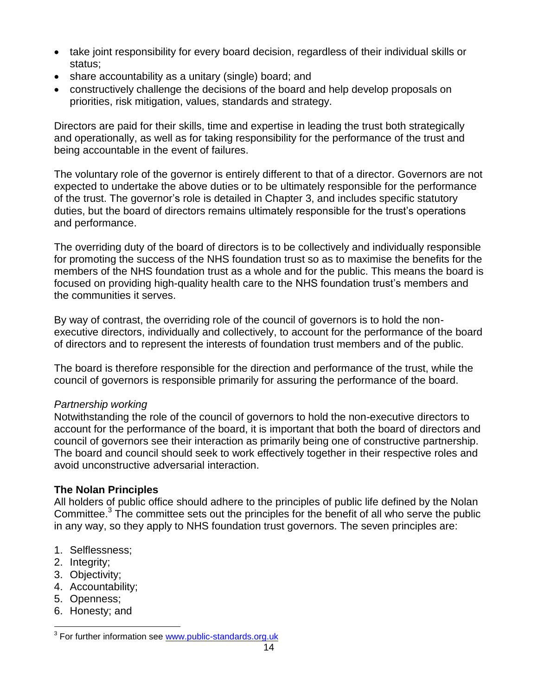- take joint responsibility for every board decision, regardless of their individual skills or status;
- share accountability as a unitary (single) board; and
- constructively challenge the decisions of the board and help develop proposals on priorities, risk mitigation, values, standards and strategy.

Directors are paid for their skills, time and expertise in leading the trust both strategically and operationally, as well as for taking responsibility for the performance of the trust and being accountable in the event of failures.

The voluntary role of the governor is entirely different to that of a director. Governors are not expected to undertake the above duties or to be ultimately responsible for the performance of the trust. The governor's role is detailed in Chapter 3, and includes specific statutory duties, but the board of directors remains ultimately responsible for the trust's operations and performance.

The overriding duty of the board of directors is to be collectively and individually responsible for promoting the success of the NHS foundation trust so as to maximise the benefits for the members of the NHS foundation trust as a whole and for the public. This means the board is focused on providing high-quality health care to the NHS foundation trust's members and the communities it serves.

By way of contrast, the overriding role of the council of governors is to hold the nonexecutive directors, individually and collectively, to account for the performance of the board of directors and to represent the interests of foundation trust members and of the public.

The board is therefore responsible for the direction and performance of the trust, while the council of governors is responsible primarily for assuring the performance of the board.

# *Partnership working*

Notwithstanding the role of the council of governors to hold the non-executive directors to account for the performance of the board, it is important that both the board of directors and council of governors see their interaction as primarily being one of constructive partnership. The board and council should seek to work effectively together in their respective roles and avoid unconstructive adversarial interaction.

# **The Nolan Principles**

All holders of public office should adhere to the principles of public life defined by the Nolan Committee. $3$  The committee sets out the principles for the benefit of all who serve the public in any way, so they apply to NHS foundation trust governors. The seven principles are:

- 1. Selflessness;
- 2. Integrity;
- 3. Objectivity;
- 4. Accountability;
- 5. Openness;

 $\overline{a}$ 

6. Honesty; and

<sup>&</sup>lt;sup>3</sup> For further information see [www.public-standards.org.uk](http://www.public-standards.org.uk/)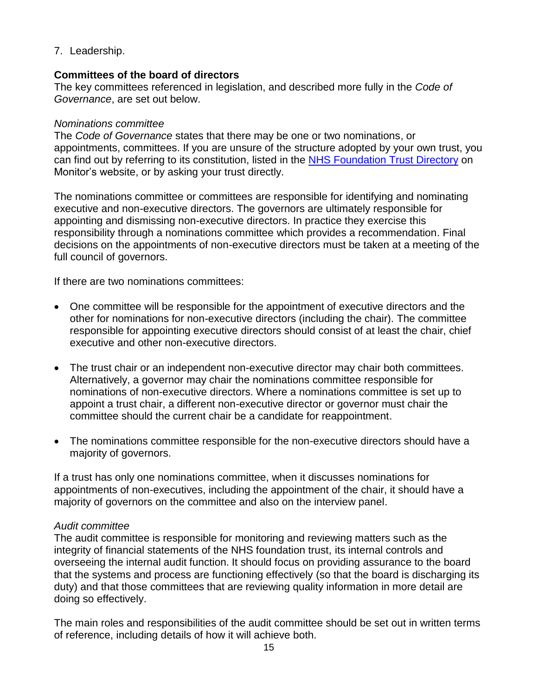7. Leadership.

#### **Committees of the board of directors**

The key committees referenced in legislation, and described more fully in the *Code of Governance*, are set out below.

#### *Nominations committee*

The *Code of Governance* states that there may be one or two nominations, or appointments, committees. If you are unsure of the structure adopted by your own trust, you can find out by referring to its constitution, listed in the [NHS Foundation Trust Directory](http://www.monitor-nhsft.gov.uk/about-nhs-foundation-trusts/nhs-foundation-trust-directory) on Monitor's website, or by asking your trust directly.

The nominations committee or committees are responsible for identifying and nominating executive and non-executive directors. The governors are ultimately responsible for appointing and dismissing non-executive directors. In practice they exercise this responsibility through a nominations committee which provides a recommendation. Final decisions on the appointments of non-executive directors must be taken at a meeting of the full council of governors.

If there are two nominations committees:

- One committee will be responsible for the appointment of executive directors and the other for nominations for non-executive directors (including the chair). The committee responsible for appointing executive directors should consist of at least the chair, chief executive and other non-executive directors.
- The trust chair or an independent non-executive director may chair both committees. Alternatively, a governor may chair the nominations committee responsible for nominations of non-executive directors. Where a nominations committee is set up to appoint a trust chair, a different non-executive director or governor must chair the committee should the current chair be a candidate for reappointment.
- The nominations committee responsible for the non-executive directors should have a majority of governors.

If a trust has only one nominations committee, when it discusses nominations for appointments of non-executives, including the appointment of the chair, it should have a majority of governors on the committee and also on the interview panel.

#### *Audit committee*

The audit committee is responsible for monitoring and reviewing matters such as the integrity of financial statements of the NHS foundation trust, its internal controls and overseeing the internal audit function. It should focus on providing assurance to the board that the systems and process are functioning effectively (so that the board is discharging its duty) and that those committees that are reviewing quality information in more detail are doing so effectively.

The main roles and responsibilities of the audit committee should be set out in written terms of reference, including details of how it will achieve both.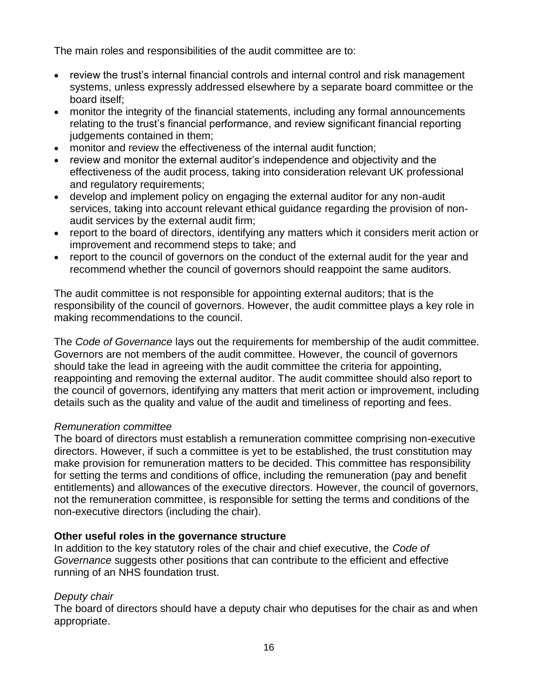The main roles and responsibilities of the audit committee are to:

- review the trust's internal financial controls and internal control and risk management systems, unless expressly addressed elsewhere by a separate board committee or the board itself;
- monitor the integrity of the financial statements, including any formal announcements relating to the trust's financial performance, and review significant financial reporting judgements contained in them;
- monitor and review the effectiveness of the internal audit function;
- review and monitor the external auditor's independence and objectivity and the effectiveness of the audit process, taking into consideration relevant UK professional and regulatory requirements;
- develop and implement policy on engaging the external auditor for any non-audit services, taking into account relevant ethical guidance regarding the provision of nonaudit services by the external audit firm;
- report to the board of directors, identifying any matters which it considers merit action or improvement and recommend steps to take; and
- report to the council of governors on the conduct of the external audit for the year and recommend whether the council of governors should reappoint the same auditors.

The audit committee is not responsible for appointing external auditors; that is the responsibility of the council of governors. However, the audit committee plays a key role in making recommendations to the council.

The *Code of Governance* lays out the requirements for membership of the audit committee. Governors are not members of the audit committee. However, the council of governors should take the lead in agreeing with the audit committee the criteria for appointing, reappointing and removing the external auditor. The audit committee should also report to the council of governors, identifying any matters that merit action or improvement, including details such as the quality and value of the audit and timeliness of reporting and fees.

#### *Remuneration committee*

The board of directors must establish a remuneration committee comprising non-executive directors. However, if such a committee is yet to be established, the trust constitution may make provision for remuneration matters to be decided. This committee has responsibility for setting the terms and conditions of office, including the remuneration (pay and benefit entitlements) and allowances of the executive directors. However, the council of governors, not the remuneration committee, is responsible for setting the terms and conditions of the non-executive directors (including the chair).

#### **Other useful roles in the governance structure**

In addition to the key statutory roles of the chair and chief executive, the *Code of Governance* suggests other positions that can contribute to the efficient and effective running of an NHS foundation trust.

# *Deputy chair*

The board of directors should have a deputy chair who deputises for the chair as and when appropriate.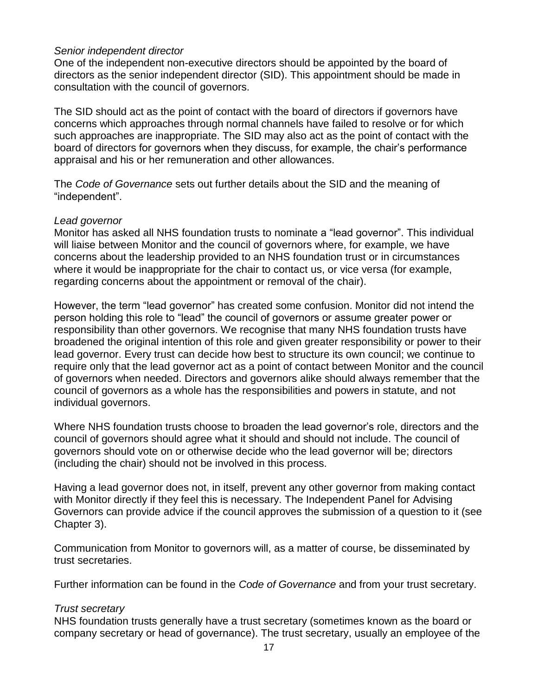#### *Senior independent director*

One of the independent non-executive directors should be appointed by the board of directors as the senior independent director (SID). This appointment should be made in consultation with the council of governors.

The SID should act as the point of contact with the board of directors if governors have concerns which approaches through normal channels have failed to resolve or for which such approaches are inappropriate. The SID may also act as the point of contact with the board of directors for governors when they discuss, for example, the chair's performance appraisal and his or her remuneration and other allowances.

The *Code of Governance* sets out further details about the SID and the meaning of "independent".

#### *Lead governor*

Monitor has asked all NHS foundation trusts to nominate a "lead governor". This individual will liaise between Monitor and the council of governors where, for example, we have concerns about the leadership provided to an NHS foundation trust or in circumstances where it would be inappropriate for the chair to contact us, or vice versa (for example, regarding concerns about the appointment or removal of the chair).

However, the term "lead governor" has created some confusion. Monitor did not intend the person holding this role to "lead" the council of governors or assume greater power or responsibility than other governors. We recognise that many NHS foundation trusts have broadened the original intention of this role and given greater responsibility or power to their lead governor. Every trust can decide how best to structure its own council; we continue to require only that the lead governor act as a point of contact between Monitor and the council of governors when needed. Directors and governors alike should always remember that the council of governors as a whole has the responsibilities and powers in statute, and not individual governors.

Where NHS foundation trusts choose to broaden the lead governor's role, directors and the council of governors should agree what it should and should not include. The council of governors should vote on or otherwise decide who the lead governor will be; directors (including the chair) should not be involved in this process.

Having a lead governor does not, in itself, prevent any other governor from making contact with Monitor directly if they feel this is necessary. The Independent Panel for Advising Governors can provide advice if the council approves the submission of a question to it (see Chapter 3).

Communication from Monitor to governors will, as a matter of course, be disseminated by trust secretaries.

Further information can be found in the *Code of Governance* and from your trust secretary.

#### *Trust secretary*

NHS foundation trusts generally have a trust secretary (sometimes known as the board or company secretary or head of governance). The trust secretary, usually an employee of the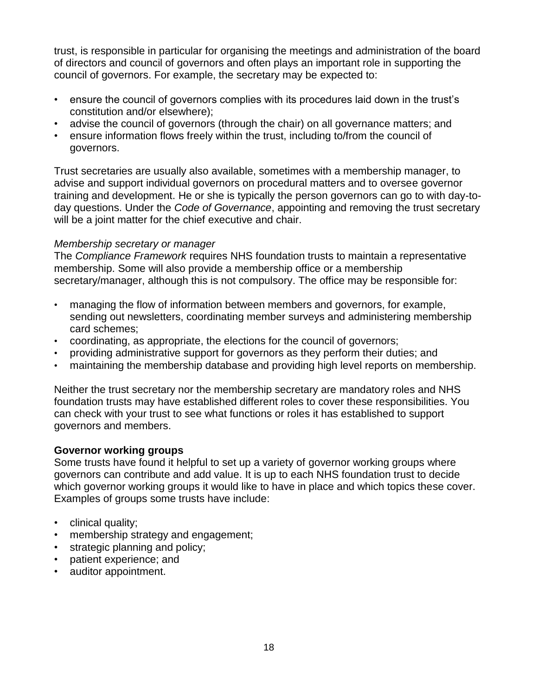trust, is responsible in particular for organising the meetings and administration of the board of directors and council of governors and often plays an important role in supporting the council of governors. For example, the secretary may be expected to:

- ensure the council of governors complies with its procedures laid down in the trust's constitution and/or elsewhere);
- advise the council of governors (through the chair) on all governance matters; and
- ensure information flows freely within the trust, including to/from the council of governors.

Trust secretaries are usually also available, sometimes with a membership manager, to advise and support individual governors on procedural matters and to oversee governor training and development. He or she is typically the person governors can go to with day-today questions. Under the *Code of Governance*, appointing and removing the trust secretary will be a joint matter for the chief executive and chair.

# *Membership secretary or manager*

The *Compliance Framework* requires NHS foundation trusts to maintain a representative membership. Some will also provide a membership office or a membership secretary/manager, although this is not compulsory. The office may be responsible for:

- managing the flow of information between members and governors, for example, sending out newsletters, coordinating member surveys and administering membership card schemes;
- coordinating, as appropriate, the elections for the council of governors;
- providing administrative support for governors as they perform their duties; and
- maintaining the membership database and providing high level reports on membership.

Neither the trust secretary nor the membership secretary are mandatory roles and NHS foundation trusts may have established different roles to cover these responsibilities. You can check with your trust to see what functions or roles it has established to support governors and members.

#### **Governor working groups**

Some trusts have found it helpful to set up a variety of governor working groups where governors can contribute and add value. It is up to each NHS foundation trust to decide which governor working groups it would like to have in place and which topics these cover. Examples of groups some trusts have include:

- clinical quality:
- membership strategy and engagement;
- strategic planning and policy;
- patient experience; and
- auditor appointment.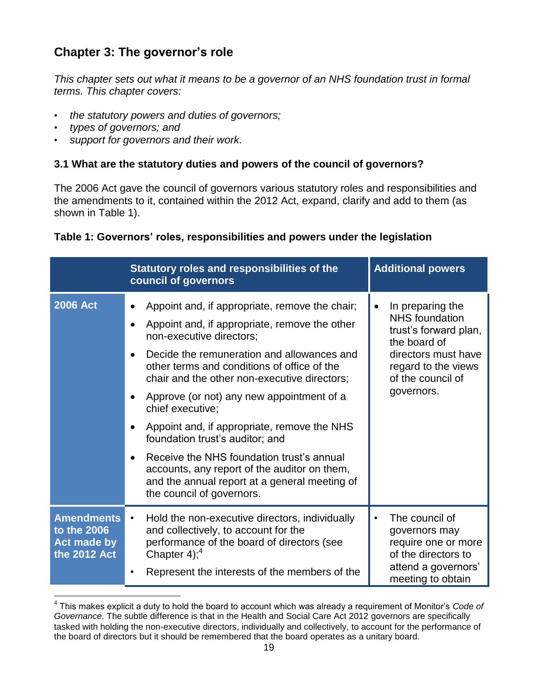# **Chapter 3: The governor's role**

*This chapter sets out what it means to be a governor of an NHS foundation trust in formal terms. This chapter covers:*

- *the statutory powers and duties of governors;*
- *types of governors; and*

 $\overline{a}$ 

• *support for governors and their work.*

# **3.1 What are the statutory duties and powers of the council of governors?**

The 2006 Act gave the council of governors various statutory roles and responsibilities and the amendments to it, contained within the 2012 Act, expand, clarify and add to them (as shown in Table 1).

| Table 1: Governors' roles, responsibilities and powers under the legislation |  |  |  |  |  |  |  |
|------------------------------------------------------------------------------|--|--|--|--|--|--|--|
|------------------------------------------------------------------------------|--|--|--|--|--|--|--|

|                                                                 | Statutory roles and responsibilities of the<br>council of governors                                                                                                                                                                                                                                                                                                                                                                                                                                                                                                                                                                           | <b>Additional powers</b>                                                                                                                                                         |
|-----------------------------------------------------------------|-----------------------------------------------------------------------------------------------------------------------------------------------------------------------------------------------------------------------------------------------------------------------------------------------------------------------------------------------------------------------------------------------------------------------------------------------------------------------------------------------------------------------------------------------------------------------------------------------------------------------------------------------|----------------------------------------------------------------------------------------------------------------------------------------------------------------------------------|
| <b>2006 Act</b>                                                 | Appoint and, if appropriate, remove the chair;<br>$\bullet$<br>Appoint and, if appropriate, remove the other<br>$\bullet$<br>non-executive directors;<br>Decide the remuneration and allowances and<br>$\bullet$<br>other terms and conditions of office of the<br>chair and the other non-executive directors;<br>Approve (or not) any new appointment of a<br>chief executive;<br>Appoint and, if appropriate, remove the NHS<br>foundation trust's auditor; and<br>Receive the NHS foundation trust's annual<br>accounts, any report of the auditor on them,<br>and the annual report at a general meeting of<br>the council of governors. | In preparing the<br>$\bullet$<br><b>NHS</b> foundation<br>trust's forward plan,<br>the board of<br>directors must have<br>regard to the views<br>of the council of<br>governors. |
| <b>Amendments</b><br>to the 2006<br>Act made by<br>the 2012 Act | Hold the non-executive directors, individually<br>$\bullet$<br>and collectively, to account for the<br>performance of the board of directors (see<br>Chapter $4$ ); <sup>4</sup><br>Represent the interests of the members of the                                                                                                                                                                                                                                                                                                                                                                                                             | The council of<br>$\bullet$<br>governors may<br>require one or more<br>of the directors to<br>attend a governors'<br>meeting to obtain                                           |

<sup>4</sup> This makes explicit a duty to hold the board to account which was already a requirement of Monitor's *Code of Governance*. The subtle difference is that in the Health and Social Care Act 2012 governors are specifically tasked with holding the non-executive directors, individually and collectively, to account for the performance of the board of directors but it should be remembered that the board operates as a unitary board.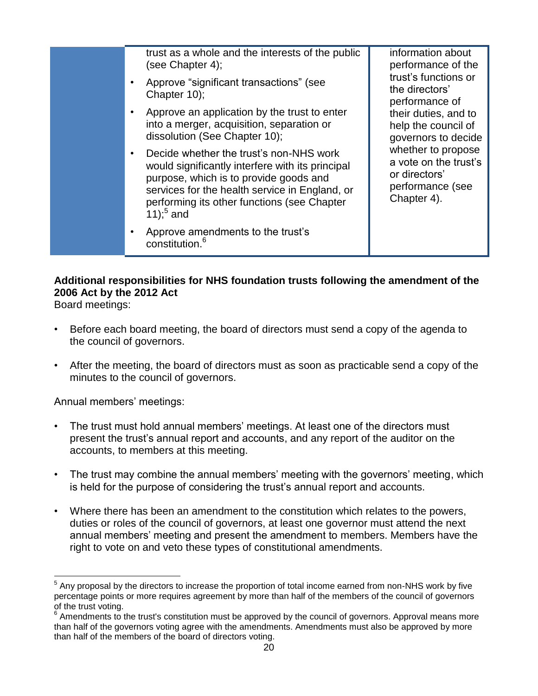| trust as a whole and the interests of the public<br>(see Chapter 4);<br>Approve "significant transactions" (see<br>Chapter 10);<br>Approve an application by the trust to enter<br>into a merger, acquisition, separation or<br>dissolution (See Chapter 10);<br>Decide whether the trust's non-NHS work<br>would significantly interfere with its principal<br>purpose, which is to provide goods and<br>services for the health service in England, or<br>performing its other functions (see Chapter | information about<br>performance of the<br>trust's functions or<br>the directors'<br>performance of<br>their duties, and to<br>help the council of<br>governors to decide<br>whether to propose<br>a vote on the trust's<br>or directors'<br>performance (see<br>Chapter 4). |
|---------------------------------------------------------------------------------------------------------------------------------------------------------------------------------------------------------------------------------------------------------------------------------------------------------------------------------------------------------------------------------------------------------------------------------------------------------------------------------------------------------|------------------------------------------------------------------------------------------------------------------------------------------------------------------------------------------------------------------------------------------------------------------------------|
| 11); $^{5}$ and<br>Approve amendments to the trust's<br>constitution. <sup>6</sup>                                                                                                                                                                                                                                                                                                                                                                                                                      |                                                                                                                                                                                                                                                                              |

# **Additional responsibilities for NHS foundation trusts following the amendment of the 2006 Act by the 2012 Act**

Board meetings:

 $\overline{a}$ 

- Before each board meeting, the board of directors must send a copy of the agenda to the council of governors.
- After the meeting, the board of directors must as soon as practicable send a copy of the minutes to the council of governors.

Annual members' meetings:

- The trust must hold annual members' meetings. At least one of the directors must present the trust's annual report and accounts, and any report of the auditor on the accounts, to members at this meeting.
- The trust may combine the annual members' meeting with the governors' meeting, which is held for the purpose of considering the trust's annual report and accounts.
- Where there has been an amendment to the constitution which relates to the powers, duties or roles of the council of governors, at least one governor must attend the next annual members' meeting and present the amendment to members. Members have the right to vote on and veto these types of constitutional amendments.

 $<sup>5</sup>$  Any proposal by the directors to increase the proportion of total income earned from non-NHS work by five</sup> percentage points or more requires agreement by more than half of the members of the council of governors of the trust voting.

<sup>6</sup> Amendments to the trust's constitution must be approved by the council of governors. Approval means more than half of the governors voting agree with the amendments. Amendments must also be approved by more than half of the members of the board of directors voting.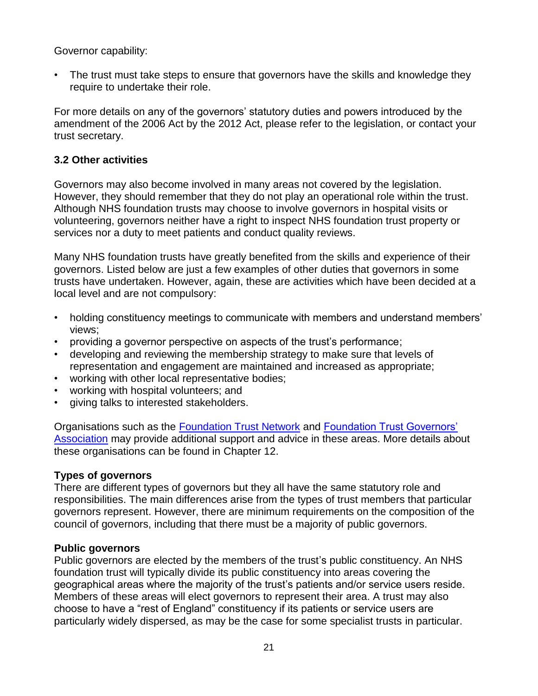Governor capability:

• The trust must take steps to ensure that governors have the skills and knowledge they require to undertake their role.

For more details on any of the governors' statutory duties and powers introduced by the amendment of the 2006 Act by the [2012 Act,](http://services.parliament.uk/bills/2010-11/healthandsocialcare.html) please refer to the legislation, or contact your trust secretary.

# **3.2 Other activities**

Governors may also become involved in many areas not covered by the legislation. However, they should remember that they do not play an operational role within the trust. Although NHS foundation trusts may choose to involve governors in hospital visits or volunteering, governors neither have a right to inspect NHS foundation trust property or services nor a duty to meet patients and conduct quality reviews.

Many NHS foundation trusts have greatly benefited from the skills and experience of their governors. Listed below are just a few examples of other duties that governors in some trusts have undertaken. However, again, these are activities which have been decided at a local level and are not compulsory:

- holding constituency meetings to communicate with members and understand members' views;
- providing a governor perspective on aspects of the trust's performance;
- developing and reviewing the membership strategy to make sure that levels of representation and engagement are maintained and increased as appropriate;
- working with other local representative bodies;
- working with hospital volunteers; and
- giving talks to interested stakeholders.

Organisations such as the [Foundation Trust Network](http://www.foundationtrustnetwork.org/home/) and [Foundation Trust Governors'](http://www.ftga.org.uk/)  [Association](http://www.ftga.org.uk/) may provide additional support and advice in these areas. More details about these organisations can be found in Chapter 12.

#### **Types of governors**

There are different types of governors but they all have the same statutory role and responsibilities. The main differences arise from the types of trust members that particular governors represent. However, there are minimum requirements on the composition of the council of governors, including that there must be a majority of public governors.

#### **Public governors**

Public governors are elected by the members of the trust's public constituency. An NHS foundation trust will typically divide its public constituency into areas covering the geographical areas where the majority of the trust's patients and/or service users reside. Members of these areas will elect governors to represent their area. A trust may also choose to have a "rest of England" constituency if its patients or service users are particularly widely dispersed, as may be the case for some specialist trusts in particular.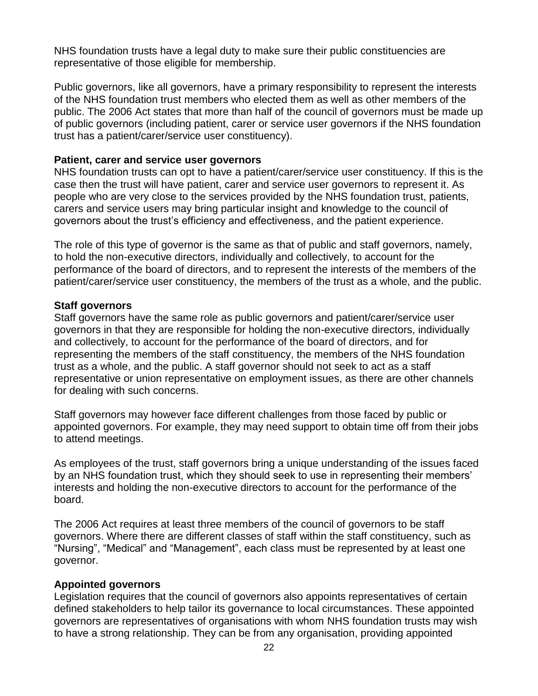NHS foundation trusts have a legal duty to make sure their public constituencies are representative of those eligible for membership.

Public governors, like all governors, have a primary responsibility to represent the interests of the NHS foundation trust members who elected them as well as other members of the public. The 2006 Act states that more than half of the council of governors must be made up of public governors (including patient, carer or service user governors if the NHS foundation trust has a patient/carer/service user constituency).

#### **Patient, carer and service user governors**

NHS foundation trusts can opt to have a patient/carer/service user constituency. If this is the case then the trust will have patient, carer and service user governors to represent it. As people who are very close to the services provided by the NHS foundation trust, patients, carers and service users may bring particular insight and knowledge to the council of governors about the trust's efficiency and effectiveness, and the patient experience.

The role of this type of governor is the same as that of public and staff governors, namely, to hold the non-executive directors, individually and collectively, to account for the performance of the board of directors, and to represent the interests of the members of the patient/carer/service user constituency, the members of the trust as a whole, and the public.

#### **Staff governors**

Staff governors have the same role as public governors and patient/carer/service user governors in that they are responsible for holding the non-executive directors, individually and collectively, to account for the performance of the board of directors, and for representing the members of the staff constituency, the members of the NHS foundation trust as a whole, and the public. A staff governor should not seek to act as a staff representative or union representative on employment issues, as there are other channels for dealing with such concerns.

Staff governors may however face different challenges from those faced by public or appointed governors. For example, they may need support to obtain time off from their jobs to attend meetings.

As employees of the trust, staff governors bring a unique understanding of the issues faced by an NHS foundation trust, which they should seek to use in representing their members' interests and holding the non-executive directors to account for the performance of the board.

The 2006 Act requires at least three members of the council of governors to be staff governors. Where there are different classes of staff within the staff constituency, such as "Nursing", "Medical" and "Management", each class must be represented by at least one governor.

#### **Appointed governors**

Legislation requires that the council of governors also appoints representatives of certain defined stakeholders to help tailor its governance to local circumstances. These appointed governors are representatives of organisations with whom NHS foundation trusts may wish to have a strong relationship. They can be from any organisation, providing appointed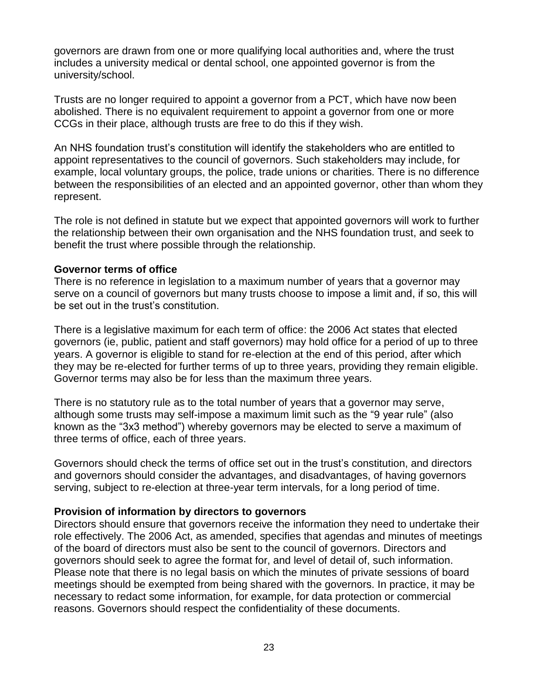governors are drawn from one or more qualifying local authorities and, where the trust includes a university medical or dental school, one appointed governor is from the university/school.

Trusts are no longer required to appoint a governor from a PCT, which have now been abolished. There is no equivalent requirement to appoint a governor from one or more CCGs in their place, although trusts are free to do this if they wish.

An NHS foundation trust's constitution will identify the stakeholders who are entitled to appoint representatives to the council of governors. Such stakeholders may include, for example, local voluntary groups, the police, trade unions or charities. There is no difference between the responsibilities of an elected and an appointed governor, other than whom they represent.

The role is not defined in statute but we expect that appointed governors will work to further the relationship between their own organisation and the NHS foundation trust, and seek to benefit the trust where possible through the relationship.

#### **Governor terms of office**

There is no reference in legislation to a maximum number of years that a governor may serve on a council of governors but many trusts choose to impose a limit and, if so, this will be set out in the trust's constitution.

There is a legislative maximum for each term of office: the 2006 Act states that elected governors (ie, public, patient and staff governors) may hold office for a period of up to three years. A governor is eligible to stand for re-election at the end of this period, after which they may be re-elected for further terms of up to three years, providing they remain eligible. Governor terms may also be for less than the maximum three years.

There is no statutory rule as to the total number of years that a governor may serve, although some trusts may self-impose a maximum limit such as the "9 year rule" (also known as the "3x3 method") whereby governors may be elected to serve a maximum of three terms of office, each of three years.

Governors should check the terms of office set out in the trust's constitution, and directors and governors should consider the advantages, and disadvantages, of having governors serving, subject to re-election at three-year term intervals, for a long period of time.

#### **Provision of information by directors to governors**

Directors should ensure that governors receive the information they need to undertake their role effectively. The 2006 Act, as amended, specifies that agendas and minutes of meetings of the board of directors must also be sent to the council of governors. Directors and governors should seek to agree the format for, and level of detail of, such information. Please note that there is no legal basis on which the minutes of private sessions of board meetings should be exempted from being shared with the governors. In practice, it may be necessary to redact some information, for example, for data protection or commercial reasons. Governors should respect the confidentiality of these documents.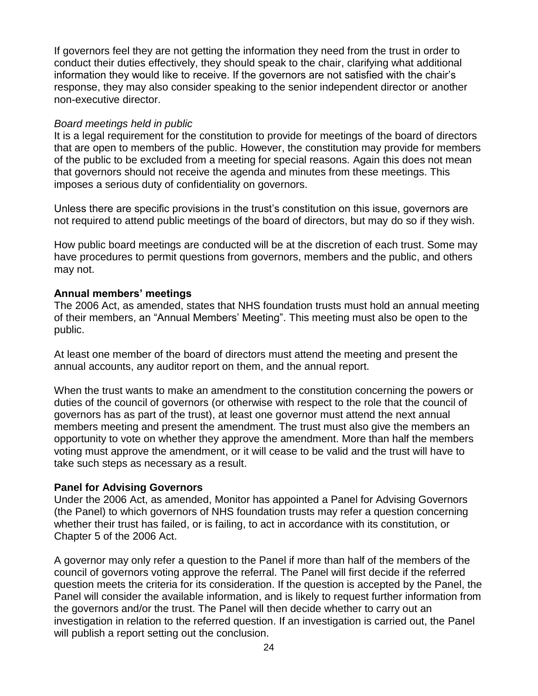If governors feel they are not getting the information they need from the trust in order to conduct their duties effectively, they should speak to the chair, clarifying what additional information they would like to receive. If the governors are not satisfied with the chair's response, they may also consider speaking to the senior independent director or another non-executive director.

#### *Board meetings held in public*

It is a legal requirement for the constitution to provide for meetings of the board of directors that are open to members of the public. However, the constitution may provide for members of the public to be excluded from a meeting for special reasons. Again this does not mean that governors should not receive the agenda and minutes from these meetings. This imposes a serious duty of confidentiality on governors.

Unless there are specific provisions in the trust's constitution on this issue, governors are not required to attend public meetings of the board of directors, but may do so if they wish.

How public board meetings are conducted will be at the discretion of each trust. Some may have procedures to permit questions from governors, members and the public, and others may not.

#### **Annual members' meetings**

The 2006 Act, as amended, states that NHS foundation trusts must hold an annual meeting of their members, an "Annual Members' Meeting". This meeting must also be open to the public.

At least one member of the board of directors must attend the meeting and present the annual accounts, any auditor report on them, and the annual report.

When the trust wants to make an amendment to the constitution concerning the powers or duties of the council of governors (or otherwise with respect to the role that the council of governors has as part of the trust), at least one governor must attend the next annual members meeting and present the amendment. The trust must also give the members an opportunity to vote on whether they approve the amendment. More than half the members voting must approve the amendment, or it will cease to be valid and the trust will have to take such steps as necessary as a result.

#### **Panel for Advising Governors**

Under the 2006 Act, as amended, Monitor has appointed a Panel for Advising Governors (the Panel) to which governors of NHS foundation trusts may refer a question concerning whether their trust has failed, or is failing, to act in accordance with its constitution, or Chapter 5 of the 2006 Act.

A governor may only refer a question to the Panel if more than half of the members of the council of governors voting approve the referral. The Panel will first decide if the referred question meets the criteria for its consideration. If the question is accepted by the Panel, the Panel will consider the available information, and is likely to request further information from the governors and/or the trust. The Panel will then decide whether to carry out an investigation in relation to the referred question. If an investigation is carried out, the Panel will publish a report setting out the conclusion.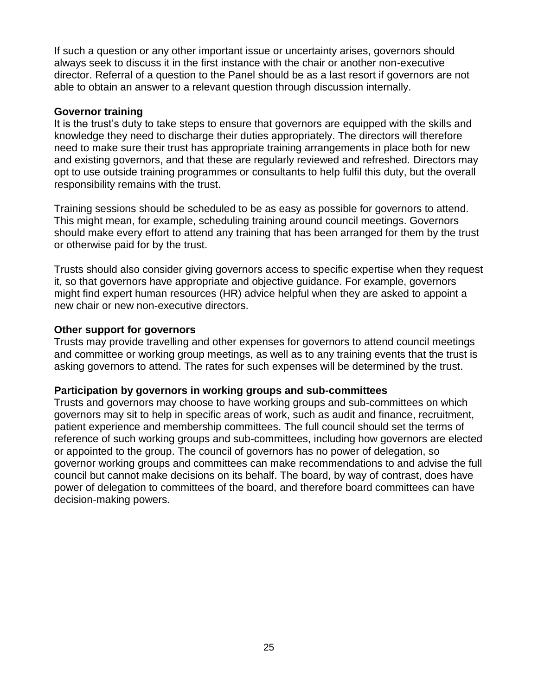If such a question or any other important issue or uncertainty arises, governors should always seek to discuss it in the first instance with the chair or another non-executive director. Referral of a question to the Panel should be as a last resort if governors are not able to obtain an answer to a relevant question through discussion internally.

#### **Governor training**

It is the trust's duty to take steps to ensure that governors are equipped with the skills and knowledge they need to discharge their duties appropriately. The directors will therefore need to make sure their trust has appropriate training arrangements in place both for new and existing governors, and that these are regularly reviewed and refreshed. Directors may opt to use outside training programmes or consultants to help fulfil this duty, but the overall responsibility remains with the trust.

Training sessions should be scheduled to be as easy as possible for governors to attend. This might mean, for example, scheduling training around council meetings. Governors should make every effort to attend any training that has been arranged for them by the trust or otherwise paid for by the trust.

Trusts should also consider giving governors access to specific expertise when they request it, so that governors have appropriate and objective guidance. For example, governors might find expert human resources (HR) advice helpful when they are asked to appoint a new chair or new non-executive directors.

#### **Other support for governors**

Trusts may provide travelling and other expenses for governors to attend council meetings and committee or working group meetings, as well as to any training events that the trust is asking governors to attend. The rates for such expenses will be determined by the trust.

#### **Participation by governors in working groups and sub-committees**

Trusts and governors may choose to have working groups and sub-committees on which governors may sit to help in specific areas of work, such as audit and finance, recruitment, patient experience and membership committees. The full council should set the terms of reference of such working groups and sub-committees, including how governors are elected or appointed to the group. The council of governors has no power of delegation, so governor working groups and committees can make recommendations to and advise the full council but cannot make decisions on its behalf. The board, by way of contrast, does have power of delegation to committees of the board, and therefore board committees can have decision-making powers.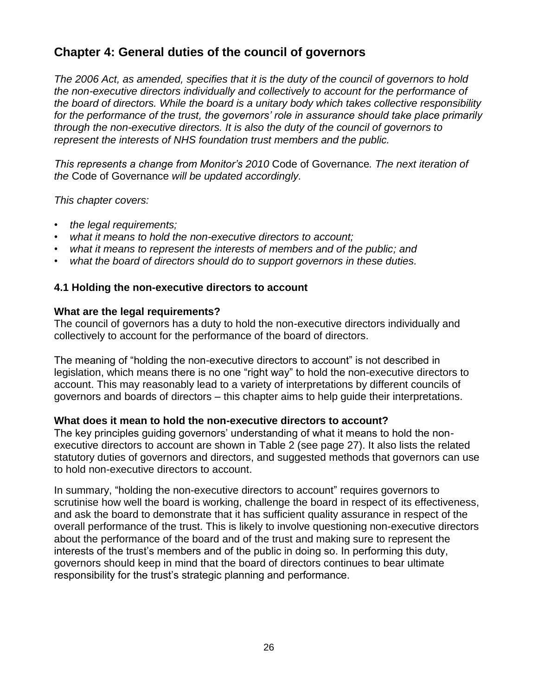# **Chapter 4: General duties of the council of governors**

*The 2006 Act, as amended, specifies that it is the duty of the council of governors to hold the non-executive directors individually and collectively to account for the performance of the board of directors. While the board is a unitary body which takes collective responsibility for the performance of the trust, the governors' role in assurance should take place primarily through the non-executive directors. It is also the duty of the council of governors to represent the interests of NHS foundation trust members and the public.* 

*This represents a change from Monitor's 2010* Code of Governance*. The next iteration of the* Code of Governance *will be updated accordingly.*

*This chapter covers:*

- *the legal requirements;*
- *what it means to hold the non-executive directors to account;*
- *what it means to represent the interests of members and of the public; and*
- *what the board of directors should do to support governors in these duties.*

#### **4.1 Holding the non-executive directors to account**

#### **What are the legal requirements?**

The council of governors has a duty to hold the non-executive directors individually and collectively to account for the performance of the board of directors.

The meaning of "holding the non-executive directors to account" is not described in legislation, which means there is no one "right way" to hold the non-executive directors to account. This may reasonably lead to a variety of interpretations by different councils of governors and boards of directors – this chapter aims to help guide their interpretations.

#### **What does it mean to hold the non-executive directors to account?**

The key principles guiding governors' understanding of what it means to hold the nonexecutive directors to account are shown in Table 2 (see page 27). It also lists the related statutory duties of governors and directors, and suggested methods that governors can use to hold non-executive directors to account.

In summary, "holding the non-executive directors to account" requires governors to scrutinise how well the board is working, challenge the board in respect of its effectiveness, and ask the board to demonstrate that it has sufficient quality assurance in respect of the overall performance of the trust. This is likely to involve questioning non-executive directors about the performance of the board and of the trust and making sure to represent the interests of the trust's members and of the public in doing so. In performing this duty, governors should keep in mind that the board of directors continues to bear ultimate responsibility for the trust's strategic planning and performance.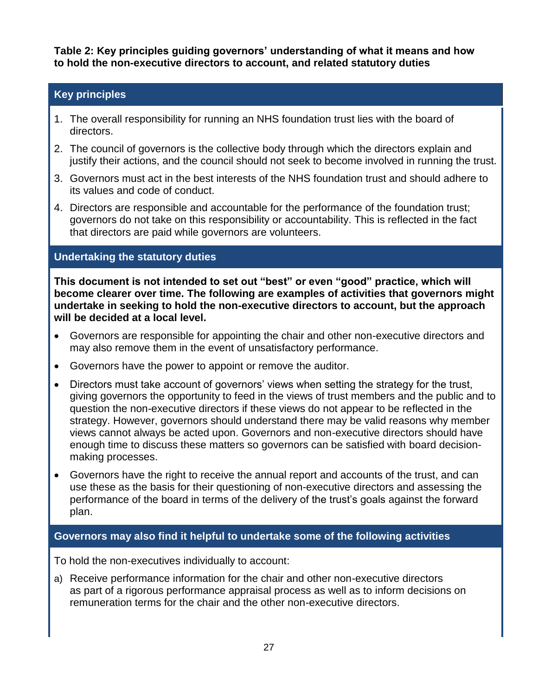**Table 2: Key principles guiding governors' understanding of what it means and how to hold the non-executive directors to account, and related statutory duties**

# **Key principles**

- 1. The overall responsibility for running an NHS foundation trust lies with the board of directors.
- 2. The council of governors is the collective body through which the directors explain and justify their actions, and the council should not seek to become involved in running the trust.
- 3. Governors must act in the best interests of the NHS foundation trust and should adhere to its values and code of conduct.
- 4. Directors are responsible and accountable for the performance of the foundation trust; governors do not take on this responsibility or accountability. This is reflected in the fact that directors are paid while governors are volunteers.

# **Undertaking the statutory duties**

**This document is not intended to set out "best" or even "good" practice, which will become clearer over time. The following are examples of activities that governors might undertake in seeking to hold the non-executive directors to account, but the approach will be decided at a local level.**

- Governors are responsible for appointing the chair and other non-executive directors and may also remove them in the event of unsatisfactory performance.
- Governors have the power to appoint or remove the auditor.
- Directors must take account of governors' views when setting the strategy for the trust, giving governors the opportunity to feed in the views of trust members and the public and to question the non-executive directors if these views do not appear to be reflected in the strategy. However, governors should understand there may be valid reasons why member views cannot always be acted upon. Governors and non-executive directors should have enough time to discuss these matters so governors can be satisfied with board decisionmaking processes.
- Governors have the right to receive the annual report and accounts of the trust, and can use these as the basis for their questioning of non-executive directors and assessing the performance of the board in terms of the delivery of the trust's goals against the forward plan.

# **Governors may also find it helpful to undertake some of the following activities**

To hold the non-executives individually to account:

a) Receive performance information for the chair and other non-executive directors as part of a rigorous performance appraisal process as well as to inform decisions on remuneration terms for the chair and the other non-executive directors.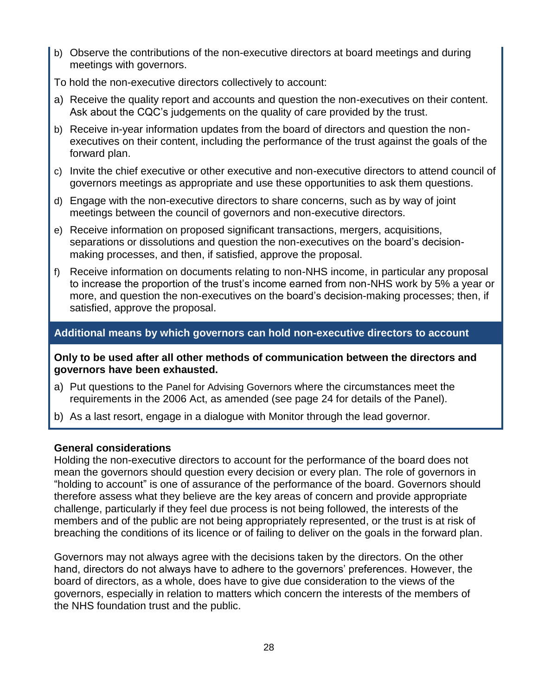- b) Observe the contributions of the non-executive directors at board meetings and during meetings with governors.
- To hold the non-executive directors collectively to account:
- a) Receive the quality report and accounts and question the non-executives on their content. Ask about the CQC's judgements on the quality of care provided by the trust.
- b) Receive in-year information updates from the board of directors and question the nonexecutives on their content, including the performance of the trust against the goals of the forward plan.
- c) Invite the chief executive or other executive and non-executive directors to attend council of governors meetings as appropriate and use these opportunities to ask them questions.
- d) Engage with the non-executive directors to share concerns, such as by way of joint meetings between the council of governors and non-executive directors.
- e) Receive information on proposed significant transactions, mergers, acquisitions, separations or dissolutions and question the non-executives on the board's decisionmaking processes, and then, if satisfied, approve the proposal.
- f) Receive information on documents relating to non-NHS income, in particular any proposal to increase the proportion of the trust's income earned from non-NHS work by 5% a year or more, and question the non-executives on the board's decision-making processes; then, if satisfied, approve the proposal.

## **Additional means by which governors can hold non-executive directors to account**

**Only to be used after all other methods of communication between the directors and governors have been exhausted.**

- a) Put questions to the Panel for Advising Governors where the circumstances meet the requirements in the 2006 Act, as amended (see page 24 for details of the Panel).
- b) As a last resort, engage in a dialogue with Monitor through the lead governor.

#### **General considerations**

Holding the non-executive directors to account for the performance of the board does not mean the governors should question every decision or every plan. The role of governors in "holding to account" is one of assurance of the performance of the board. Governors should therefore assess what they believe are the key areas of concern and provide appropriate challenge, particularly if they feel due process is not being followed, the interests of the members and of the public are not being appropriately represented, or the trust is at risk of breaching the conditions of its licence or of failing to deliver on the goals in the forward plan.

Governors may not always agree with the decisions taken by the directors. On the other hand, directors do not always have to adhere to the governors' preferences. However, the board of directors, as a whole, does have to give due consideration to the views of the governors, especially in relation to matters which concern the interests of the members of the NHS foundation trust and the public.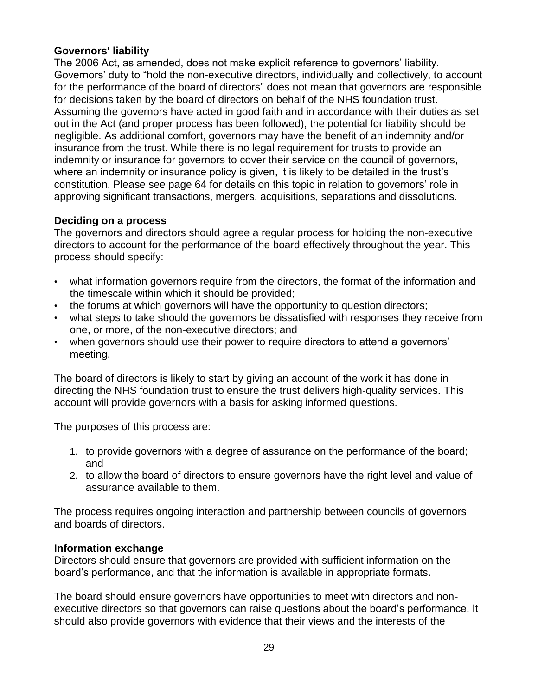## **Governors' liability**

The 2006 Act, as amended, does not make explicit reference to governors' liability. Governors' duty to "hold the non-executive directors, individually and collectively, to account for the performance of the board of directors" does not mean that governors are responsible for decisions taken by the board of directors on behalf of the NHS foundation trust. Assuming the governors have acted in good faith and in accordance with their duties as set out in the Act (and proper process has been followed), the potential for liability should be negligible. As additional comfort, governors may have the benefit of an indemnity and/or insurance from the trust. While there is no legal requirement for trusts to provide an indemnity or insurance for governors to cover their service on the council of governors, where an indemnity or insurance policy is given, it is likely to be detailed in the trust's constitution. Please see page 64 for details on this topic in relation to governors' role in approving significant transactions, mergers, acquisitions, separations and dissolutions.

#### **Deciding on a process**

The governors and directors should agree a regular process for holding the non-executive directors to account for the performance of the board effectively throughout the year. This process should specify:

- what information governors require from the directors, the format of the information and the timescale within which it should be provided;
- the forums at which governors will have the opportunity to question directors;
- what steps to take should the governors be dissatisfied with responses they receive from one, or more, of the non-executive directors; and
- when governors should use their power to require directors to attend a governors' meeting.

The board of directors is likely to start by giving an account of the work it has done in directing the NHS foundation trust to ensure the trust delivers high-quality services. This account will provide governors with a basis for asking informed questions.

The purposes of this process are:

- 1. to provide governors with a degree of assurance on the performance of the board; and
- 2. to allow the board of directors to ensure governors have the right level and value of assurance available to them.

The process requires ongoing interaction and partnership between councils of governors and boards of directors.

#### **Information exchange**

Directors should ensure that governors are provided with sufficient information on the board's performance, and that the information is available in appropriate formats.

The board should ensure governors have opportunities to meet with directors and nonexecutive directors so that governors can raise questions about the board's performance. It should also provide governors with evidence that their views and the interests of the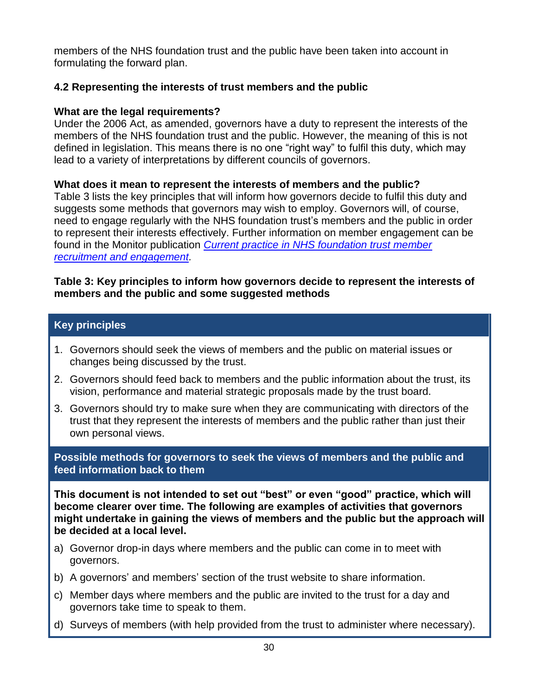members of the NHS foundation trust and the public have been taken into account in formulating the forward plan.

# **4.2 Representing the interests of trust members and the public**

#### **What are the legal requirements?**

Under the 2006 Act, as amended, governors have a duty to represent the interests of the members of the NHS foundation trust and the public. However, the meaning of this is not defined in legislation. This means there is no one "right way" to fulfil this duty, which may lead to a variety of interpretations by different councils of governors.

#### **What does it mean to represent the interests of members and the public?**

Table 3 lists the key principles that will inform how governors decide to fulfil this duty and suggests some methods that governors may wish to employ. Governors will, of course, need to engage regularly with the NHS foundation trust's members and the public in order to represent their interests effectively. Further information on member engagement can be found in the Monitor publication *[Current practice in NHS foundation trust member](http://www.monitor-nhsft.gov.uk/our-publications/browse-category/guidance-foundation-trusts/reports/guidance-governors/current-pract)  [recruitment and engagement.](http://www.monitor-nhsft.gov.uk/our-publications/browse-category/guidance-foundation-trusts/reports/guidance-governors/current-pract)*

#### **Table 3: Key principles to inform how governors decide to represent the interests of members and the public and some suggested methods**

## **Key principles**

- 1. Governors should seek the views of members and the public on material issues or changes being discussed by the trust.
- 2. Governors should feed back to members and the public information about the trust, its vision, performance and material strategic proposals made by the trust board.
- 3. Governors should try to make sure when they are communicating with directors of the trust that they represent the interests of members and the public rather than just their own personal views.

**Possible methods for governors to seek the views of members and the public and feed information back to them**

**This document is not intended to set out "best" or even "good" practice, which will become clearer over time. The following are examples of activities that governors might undertake in gaining the views of members and the public but the approach will be decided at a local level.**

- a) Governor drop-in days where members and the public can come in to meet with governors.
- b) A governors' and members' section of the trust website to share information.
- c) Member days where members and the public are invited to the trust for a day and governors take time to speak to them.
- d) Surveys of members (with help provided from the trust to administer where necessary).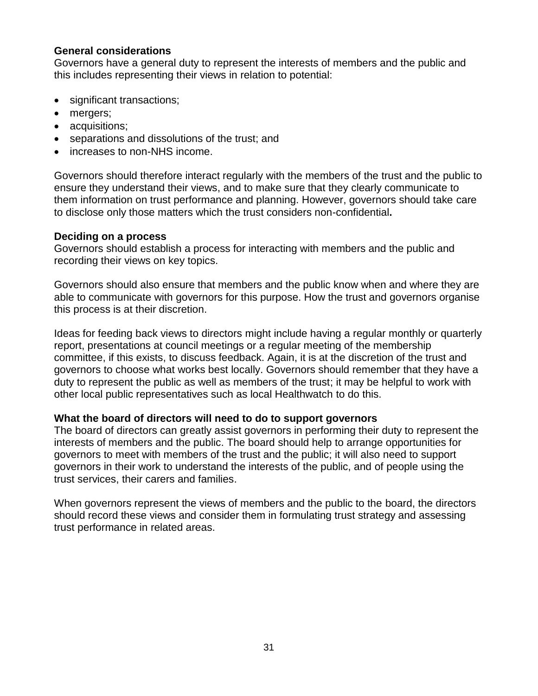#### **General considerations**

Governors have a general duty to represent the interests of members and the public and this includes representing their views in relation to potential:

- significant transactions;
- mergers;
- acquisitions;
- separations and dissolutions of the trust; and
- increases to non-NHS income.

Governors should therefore interact regularly with the members of the trust and the public to ensure they understand their views, and to make sure that they clearly communicate to them information on trust performance and planning. However, governors should take care to disclose only those matters which the trust considers non-confidential**.**

#### **Deciding on a process**

Governors should establish a process for interacting with members and the public and recording their views on key topics.

Governors should also ensure that members and the public know when and where they are able to communicate with governors for this purpose. How the trust and governors organise this process is at their discretion.

Ideas for feeding back views to directors might include having a regular monthly or quarterly report, presentations at council meetings or a regular meeting of the membership committee, if this exists, to discuss feedback. Again, it is at the discretion of the trust and governors to choose what works best locally. Governors should remember that they have a duty to represent the public as well as members of the trust; it may be helpful to work with other local public representatives such as local Healthwatch to do this.

#### **What the board of directors will need to do to support governors**

The board of directors can greatly assist governors in performing their duty to represent the interests of members and the public. The board should help to arrange opportunities for governors to meet with members of the trust and the public; it will also need to support governors in their work to understand the interests of the public, and of people using the trust services, their carers and families.

When governors represent the views of members and the public to the board, the directors should record these views and consider them in formulating trust strategy and assessing trust performance in related areas.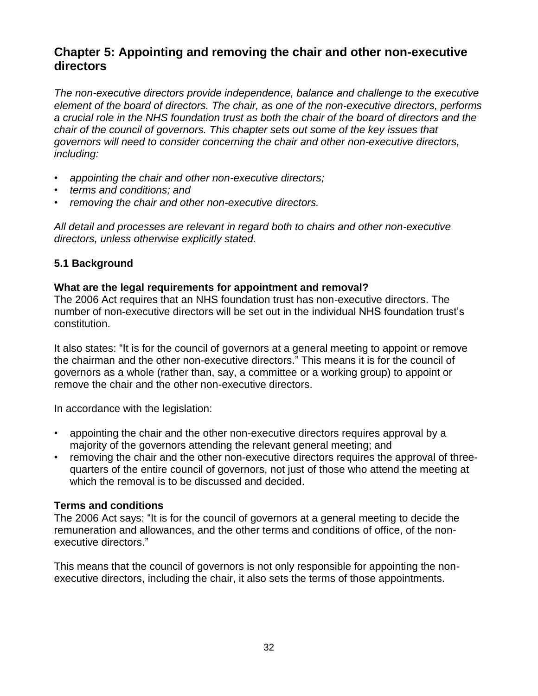# **Chapter 5: Appointing and removing the chair and other non-executive directors**

*The non-executive directors provide independence, balance and challenge to the executive element of the board of directors. The chair, as one of the non-executive directors, performs a crucial role in the NHS foundation trust as both the chair of the board of directors and the chair of the council of governors. This chapter sets out some of the key issues that governors will need to consider concerning the chair and other non-executive directors, including:*

- *appointing the chair and other non-executive directors;*
- *terms and conditions; and*
- *removing the chair and other non-executive directors.*

*All detail and processes are relevant in regard both to chairs and other non-executive directors, unless otherwise explicitly stated.*

#### **5.1 Background**

#### **What are the legal requirements for appointment and removal?**

The 2006 Act requires that an NHS foundation trust has non-executive directors. The number of non-executive directors will be set out in the individual NHS foundation trust's constitution.

It also states: "It is for the council of governors at a general meeting to appoint or remove the chairman and the other non-executive directors." This means it is for the council of governors as a whole (rather than, say, a committee or a working group) to appoint or remove the chair and the other non-executive directors.

In accordance with the legislation:

- appointing the chair and the other non-executive directors requires approval by a majority of the governors attending the relevant general meeting; and
- removing the chair and the other non-executive directors requires the approval of threequarters of the entire council of governors, not just of those who attend the meeting at which the removal is to be discussed and decided.

#### **Terms and conditions**

The 2006 Act says: "It is for the council of governors at a general meeting to decide the remuneration and allowances, and the other terms and conditions of office, of the nonexecutive directors."

This means that the council of governors is not only responsible for appointing the nonexecutive directors, including the chair, it also sets the terms of those appointments.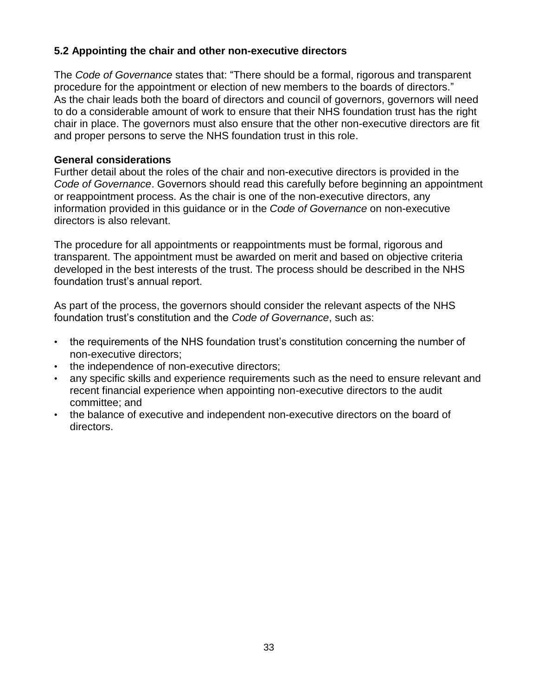# **5.2 Appointing the chair and other non-executive directors**

The *Code of Governance* states that: "There should be a formal, rigorous and transparent procedure for the appointment or election of new members to the boards of directors." As the chair leads both the board of directors and council of governors, governors will need to do a considerable amount of work to ensure that their NHS foundation trust has the right chair in place. The governors must also ensure that the other non-executive directors are fit and proper persons to serve the NHS foundation trust in this role.

#### **General considerations**

Further detail about the roles of the chair and non-executive directors is provided in the *Code of Governance*. Governors should read this carefully before beginning an appointment or reappointment process. As the chair is one of the non-executive directors, any information provided in this guidance or in the *Code of Governance* on non-executive directors is also relevant.

The procedure for all appointments or reappointments must be formal, rigorous and transparent. The appointment must be awarded on merit and based on objective criteria developed in the best interests of the trust. The process should be described in the NHS foundation trust's annual report.

As part of the process, the governors should consider the relevant aspects of the NHS foundation trust's constitution and the *Code of Governance*, such as:

- the requirements of the NHS foundation trust's constitution concerning the number of non-executive directors;
- the independence of non-executive directors;
- any specific skills and experience requirements such as the need to ensure relevant and recent financial experience when appointing non-executive directors to the audit committee; and
- the balance of executive and independent non-executive directors on the board of directors.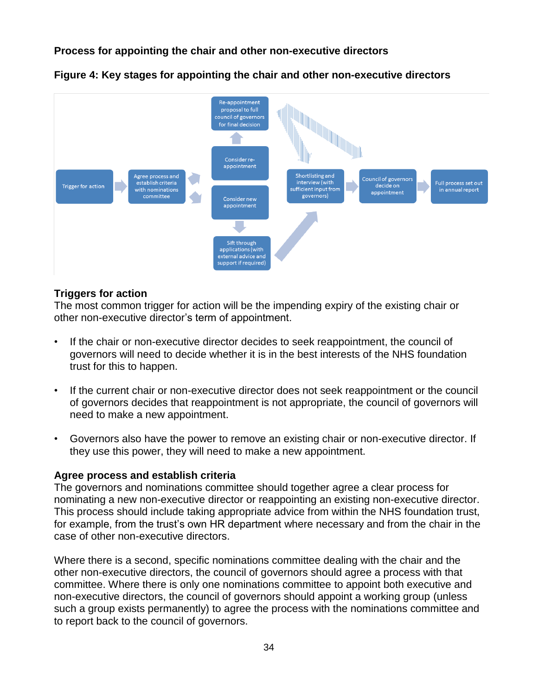## **Process for appointing the chair and other non-executive directors**



**Figure 4: Key stages for appointing the chair and other non-executive directors**

#### **Triggers for action**

The most common trigger for action will be the impending expiry of the existing chair or other non-executive director's term of appointment.

- If the chair or non-executive director decides to seek reappointment, the council of governors will need to decide whether it is in the best interests of the NHS foundation trust for this to happen.
- If the current chair or non-executive director does not seek reappointment or the council of governors decides that reappointment is not appropriate, the council of governors will need to make a new appointment.
- Governors also have the power to remove an existing chair or non-executive director. If they use this power, they will need to make a new appointment.

#### **Agree process and establish criteria**

The governors and nominations committee should together agree a clear process for nominating a new non-executive director or reappointing an existing non-executive director. This process should include taking appropriate advice from within the NHS foundation trust, for example, from the trust's own HR department where necessary and from the chair in the case of other non-executive directors.

Where there is a second, specific nominations committee dealing with the chair and the other non-executive directors, the council of governors should agree a process with that committee. Where there is only one nominations committee to appoint both executive and non-executive directors, the council of governors should appoint a working group (unless such a group exists permanently) to agree the process with the nominations committee and to report back to the council of governors.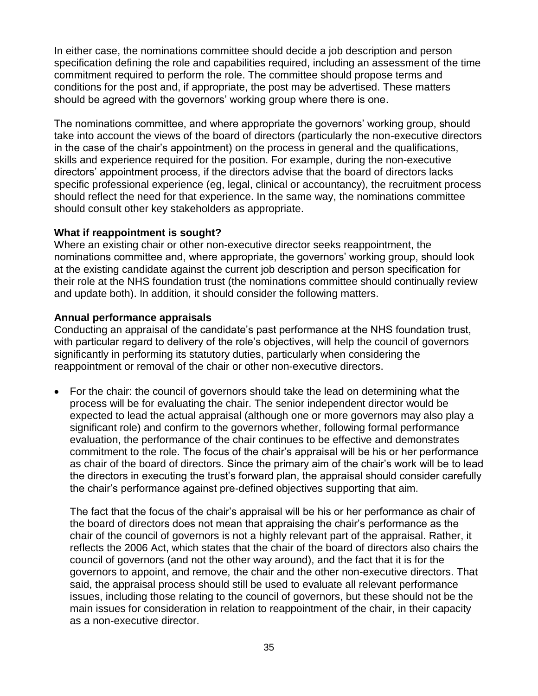In either case, the nominations committee should decide a job description and person specification defining the role and capabilities required, including an assessment of the time commitment required to perform the role. The committee should propose terms and conditions for the post and, if appropriate, the post may be advertised. These matters should be agreed with the governors' working group where there is one.

The nominations committee, and where appropriate the governors' working group, should take into account the views of the board of directors (particularly the non-executive directors in the case of the chair's appointment) on the process in general and the qualifications, skills and experience required for the position. For example, during the non-executive directors' appointment process, if the directors advise that the board of directors lacks specific professional experience (eg, legal, clinical or accountancy), the recruitment process should reflect the need for that experience. In the same way, the nominations committee should consult other key stakeholders as appropriate.

#### **What if reappointment is sought?**

Where an existing chair or other non-executive director seeks reappointment, the nominations committee and, where appropriate, the governors' working group, should look at the existing candidate against the current job description and person specification for their role at the NHS foundation trust (the nominations committee should continually review and update both). In addition, it should consider the following matters.

#### **Annual performance appraisals**

Conducting an appraisal of the candidate's past performance at the NHS foundation trust, with particular regard to delivery of the role's objectives, will help the council of governors significantly in performing its statutory duties, particularly when considering the reappointment or removal of the chair or other non-executive directors.

 For the chair: the council of governors should take the lead on determining what the process will be for evaluating the chair. The senior independent director would be expected to lead the actual appraisal (although one or more governors may also play a significant role) and confirm to the governors whether, following formal performance evaluation, the performance of the chair continues to be effective and demonstrates commitment to the role. The focus of the chair's appraisal will be his or her performance as chair of the board of directors. Since the primary aim of the chair's work will be to lead the directors in executing the trust's forward plan, the appraisal should consider carefully the chair's performance against pre-defined objectives supporting that aim.

The fact that the focus of the chair's appraisal will be his or her performance as chair of the board of directors does not mean that appraising the chair's performance as the chair of the council of governors is not a highly relevant part of the appraisal. Rather, it reflects the 2006 Act, which states that the chair of the board of directors also chairs the council of governors (and not the other way around), and the fact that it is for the governors to appoint, and remove, the chair and the other non-executive directors. That said, the appraisal process should still be used to evaluate all relevant performance issues, including those relating to the council of governors, but these should not be the main issues for consideration in relation to reappointment of the chair, in their capacity as a non-executive director.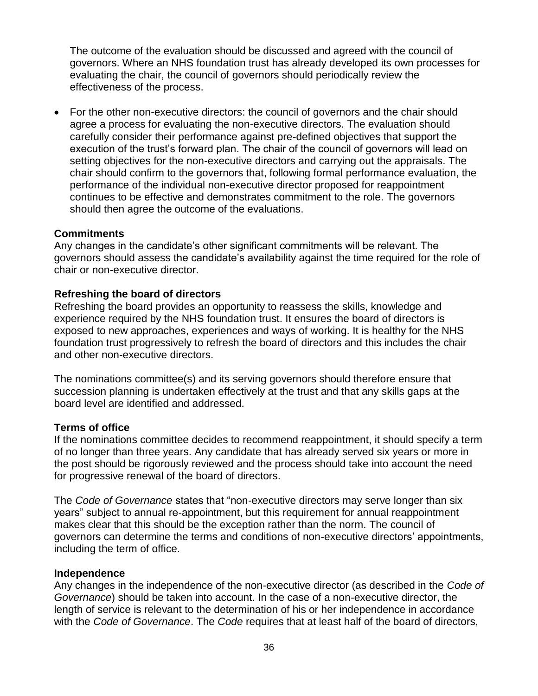The outcome of the evaluation should be discussed and agreed with the council of governors. Where an NHS foundation trust has already developed its own processes for evaluating the chair, the council of governors should periodically review the effectiveness of the process.

 For the other non-executive directors: the council of governors and the chair should agree a process for evaluating the non-executive directors. The evaluation should carefully consider their performance against pre-defined objectives that support the execution of the trust's forward plan. The chair of the council of governors will lead on setting objectives for the non-executive directors and carrying out the appraisals. The chair should confirm to the governors that, following formal performance evaluation, the performance of the individual non-executive director proposed for reappointment continues to be effective and demonstrates commitment to the role. The governors should then agree the outcome of the evaluations.

### **Commitments**

Any changes in the candidate's other significant commitments will be relevant. The governors should assess the candidate's availability against the time required for the role of chair or non-executive director.

### **Refreshing the board of directors**

Refreshing the board provides an opportunity to reassess the skills, knowledge and experience required by the NHS foundation trust. It ensures the board of directors is exposed to new approaches, experiences and ways of working. It is healthy for the NHS foundation trust progressively to refresh the board of directors and this includes the chair and other non-executive directors.

The nominations committee(s) and its serving governors should therefore ensure that succession planning is undertaken effectively at the trust and that any skills gaps at the board level are identified and addressed.

### **Terms of office**

If the nominations committee decides to recommend reappointment, it should specify a term of no longer than three years. Any candidate that has already served six years or more in the post should be rigorously reviewed and the process should take into account the need for progressive renewal of the board of directors.

The *Code of Governance* states that "non-executive directors may serve longer than six years" subject to annual re-appointment, but this requirement for annual reappointment makes clear that this should be the exception rather than the norm. The council of governors can determine the terms and conditions of non-executive directors' appointments, including the term of office.

### **Independence**

Any changes in the independence of the non-executive director (as described in the *Code of Governance*) should be taken into account. In the case of a non-executive director, the length of service is relevant to the determination of his or her independence in accordance with the *Code of Governance*. The *Code* requires that at least half of the board of directors,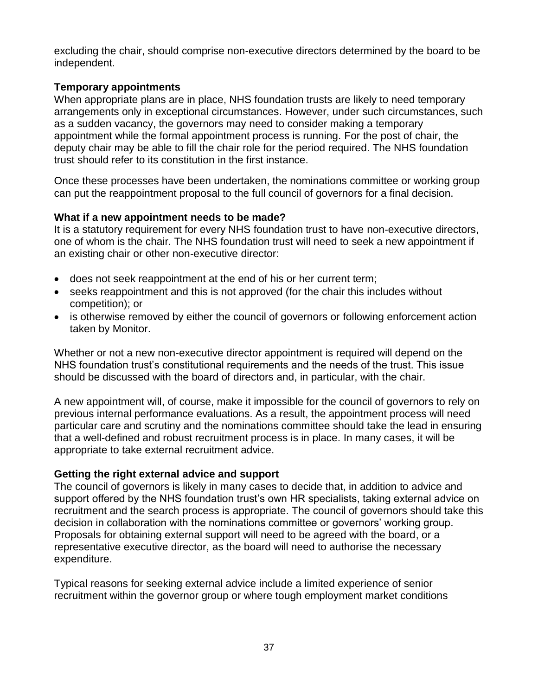excluding the chair, should comprise non-executive directors determined by the board to be independent.

## **Temporary appointments**

When appropriate plans are in place, NHS foundation trusts are likely to need temporary arrangements only in exceptional circumstances. However, under such circumstances, such as a sudden vacancy, the governors may need to consider making a temporary appointment while the formal appointment process is running. For the post of chair, the deputy chair may be able to fill the chair role for the period required. The NHS foundation trust should refer to its constitution in the first instance.

Once these processes have been undertaken, the nominations committee or working group can put the reappointment proposal to the full council of governors for a final decision.

# **What if a new appointment needs to be made?**

It is a statutory requirement for every NHS foundation trust to have non-executive directors, one of whom is the chair. The NHS foundation trust will need to seek a new appointment if an existing chair or other non-executive director:

- does not seek reappointment at the end of his or her current term;
- seeks reappointment and this is not approved (for the chair this includes without competition); or
- is otherwise removed by either the council of governors or following enforcement action taken by Monitor.

Whether or not a new non-executive director appointment is required will depend on the NHS foundation trust's constitutional requirements and the needs of the trust. This issue should be discussed with the board of directors and, in particular, with the chair.

A new appointment will, of course, make it impossible for the council of governors to rely on previous internal performance evaluations. As a result, the appointment process will need particular care and scrutiny and the nominations committee should take the lead in ensuring that a well-defined and robust recruitment process is in place. In many cases, it will be appropriate to take external recruitment advice.

# **Getting the right external advice and support**

The council of governors is likely in many cases to decide that, in addition to advice and support offered by the NHS foundation trust's own HR specialists, taking external advice on recruitment and the search process is appropriate. The council of governors should take this decision in collaboration with the nominations committee or governors' working group. Proposals for obtaining external support will need to be agreed with the board, or a representative executive director, as the board will need to authorise the necessary expenditure.

Typical reasons for seeking external advice include a limited experience of senior recruitment within the governor group or where tough employment market conditions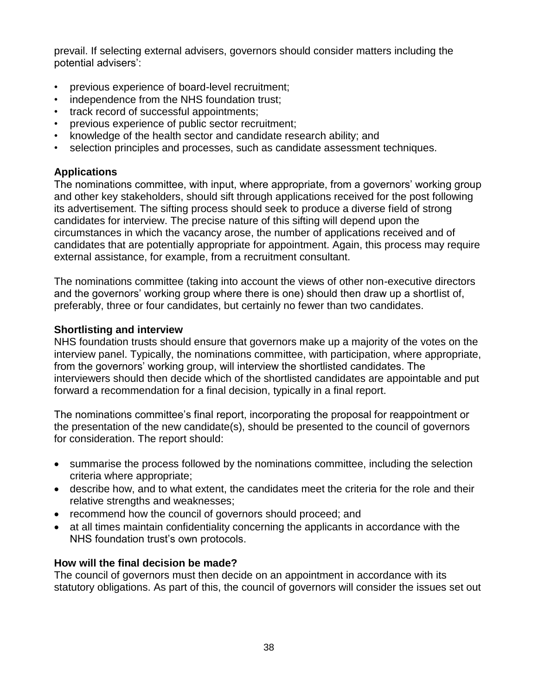prevail. If selecting external advisers, governors should consider matters including the potential advisers':

- previous experience of board-level recruitment;
- independence from the NHS foundation trust;
- track record of successful appointments;
- previous experience of public sector recruitment;
- knowledge of the health sector and candidate research ability; and
- selection principles and processes, such as candidate assessment techniques.

## **Applications**

The nominations committee, with input, where appropriate, from a governors' working group and other key stakeholders, should sift through applications received for the post following its advertisement. The sifting process should seek to produce a diverse field of strong candidates for interview. The precise nature of this sifting will depend upon the circumstances in which the vacancy arose, the number of applications received and of candidates that are potentially appropriate for appointment. Again, this process may require external assistance, for example, from a recruitment consultant.

The nominations committee (taking into account the views of other non-executive directors and the governors' working group where there is one) should then draw up a shortlist of, preferably, three or four candidates, but certainly no fewer than two candidates.

## **Shortlisting and interview**

NHS foundation trusts should ensure that governors make up a majority of the votes on the interview panel. Typically, the nominations committee, with participation, where appropriate, from the governors' working group, will interview the shortlisted candidates. The interviewers should then decide which of the shortlisted candidates are appointable and put forward a recommendation for a final decision, typically in a final report.

The nominations committee's final report, incorporating the proposal for reappointment or the presentation of the new candidate(s), should be presented to the council of governors for consideration. The report should:

- summarise the process followed by the nominations committee, including the selection criteria where appropriate;
- describe how, and to what extent, the candidates meet the criteria for the role and their relative strengths and weaknesses;
- recommend how the council of governors should proceed; and
- at all times maintain confidentiality concerning the applicants in accordance with the NHS foundation trust's own protocols.

## **How will the final decision be made?**

The council of governors must then decide on an appointment in accordance with its statutory obligations. As part of this, the council of governors will consider the issues set out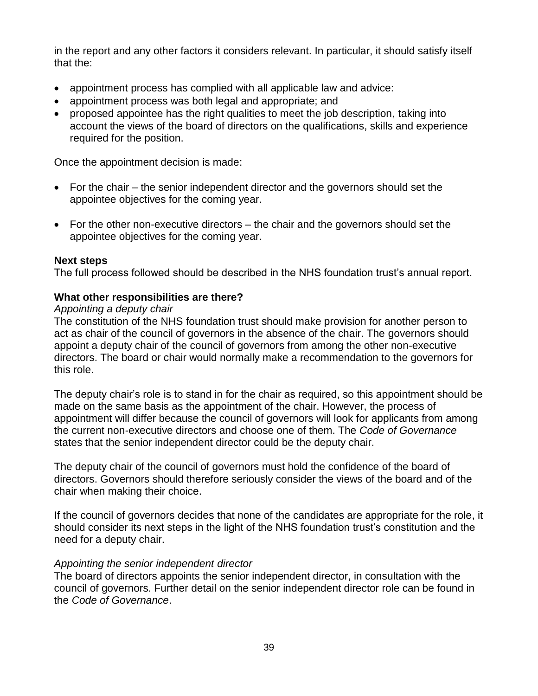in the report and any other factors it considers relevant. In particular, it should satisfy itself that the:

- appointment process has complied with all applicable law and advice:
- appointment process was both legal and appropriate; and
- proposed appointee has the right qualities to meet the job description, taking into account the views of the board of directors on the qualifications, skills and experience required for the position.

Once the appointment decision is made:

- For the chair the senior independent director and the governors should set the appointee objectives for the coming year.
- For the other non-executive directors the chair and the governors should set the appointee objectives for the coming year.

## **Next steps**

The full process followed should be described in the NHS foundation trust's annual report.

## **What other responsibilities are there?**

## *Appointing a deputy chair*

The constitution of the NHS foundation trust should make provision for another person to act as chair of the council of governors in the absence of the chair. The governors should appoint a deputy chair of the council of governors from among the other non-executive directors. The board or chair would normally make a recommendation to the governors for this role.

The deputy chair's role is to stand in for the chair as required, so this appointment should be made on the same basis as the appointment of the chair. However, the process of appointment will differ because the council of governors will look for applicants from among the current non-executive directors and choose one of them. The *Code of Governance*  states that the senior independent director could be the deputy chair.

The deputy chair of the council of governors must hold the confidence of the board of directors. Governors should therefore seriously consider the views of the board and of the chair when making their choice.

If the council of governors decides that none of the candidates are appropriate for the role, it should consider its next steps in the light of the NHS foundation trust's constitution and the need for a deputy chair.

## *Appointing the senior independent director*

The board of directors appoints the senior independent director, in consultation with the council of governors. Further detail on the senior independent director role can be found in the *Code of Governance*.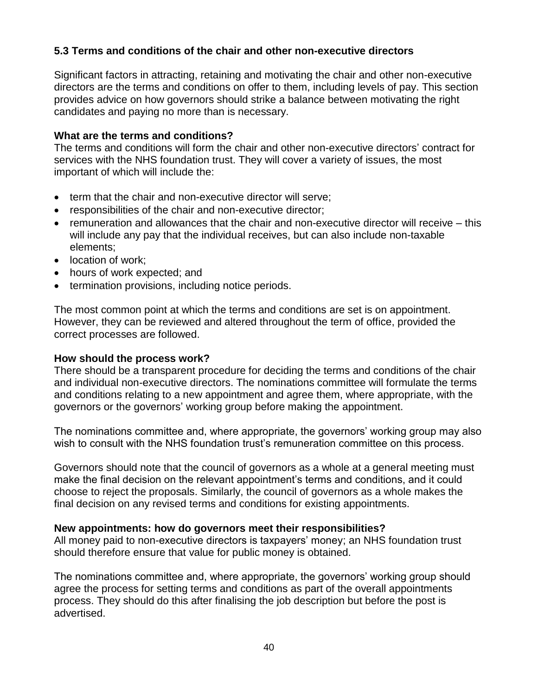# **5.3 Terms and conditions of the chair and other non-executive directors**

Significant factors in attracting, retaining and motivating the chair and other non-executive directors are the terms and conditions on offer to them, including levels of pay. This section provides advice on how governors should strike a balance between motivating the right candidates and paying no more than is necessary.

### **What are the terms and conditions?**

The terms and conditions will form the chair and other non-executive directors' contract for services with the NHS foundation trust. They will cover a variety of issues, the most important of which will include the:

- term that the chair and non-executive director will serve;
- responsibilities of the chair and non-executive director;
- remuneration and allowances that the chair and non-executive director will receive this will include any pay that the individual receives, but can also include non-taxable elements;
- location of work;
- hours of work expected; and
- termination provisions, including notice periods.

The most common point at which the terms and conditions are set is on appointment. However, they can be reviewed and altered throughout the term of office, provided the correct processes are followed.

### **How should the process work?**

There should be a transparent procedure for deciding the terms and conditions of the chair and individual non-executive directors. The nominations committee will formulate the terms and conditions relating to a new appointment and agree them, where appropriate, with the governors or the governors' working group before making the appointment.

The nominations committee and, where appropriate, the governors' working group may also wish to consult with the NHS foundation trust's remuneration committee on this process.

Governors should note that the council of governors as a whole at a general meeting must make the final decision on the relevant appointment's terms and conditions, and it could choose to reject the proposals. Similarly, the council of governors as a whole makes the final decision on any revised terms and conditions for existing appointments.

### **New appointments: how do governors meet their responsibilities?**

All money paid to non-executive directors is taxpayers' money; an NHS foundation trust should therefore ensure that value for public money is obtained.

The nominations committee and, where appropriate, the governors' working group should agree the process for setting terms and conditions as part of the overall appointments process. They should do this after finalising the job description but before the post is advertised.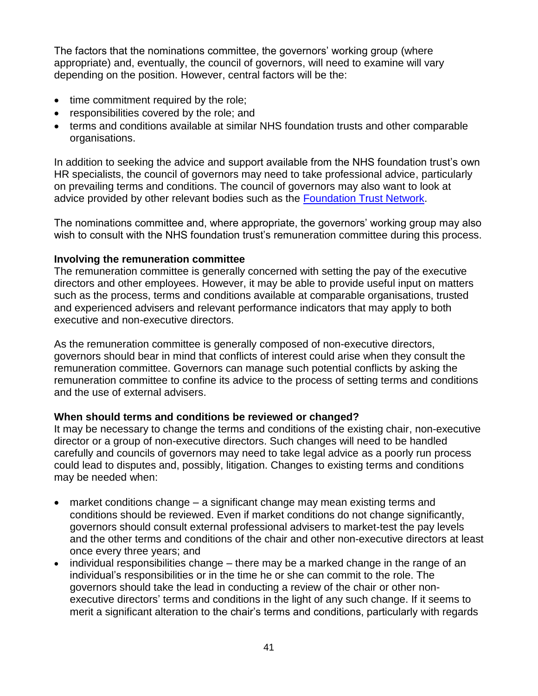The factors that the nominations committee, the governors' working group (where appropriate) and, eventually, the council of governors, will need to examine will vary depending on the position. However, central factors will be the:

- time commitment required by the role;
- responsibilities covered by the role; and
- terms and conditions available at similar NHS foundation trusts and other comparable organisations.

In addition to seeking the advice and support available from the NHS foundation trust's own HR specialists, the council of governors may need to take professional advice, particularly on prevailing terms and conditions. The council of governors may also want to look at advice provided by other relevant bodies such as the [Foundation Trust Network.](http://www.foundationtrustnetwork.org/home/)

The nominations committee and, where appropriate, the governors' working group may also wish to consult with the NHS foundation trust's remuneration committee during this process.

## **Involving the remuneration committee**

The remuneration committee is generally concerned with setting the pay of the executive directors and other employees. However, it may be able to provide useful input on matters such as the process, terms and conditions available at comparable organisations, trusted and experienced advisers and relevant performance indicators that may apply to both executive and non-executive directors.

As the remuneration committee is generally composed of non-executive directors, governors should bear in mind that conflicts of interest could arise when they consult the remuneration committee. Governors can manage such potential conflicts by asking the remuneration committee to confine its advice to the process of setting terms and conditions and the use of external advisers.

# **When should terms and conditions be reviewed or changed?**

It may be necessary to change the terms and conditions of the existing chair, non-executive director or a group of non-executive directors. Such changes will need to be handled carefully and councils of governors may need to take legal advice as a poorly run process could lead to disputes and, possibly, litigation. Changes to existing terms and conditions may be needed when:

- market conditions change a significant change may mean existing terms and conditions should be reviewed. Even if market conditions do not change significantly, governors should consult external professional advisers to market-test the pay levels and the other terms and conditions of the chair and other non-executive directors at least once every three years; and
- individual responsibilities change there may be a marked change in the range of an individual's responsibilities or in the time he or she can commit to the role. The governors should take the lead in conducting a review of the chair or other nonexecutive directors' terms and conditions in the light of any such change. If it seems to merit a significant alteration to the chair's terms and conditions, particularly with regards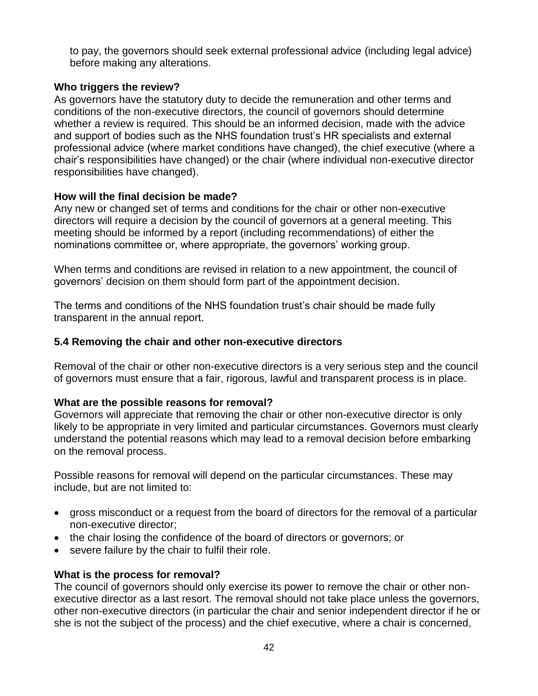to pay, the governors should seek external professional advice (including legal advice) before making any alterations.

## **Who triggers the review?**

As governors have the statutory duty to decide the remuneration and other terms and conditions of the non-executive directors, the council of governors should determine whether a review is required. This should be an informed decision, made with the advice and support of bodies such as the NHS foundation trust's HR specialists and external professional advice (where market conditions have changed), the chief executive (where a chair's responsibilities have changed) or the chair (where individual non-executive director responsibilities have changed).

## **How will the final decision be made?**

Any new or changed set of terms and conditions for the chair or other non-executive directors will require a decision by the council of governors at a general meeting. This meeting should be informed by a report (including recommendations) of either the nominations committee or, where appropriate, the governors' working group.

When terms and conditions are revised in relation to a new appointment, the council of governors' decision on them should form part of the appointment decision.

The terms and conditions of the NHS foundation trust's chair should be made fully transparent in the annual report.

## **5.4 Removing the chair and other non-executive directors**

Removal of the chair or other non-executive directors is a very serious step and the council of governors must ensure that a fair, rigorous, lawful and transparent process is in place.

# **What are the possible reasons for removal?**

Governors will appreciate that removing the chair or other non-executive director is only likely to be appropriate in very limited and particular circumstances. Governors must clearly understand the potential reasons which may lead to a removal decision before embarking on the removal process.

Possible reasons for removal will depend on the particular circumstances. These may include, but are not limited to:

- gross misconduct or a request from the board of directors for the removal of a particular non-executive director;
- the chair losing the confidence of the board of directors or governors; or
- severe failure by the chair to fulfil their role.

# **What is the process for removal?**

The council of governors should only exercise its power to remove the chair or other nonexecutive director as a last resort. The removal should not take place unless the governors, other non-executive directors (in particular the chair and senior independent director if he or she is not the subject of the process) and the chief executive, where a chair is concerned,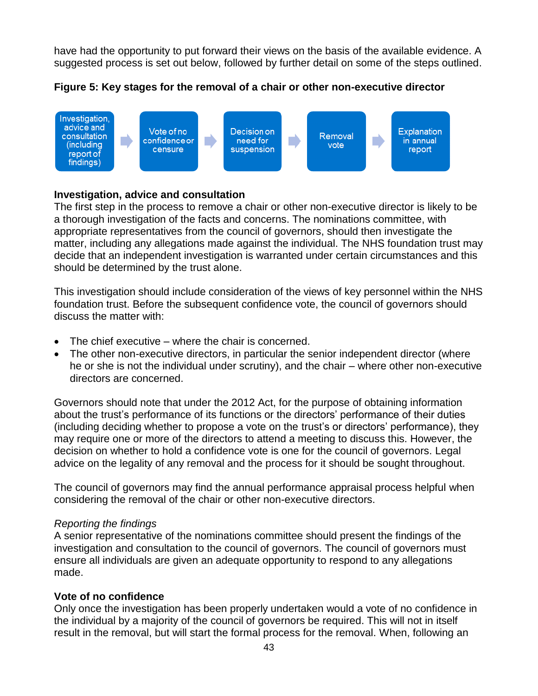have had the opportunity to put forward their views on the basis of the available evidence. A suggested process is set out below, followed by further detail on some of the steps outlined.

**Figure 5: Key stages for the removal of a chair or other non-executive director**



## **Investigation, advice and consultation**

The first step in the process to remove a chair or other non-executive director is likely to be a thorough investigation of the facts and concerns. The nominations committee, with appropriate representatives from the council of governors, should then investigate the matter, including any allegations made against the individual. The NHS foundation trust may decide that an independent investigation is warranted under certain circumstances and this should be determined by the trust alone.

This investigation should include consideration of the views of key personnel within the NHS foundation trust. Before the subsequent confidence vote, the council of governors should discuss the matter with:

- The chief executive where the chair is concerned.
- The other non-executive directors, in particular the senior independent director (where he or she is not the individual under scrutiny), and the chair – where other non-executive directors are concerned.

Governors should note that under the 2012 Act, for the purpose of obtaining information about the trust's performance of its functions or the directors' performance of their duties (including deciding whether to propose a vote on the trust's or directors' performance), they may require one or more of the directors to attend a meeting to discuss this. However, the decision on whether to hold a confidence vote is one for the council of governors. Legal advice on the legality of any removal and the process for it should be sought throughout.

The council of governors may find the annual performance appraisal process helpful when considering the removal of the chair or other non-executive directors.

## *Reporting the findings*

A senior representative of the nominations committee should present the findings of the investigation and consultation to the council of governors. The council of governors must ensure all individuals are given an adequate opportunity to respond to any allegations made.

## **Vote of no confidence**

Only once the investigation has been properly undertaken would a vote of no confidence in the individual by a majority of the council of governors be required. This will not in itself result in the removal, but will start the formal process for the removal. When, following an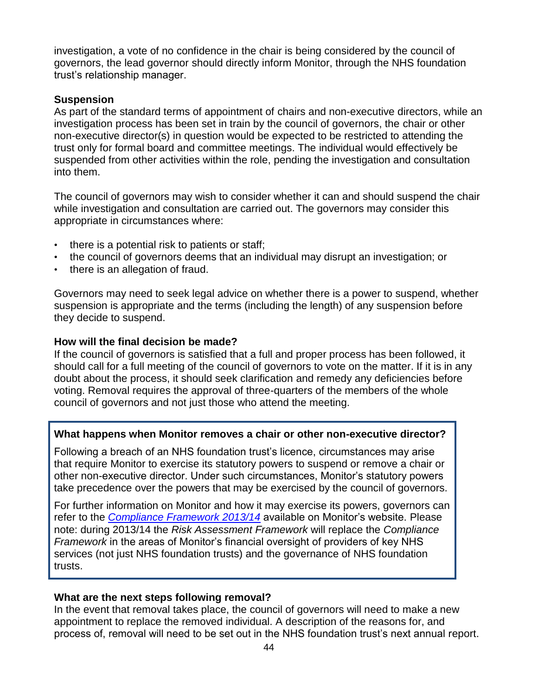investigation, a vote of no confidence in the chair is being considered by the council of governors, the lead governor should directly inform Monitor, through the NHS foundation trust's relationship manager.

## **Suspension**

As part of the standard terms of appointment of chairs and non-executive directors, while an investigation process has been set in train by the council of governors, the chair or other non-executive director(s) in question would be expected to be restricted to attending the trust only for formal board and committee meetings. The individual would effectively be suspended from other activities within the role, pending the investigation and consultation into them.

The council of governors may wish to consider whether it can and should suspend the chair while investigation and consultation are carried out. The governors may consider this appropriate in circumstances where:

- there is a potential risk to patients or staff;
- the council of governors deems that an individual may disrupt an investigation; or
- there is an allegation of fraud.

Governors may need to seek legal advice on whether there is a power to suspend, whether suspension is appropriate and the terms (including the length) of any suspension before they decide to suspend.

## **How will the final decision be made?**

If the council of governors is satisfied that a full and proper process has been followed, it should call for a full meeting of the council of governors to vote on the matter. If it is in any doubt about the process, it should seek clarification and remedy any deficiencies before voting. Removal requires the approval of three-quarters of the members of the whole council of governors and not just those who attend the meeting.

## **What happens when Monitor removes a chair or other non-executive director?**

Following a breach of an NHS foundation trust's licence, circumstances may arise that require Monitor to exercise its statutory powers to suspend or remove a chair or other non-executive director. Under such circumstances, Monitor's statutory powers take precedence over the powers that may be exercised by the council of governors.

For further information on Monitor and how it may exercise its powers, governors can refer to the *[Compliance Framework](http://www.monitor-nhsft.gov.uk/home/news-events-and-publications/our-publications/browse-category/guidance-foundation-trusts/mandat-7) 2013/14* available on Monitor's website. Please note: during 2013/14 the *Risk Assessment Framework* will replace the *Compliance Framework* in the areas of Monitor's financial oversight of providers of key NHS services (not just NHS foundation trusts) and the governance of NHS foundation trusts.

## **What are the next steps following removal?**

In the event that removal takes place, the council of governors will need to make a new appointment to replace the removed individual. A description of the reasons for, and process of, removal will need to be set out in the NHS foundation trust's next annual report.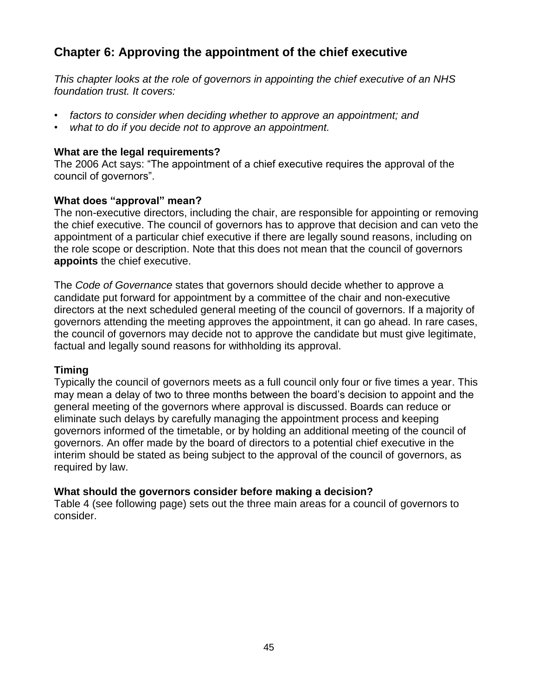# **Chapter 6: Approving the appointment of the chief executive**

*This chapter looks at the role of governors in appointing the chief executive of an NHS foundation trust. It covers:*

- *factors to consider when deciding whether to approve an appointment; and*
- *what to do if you decide not to approve an appointment.*

## **What are the legal requirements?**

The 2006 Act says: "The appointment of a chief executive requires the approval of the council of governors".

## **What does "approval" mean?**

The non-executive directors, including the chair, are responsible for appointing or removing the chief executive. The council of governors has to approve that decision and can veto the appointment of a particular chief executive if there are legally sound reasons, including on the role scope or description. Note that this does not mean that the council of governors **appoints** the chief executive.

The *Code of Governance* states that governors should decide whether to approve a candidate put forward for appointment by a committee of the chair and non-executive directors at the next scheduled general meeting of the council of governors. If a majority of governors attending the meeting approves the appointment, it can go ahead. In rare cases, the council of governors may decide not to approve the candidate but must give legitimate, factual and legally sound reasons for withholding its approval.

# **Timing**

Typically the council of governors meets as a full council only four or five times a year. This may mean a delay of two to three months between the board's decision to appoint and the general meeting of the governors where approval is discussed. Boards can reduce or eliminate such delays by carefully managing the appointment process and keeping governors informed of the timetable, or by holding an additional meeting of the council of governors. An offer made by the board of directors to a potential chief executive in the interim should be stated as being subject to the approval of the council of governors, as required by law.

# **What should the governors consider before making a decision?**

Table 4 (see following page) sets out the three main areas for a council of governors to consider.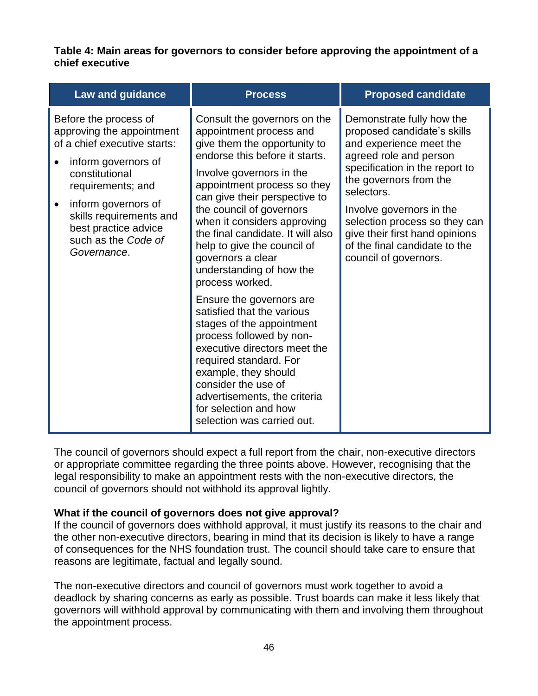**Table 4: Main areas for governors to consider before approving the appointment of a chief executive**

| <b>Law and guidance</b>                                                                                                                                                                                                                                          | <b>Process</b>                                                                                                                                                                                                                                                                                                                                                                                                                                       | <b>Proposed candidate</b>                                                                                                                                                                                                                                                                                                                        |
|------------------------------------------------------------------------------------------------------------------------------------------------------------------------------------------------------------------------------------------------------------------|------------------------------------------------------------------------------------------------------------------------------------------------------------------------------------------------------------------------------------------------------------------------------------------------------------------------------------------------------------------------------------------------------------------------------------------------------|--------------------------------------------------------------------------------------------------------------------------------------------------------------------------------------------------------------------------------------------------------------------------------------------------------------------------------------------------|
| Before the process of<br>approving the appointment<br>of a chief executive starts:<br>inform governors of<br>constitutional<br>requirements; and<br>inform governors of<br>skills requirements and<br>best practice advice<br>such as the Code of<br>Governance. | Consult the governors on the<br>appointment process and<br>give them the opportunity to<br>endorse this before it starts.<br>Involve governors in the<br>appointment process so they<br>can give their perspective to<br>the council of governors<br>when it considers approving<br>the final candidate. It will also<br>help to give the council of<br>governors a clear<br>understanding of how the<br>process worked.<br>Ensure the governors are | Demonstrate fully how the<br>proposed candidate's skills<br>and experience meet the<br>agreed role and person<br>specification in the report to<br>the governors from the<br>selectors.<br>Involve governors in the<br>selection process so they can<br>give their first hand opinions<br>of the final candidate to the<br>council of governors. |
|                                                                                                                                                                                                                                                                  | satisfied that the various<br>stages of the appointment<br>process followed by non-<br>executive directors meet the<br>required standard. For<br>example, they should<br>consider the use of<br>advertisements, the criteria<br>for selection and how<br>selection was carried out.                                                                                                                                                                  |                                                                                                                                                                                                                                                                                                                                                  |

The council of governors should expect a full report from the chair, non-executive directors or appropriate committee regarding the three points above. However, recognising that the legal responsibility to make an appointment rests with the non-executive directors, the council of governors should not withhold its approval lightly.

## **What if the council of governors does not give approval?**

If the council of governors does withhold approval, it must justify its reasons to the chair and the other non-executive directors, bearing in mind that its decision is likely to have a range of consequences for the NHS foundation trust. The council should take care to ensure that reasons are legitimate, factual and legally sound.

The non-executive directors and council of governors must work together to avoid a deadlock by sharing concerns as early as possible. Trust boards can make it less likely that governors will withhold approval by communicating with them and involving them throughout the appointment process.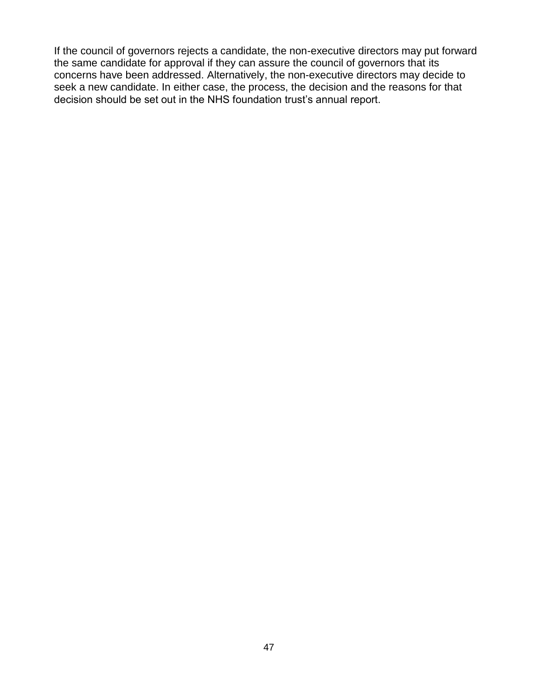If the council of governors rejects a candidate, the non-executive directors may put forward the same candidate for approval if they can assure the council of governors that its concerns have been addressed. Alternatively, the non-executive directors may decide to seek a new candidate. In either case, the process, the decision and the reasons for that decision should be set out in the NHS foundation trust's annual report.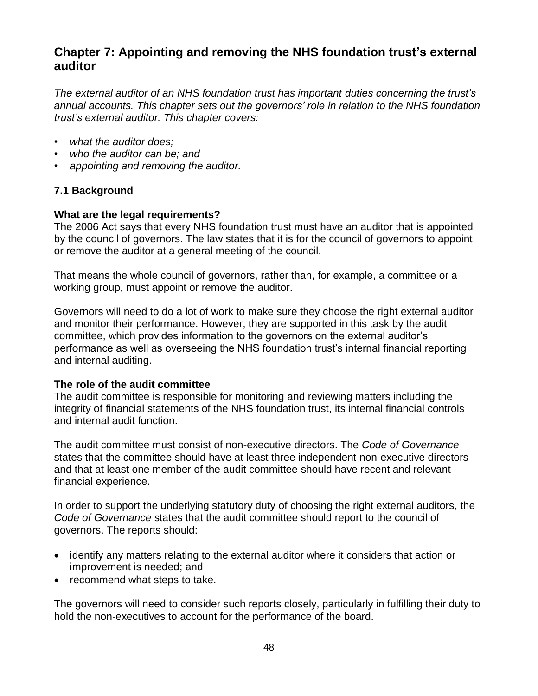# **Chapter 7: Appointing and removing the NHS foundation trust's external auditor**

*The external auditor of an NHS foundation trust has important duties concerning the trust's annual accounts. This chapter sets out the governors' role in relation to the NHS foundation trust's external auditor. This chapter covers:*

- *what the auditor does;*
- *who the auditor can be; and*
- *appointing and removing the auditor.*

# **7.1 Background**

# **What are the legal requirements?**

The 2006 Act says that every NHS foundation trust must have an auditor that is appointed by the council of governors. The law states that it is for the council of governors to appoint or remove the auditor at a general meeting of the council.

That means the whole council of governors, rather than, for example, a committee or a working group, must appoint or remove the auditor.

Governors will need to do a lot of work to make sure they choose the right external auditor and monitor their performance. However, they are supported in this task by the audit committee, which provides information to the governors on the external auditor's performance as well as overseeing the NHS foundation trust's internal financial reporting and internal auditing.

## **The role of the audit committee**

The audit committee is responsible for monitoring and reviewing matters including the integrity of financial statements of the NHS foundation trust, its internal financial controls and internal audit function.

The audit committee must consist of non-executive directors. The *Code of Governance*  states that the committee should have at least three independent non-executive directors and that at least one member of the audit committee should have recent and relevant financial experience.

In order to support the underlying statutory duty of choosing the right external auditors, the *Code of Governance* states that the audit committee should report to the council of governors. The reports should:

- identify any matters relating to the external auditor where it considers that action or improvement is needed; and
- recommend what steps to take.

The governors will need to consider such reports closely, particularly in fulfilling their duty to hold the non-executives to account for the performance of the board.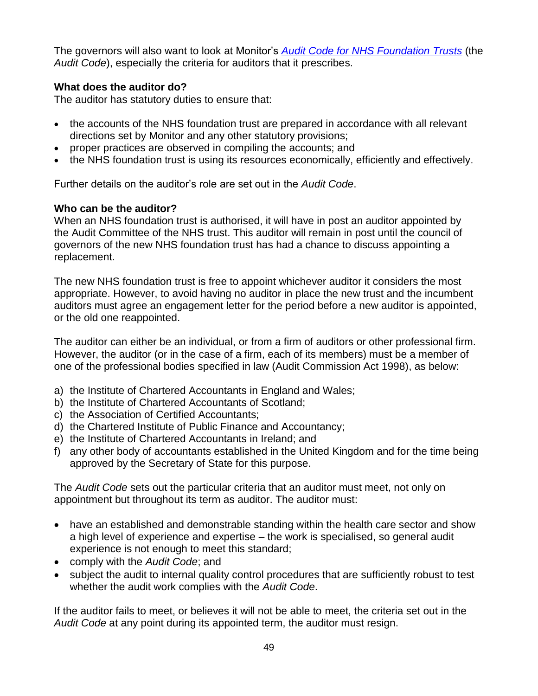The governors will also want to look at Monitor's *[Audit Code for NHS Foundation](http://www.monitor-nhsft.gov.uk/home/our-publications/browse-category/guidance-foundation-trusts/mandatory-guidance/audit-code-nhs-f) Trusts* (the *Audit Code*), especially the criteria for auditors that it prescribes.

## **What does the auditor do?**

The auditor has statutory duties to ensure that:

- the accounts of the NHS foundation trust are prepared in accordance with all relevant directions set by Monitor and any other statutory provisions;
- proper practices are observed in compiling the accounts; and
- the NHS foundation trust is using its resources economically, efficiently and effectively.

Further details on the auditor's role are set out in the *Audit Code*.

## **Who can be the auditor?**

When an NHS foundation trust is authorised, it will have in post an auditor appointed by the Audit Committee of the NHS trust. This auditor will remain in post until the council of governors of the new NHS foundation trust has had a chance to discuss appointing a replacement.

The new NHS foundation trust is free to appoint whichever auditor it considers the most appropriate. However, to avoid having no auditor in place the new trust and the incumbent auditors must agree an engagement letter for the period before a new auditor is appointed, or the old one reappointed.

The auditor can either be an individual, or from a firm of auditors or other professional firm. However, the auditor (or in the case of a firm, each of its members) must be a member of one of the professional bodies specified in law (Audit Commission Act 1998), as below:

- a) the Institute of Chartered Accountants in England and Wales;
- b) the Institute of Chartered Accountants of Scotland;
- c) the Association of Certified Accountants;
- d) the Chartered Institute of Public Finance and Accountancy;
- e) the Institute of Chartered Accountants in Ireland; and
- f) any other body of accountants established in the United Kingdom and for the time being approved by the Secretary of State for this purpose.

The *Audit Code* sets out the particular criteria that an auditor must meet, not only on appointment but throughout its term as auditor. The auditor must:

- have an established and demonstrable standing within the health care sector and show a high level of experience and expertise – the work is specialised, so general audit experience is not enough to meet this standard;
- comply with the *Audit Code*; and
- subject the audit to internal quality control procedures that are sufficiently robust to test whether the audit work complies with the *Audit Code*.

If the auditor fails to meet, or believes it will not be able to meet, the criteria set out in the *Audit Code* at any point during its appointed term, the auditor must resign.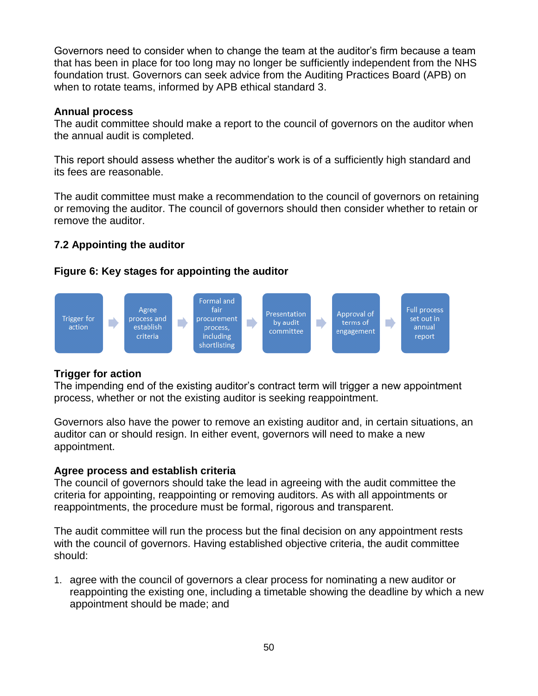Governors need to consider when to change the team at the auditor's firm because a team that has been in place for too long may no longer be sufficiently independent from the NHS foundation trust. Governors can seek advice from the Auditing Practices Board (APB) on when to rotate teams, informed by APB ethical standard 3.

### **Annual process**

The audit committee should make a report to the council of governors on the auditor when the annual audit is completed.

This report should assess whether the auditor's work is of a sufficiently high standard and its fees are reasonable.

The audit committee must make a recommendation to the council of governors on retaining or removing the auditor. The council of governors should then consider whether to retain or remove the auditor.

# **7.2 Appointing the auditor**

# **Figure 6: Key stages for appointing the auditor**



## **Trigger for action**

The impending end of the existing auditor's contract term will trigger a new appointment process, whether or not the existing auditor is seeking reappointment.

Governors also have the power to remove an existing auditor and, in certain situations, an auditor can or should resign. In either event, governors will need to make a new appointment.

## **Agree process and establish criteria**

The council of governors should take the lead in agreeing with the audit committee the criteria for appointing, reappointing or removing auditors. As with all appointments or reappointments, the procedure must be formal, rigorous and transparent.

The audit committee will run the process but the final decision on any appointment rests with the council of governors. Having established objective criteria, the audit committee should:

1. agree with the council of governors a clear process for nominating a new auditor or reappointing the existing one, including a timetable showing the deadline by which a new appointment should be made; and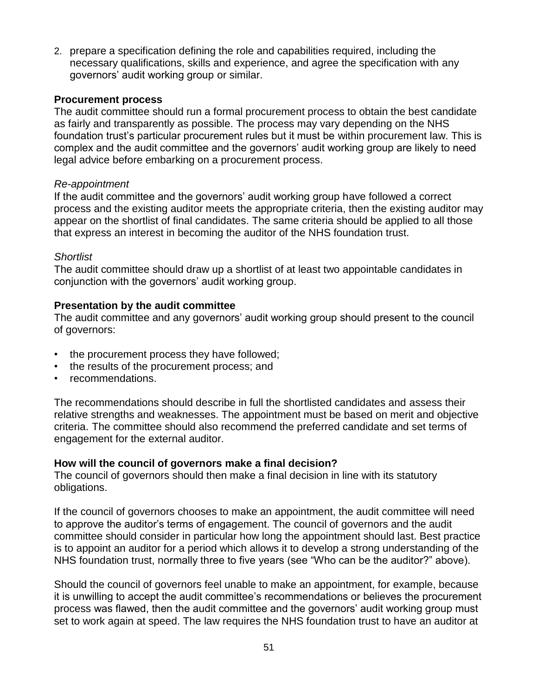2. prepare a specification defining the role and capabilities required, including the necessary qualifications, skills and experience, and agree the specification with any governors' audit working group or similar.

### **Procurement process**

The audit committee should run a formal procurement process to obtain the best candidate as fairly and transparently as possible. The process may vary depending on the NHS foundation trust's particular procurement rules but it must be within procurement law. This is complex and the audit committee and the governors' audit working group are likely to need legal advice before embarking on a procurement process.

### *Re-appointment*

If the audit committee and the governors' audit working group have followed a correct process and the existing auditor meets the appropriate criteria, then the existing auditor may appear on the shortlist of final candidates. The same criteria should be applied to all those that express an interest in becoming the auditor of the NHS foundation trust.

### *Shortlist*

The audit committee should draw up a shortlist of at least two appointable candidates in conjunction with the governors' audit working group.

## **Presentation by the audit committee**

The audit committee and any governors' audit working group should present to the council of governors:

- the procurement process they have followed;
- the results of the procurement process; and
- recommendations.

The recommendations should describe in full the shortlisted candidates and assess their relative strengths and weaknesses. The appointment must be based on merit and objective criteria. The committee should also recommend the preferred candidate and set terms of engagement for the external auditor.

## **How will the council of governors make a final decision?**

The council of governors should then make a final decision in line with its statutory obligations.

If the council of governors chooses to make an appointment, the audit committee will need to approve the auditor's terms of engagement. The council of governors and the audit committee should consider in particular how long the appointment should last. Best practice is to appoint an auditor for a period which allows it to develop a strong understanding of the NHS foundation trust, normally three to five years (see "Who can be the auditor?" above).

Should the council of governors feel unable to make an appointment, for example, because it is unwilling to accept the audit committee's recommendations or believes the procurement process was flawed, then the audit committee and the governors' audit working group must set to work again at speed. The law requires the NHS foundation trust to have an auditor at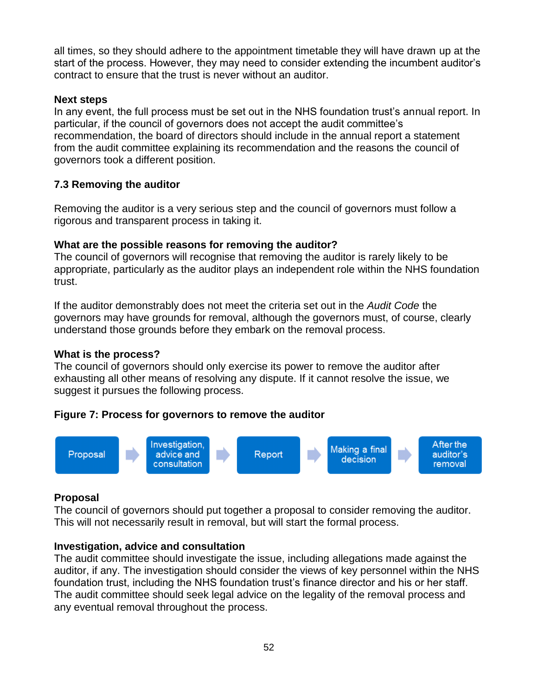all times, so they should adhere to the appointment timetable they will have drawn up at the start of the process. However, they may need to consider extending the incumbent auditor's contract to ensure that the trust is never without an auditor.

## **Next steps**

In any event, the full process must be set out in the NHS foundation trust's annual report. In particular, if the council of governors does not accept the audit committee's recommendation, the board of directors should include in the annual report a statement from the audit committee explaining its recommendation and the reasons the council of governors took a different position.

# **7.3 Removing the auditor**

Removing the auditor is a very serious step and the council of governors must follow a rigorous and transparent process in taking it.

# **What are the possible reasons for removing the auditor?**

The council of governors will recognise that removing the auditor is rarely likely to be appropriate, particularly as the auditor plays an independent role within the NHS foundation trust.

If the auditor demonstrably does not meet the criteria set out in the *Audit Code* the governors may have grounds for removal, although the governors must, of course, clearly understand those grounds before they embark on the removal process.

# **What is the process?**

The council of governors should only exercise its power to remove the auditor after exhausting all other means of resolving any dispute. If it cannot resolve the issue, we suggest it pursues the following process.

# **Figure 7: Process for governors to remove the auditor**



# **Proposal**

The council of governors should put together a proposal to consider removing the auditor. This will not necessarily result in removal, but will start the formal process.

# **Investigation, advice and consultation**

The audit committee should investigate the issue, including allegations made against the auditor, if any. The investigation should consider the views of key personnel within the NHS foundation trust, including the NHS foundation trust's finance director and his or her staff. The audit committee should seek legal advice on the legality of the removal process and any eventual removal throughout the process.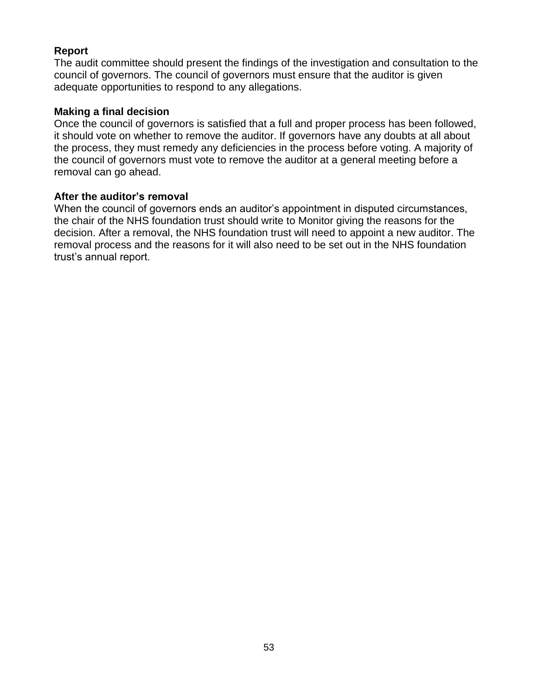## **Report**

The audit committee should present the findings of the investigation and consultation to the council of governors. The council of governors must ensure that the auditor is given adequate opportunities to respond to any allegations.

### **Making a final decision**

Once the council of governors is satisfied that a full and proper process has been followed, it should vote on whether to remove the auditor. If governors have any doubts at all about the process, they must remedy any deficiencies in the process before voting. A majority of the council of governors must vote to remove the auditor at a general meeting before a removal can go ahead.

### **After the auditor's removal**

When the council of governors ends an auditor's appointment in disputed circumstances, the chair of the NHS foundation trust should write to Monitor giving the reasons for the decision. After a removal, the NHS foundation trust will need to appoint a new auditor. The removal process and the reasons for it will also need to be set out in the NHS foundation trust's annual report.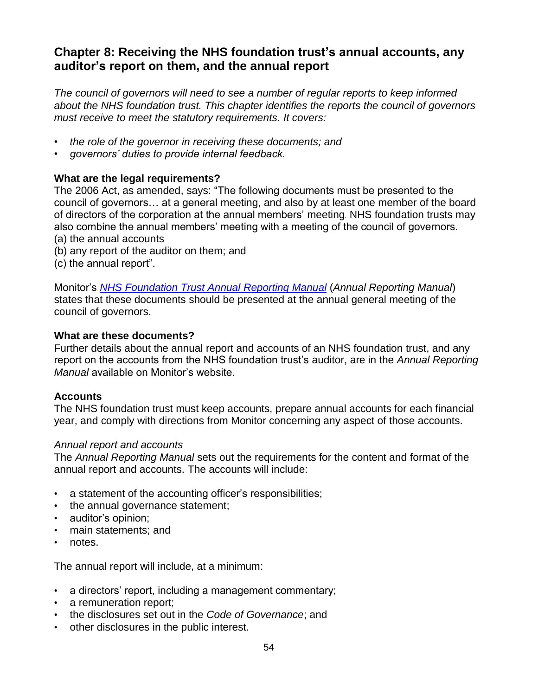# **Chapter 8: Receiving the NHS foundation trust's annual accounts, any auditor's report on them, and the annual report**

*The council of governors will need to see a number of regular reports to keep informed about the NHS foundation trust. This chapter identifies the reports the council of governors must receive to meet the statutory requirements. It covers:*

- *the role of the governor in receiving these documents; and*
- *governors' duties to provide internal feedback.*

### **What are the legal requirements?**

The 2006 Act, as amended, says: "The following documents must be presented to the council of governors… at a general meeting, and also by at least one member of the board of directors of the corporation at the annual members' meeting. NHS foundation trusts may also combine the annual members' meeting with a meeting of the council of governors. (a) the annual accounts

- (b) any report of the auditor on them; and
- (c) the annual report".

Monitor's *[NHS Foundation Trust Annual Reporting Manual](http://www.monitor-nhsft.gov.uk/home/news-events-publications/our-publications/browse-category/guidance-health-care-providers-and-co-25)* (*Annual Reporting Manual*) states that these documents should be presented at the annual general meeting of the council of governors.

### **What are these documents?**

Further details about the annual report and accounts of an NHS foundation trust, and any report on the accounts from the NHS foundation trust's auditor, are in the *Annual Reporting Manual* available on Monitor's website.

### **Accounts**

The NHS foundation trust must keep accounts, prepare annual accounts for each financial year, and comply with directions from Monitor concerning any aspect of those accounts.

### *Annual report and accounts*

The *Annual Reporting Manual* sets out the requirements for the content and format of the annual report and accounts. The accounts will include:

- a statement of the accounting officer's responsibilities;
- the annual governance statement;
- auditor's opinion;
- main statements; and
- notes.

The annual report will include, at a minimum:

- a directors' report, including a management commentary;
- a remuneration report:
- the disclosures set out in the *Code of Governance*; and
- other disclosures in the public interest.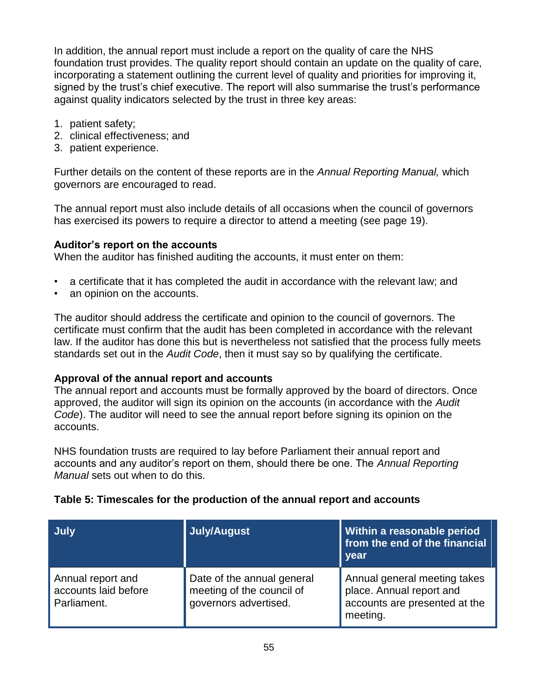In addition, the annual report must include a report on the quality of care the NHS foundation trust provides. The quality report should contain an update on the quality of care, incorporating a statement outlining the current level of quality and priorities for improving it, signed by the trust's chief executive. The report will also summarise the trust's performance against quality indicators selected by the trust in three key areas:

- 1. patient safety;
- 2. clinical effectiveness; and
- 3. patient experience.

Further details on the content of these reports are in the *Annual Reporting Manual,* which governors are encouraged to read.

The annual report must also include details of all occasions when the council of governors has exercised its powers to require a director to attend a meeting (see page 19).

### **Auditor's report on the accounts**

When the auditor has finished auditing the accounts, it must enter on them:

- a certificate that it has completed the audit in accordance with the relevant law; and
- an opinion on the accounts.

The auditor should address the certificate and opinion to the council of governors. The certificate must confirm that the audit has been completed in accordance with the relevant law. If the auditor has done this but is nevertheless not satisfied that the process fully meets standards set out in the *Audit Code*, then it must say so by qualifying the certificate.

### **Approval of the annual report and accounts**

The annual report and accounts must be formally approved by the board of directors. Once approved, the auditor will sign its opinion on the accounts (in accordance with the *Audit Code*). The auditor will need to see the annual report before signing its opinion on the accounts.

NHS foundation trusts are required to lay before Parliament their annual report and accounts and any auditor's report on them, should there be one. The *Annual Reporting Manual* sets out when to do this.

| July                                                     | <b>July/August</b>                                                               | <b>Within a reasonable period</b><br>from the end of the financial<br>year                            |
|----------------------------------------------------------|----------------------------------------------------------------------------------|-------------------------------------------------------------------------------------------------------|
| Annual report and<br>accounts laid before<br>Parliament. | Date of the annual general<br>meeting of the council of<br>governors advertised. | Annual general meeting takes<br>place. Annual report and<br>accounts are presented at the<br>meeting. |

## **Table 5: Timescales for the production of the annual report and accounts**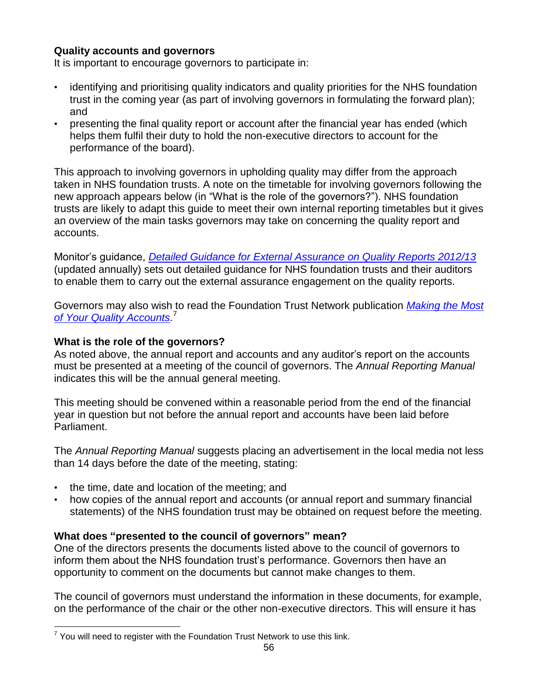## **Quality accounts and governors**

It is important to encourage governors to participate in:

- identifying and prioritising quality indicators and quality priorities for the NHS foundation trust in the coming year (as part of involving governors in formulating the forward plan); and
- presenting the final quality report or account after the financial year has ended (which helps them fulfil their duty to hold the non-executive directors to account for the performance of the board).

This approach to involving governors in upholding quality may differ from the approach taken in NHS foundation trusts. A note on the timetable for involving governors following the new approach appears below (in "What is the role of the governors?"). NHS foundation trusts are likely to adapt this guide to meet their own internal reporting timetables but it gives an overview of the main tasks governors may take on concerning the quality report and accounts.

Monitor's guidance, *[Detailed Guidance for External Assurance on Quality Reports 2012/13](http://www.monitor-nhsft.gov.uk/home/news-events-publications/our-publications/browse-category/guidance-health-care-providers-and-co-26)* (updated annually) sets out detailed guidance for NHS foundation trusts and their auditors to enable them to carry out the external assurance engagement on the quality reports.

Governors may also wish to read the Foundation Trust Network publication *[Making the Most](http://www.foundationtrustnetwork.org/resource-library/making-the-most-of-quality-accounts/)  [of Your Quality Accounts.](http://www.foundationtrustnetwork.org/resource-library/making-the-most-of-quality-accounts/)* 7

## **What is the role of the governors?**

 $\overline{a}$ 

As noted above, the annual report and accounts and any auditor's report on the accounts must be presented at a meeting of the council of governors. The *Annual Reporting Manual*  indicates this will be the annual general meeting.

This meeting should be convened within a reasonable period from the end of the financial year in question but not before the annual report and accounts have been laid before Parliament.

The *Annual Reporting Manual* suggests placing an advertisement in the local media not less than 14 days before the date of the meeting, stating:

- the time, date and location of the meeting; and
- how copies of the annual report and accounts (or annual report and summary financial statements) of the NHS foundation trust may be obtained on request before the meeting.

# **What does "presented to the council of governors" mean?**

One of the directors presents the documents listed above to the council of governors to inform them about the NHS foundation trust's performance. Governors then have an opportunity to comment on the documents but cannot make changes to them.

The council of governors must understand the information in these documents, for example, on the performance of the chair or the other non-executive directors. This will ensure it has

 $7$  You will need to register with the Foundation Trust Network to use this link.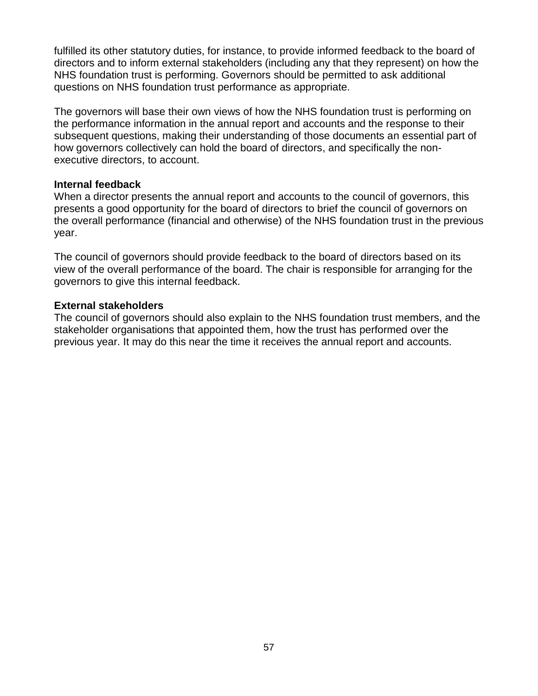fulfilled its other statutory duties, for instance, to provide informed feedback to the board of directors and to inform external stakeholders (including any that they represent) on how the NHS foundation trust is performing. Governors should be permitted to ask additional questions on NHS foundation trust performance as appropriate.

The governors will base their own views of how the NHS foundation trust is performing on the performance information in the annual report and accounts and the response to their subsequent questions, making their understanding of those documents an essential part of how governors collectively can hold the board of directors, and specifically the nonexecutive directors, to account.

### **Internal feedback**

When a director presents the annual report and accounts to the council of governors, this presents a good opportunity for the board of directors to brief the council of governors on the overall performance (financial and otherwise) of the NHS foundation trust in the previous year.

The council of governors should provide feedback to the board of directors based on its view of the overall performance of the board. The chair is responsible for arranging for the governors to give this internal feedback.

### **External stakeholders**

The council of governors should also explain to the NHS foundation trust members, and the stakeholder organisations that appointed them, how the trust has performed over the previous year. It may do this near the time it receives the annual report and accounts.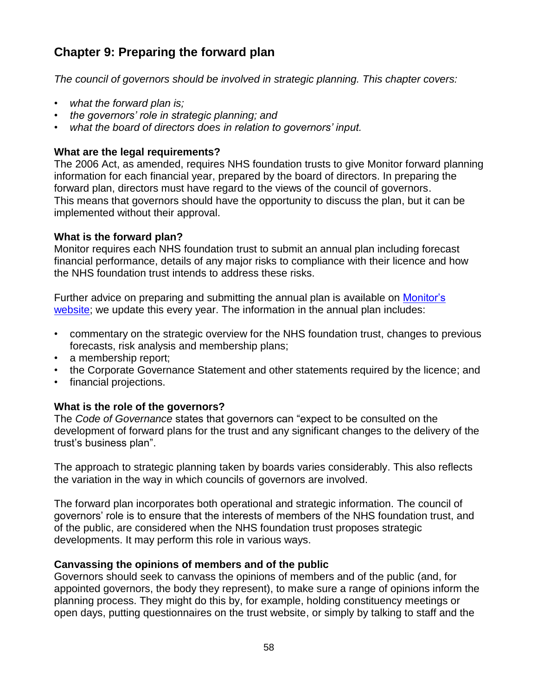# **Chapter 9: Preparing the forward plan**

*The council of governors should be involved in strategic planning. This chapter covers:*

- *what the forward plan is;*
- *the governors' role in strategic planning; and*
- *what the board of directors does in relation to governors' input.*

# **What are the legal requirements?**

The 2006 Act, as amended, requires NHS foundation trusts to give Monitor forward planning information for each financial year, prepared by the board of directors. In preparing the forward plan, directors must have regard to the views of the council of governors. This means that governors should have the opportunity to discuss the plan, but it can be implemented without their approval.

# **What is the forward plan?**

Monitor requires each NHS foundation trust to submit an annual plan including forecast financial performance, details of any major risks to compliance with their licence and how the NHS foundation trust intends to address these risks.

Further advice on preparing and submitting the annual plan is available on [Monitor's](http://www.monitor.gov.uk/APR13-14) [website;](http://www.monitor.gov.uk/APR13-14) we update this every year. The information in the annual plan includes:

- commentary on the strategic overview for the NHS foundation trust, changes to previous forecasts, risk analysis and membership plans;
- a membership report:
- the Corporate Governance Statement and other statements required by the licence; and
- financial projections.

# **What is the role of the governors?**

The *Code of Governance* states that governors can "expect to be consulted on the development of forward plans for the trust and any significant changes to the delivery of the trust's business plan".

The approach to strategic planning taken by boards varies considerably. This also reflects the variation in the way in which councils of governors are involved.

The forward plan incorporates both operational and strategic information. The council of governors' role is to ensure that the interests of members of the NHS foundation trust, and of the public, are considered when the NHS foundation trust proposes strategic developments. It may perform this role in various ways.

# **Canvassing the opinions of members and of the public**

Governors should seek to canvass the opinions of members and of the public (and, for appointed governors, the body they represent), to make sure a range of opinions inform the planning process. They might do this by, for example, holding constituency meetings or open days, putting questionnaires on the trust website, or simply by talking to staff and the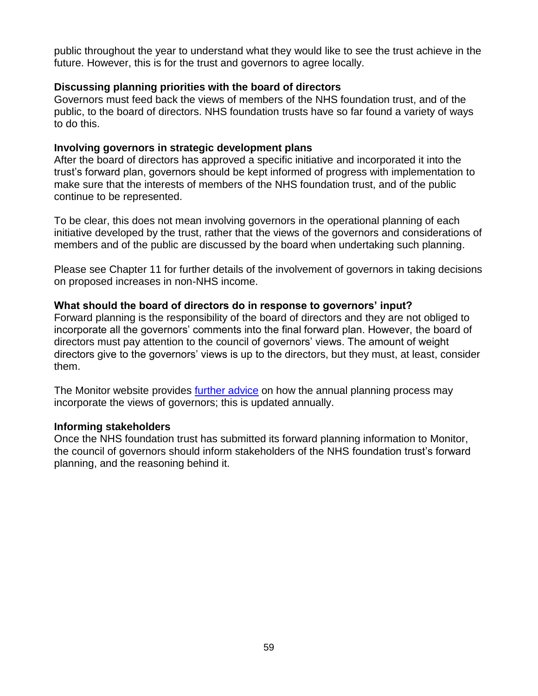public throughout the year to understand what they would like to see the trust achieve in the future. However, this is for the trust and governors to agree locally.

### **Discussing planning priorities with the board of directors**

Governors must feed back the views of members of the NHS foundation trust, and of the public, to the board of directors. NHS foundation trusts have so far found a variety of ways to do this.

### **Involving governors in strategic development plans**

After the board of directors has approved a specific initiative and incorporated it into the trust's forward plan, governors should be kept informed of progress with implementation to make sure that the interests of members of the NHS foundation trust, and of the public continue to be represented.

To be clear, this does not mean involving governors in the operational planning of each initiative developed by the trust, rather that the views of the governors and considerations of members and of the public are discussed by the board when undertaking such planning.

Please see Chapter 11 for further details of the involvement of governors in taking decisions on proposed increases in non-NHS income.

### **What should the board of directors do in response to governors' input?**

Forward planning is the responsibility of the board of directors and they are not obliged to incorporate all the governors' comments into the final forward plan. However, the board of directors must pay attention to the council of governors' views. The amount of weight directors give to the governors' views is up to the directors, but they must, at least, consider them.

The Monitor website provides [further advice](http://www.monitor.gov.uk/APR13-14) on how the annual planning process may incorporate the views of governors; this is updated annually.

## **Informing stakeholders**

Once the NHS foundation trust has submitted its forward planning information to Monitor, the council of governors should inform stakeholders of the NHS foundation trust's forward planning, and the reasoning behind it.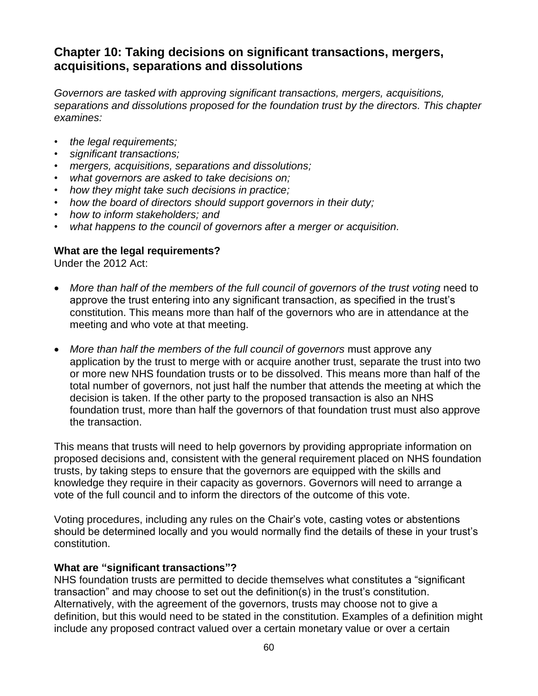# **Chapter 10: Taking decisions on significant transactions, mergers, acquisitions, separations and dissolutions**

*Governors are tasked with approving significant transactions, mergers, acquisitions, separations and dissolutions proposed for the foundation trust by the directors. This chapter examines:*

- *the legal requirements;*
- *significant transactions;*
- *mergers, acquisitions, separations and dissolutions;*
- *what governors are asked to take decisions on;*
- *how they might take such decisions in practice;*
- *how the board of directors should support governors in their duty;*
- *how to inform stakeholders; and*
- *what happens to the council of governors after a merger or acquisition.*

### **What are the legal requirements?**

Under the 2012 Act:

- *More than half of the members of the full council of governors of the trust voting* need to approve the trust entering into any significant transaction, as specified in the trust's constitution. This means more than half of the governors who are in attendance at the meeting and who vote at that meeting.
- *More than half the members of the full council of governors* must approve any application by the trust to merge with or acquire another trust, separate the trust into two or more new NHS foundation trusts or to be dissolved. This means more than half of the total number of governors, not just half the number that attends the meeting at which the decision is taken. If the other party to the proposed transaction is also an NHS foundation trust, more than half the governors of that foundation trust must also approve the transaction.

This means that trusts will need to help governors by providing appropriate information on proposed decisions and, consistent with the general requirement placed on NHS foundation trusts, by taking steps to ensure that the governors are equipped with the skills and knowledge they require in their capacity as governors. Governors will need to arrange a vote of the full council and to inform the directors of the outcome of this vote.

Voting procedures, including any rules on the Chair's vote, casting votes or abstentions should be determined locally and you would normally find the details of these in your trust's constitution.

### **What are "significant transactions"?**

NHS foundation trusts are permitted to decide themselves what constitutes a "significant transaction" and may choose to set out the definition(s) in the trust's constitution. Alternatively, with the agreement of the governors, trusts may choose not to give a definition, but this would need to be stated in the constitution. Examples of a definition might include any proposed contract valued over a certain monetary value or over a certain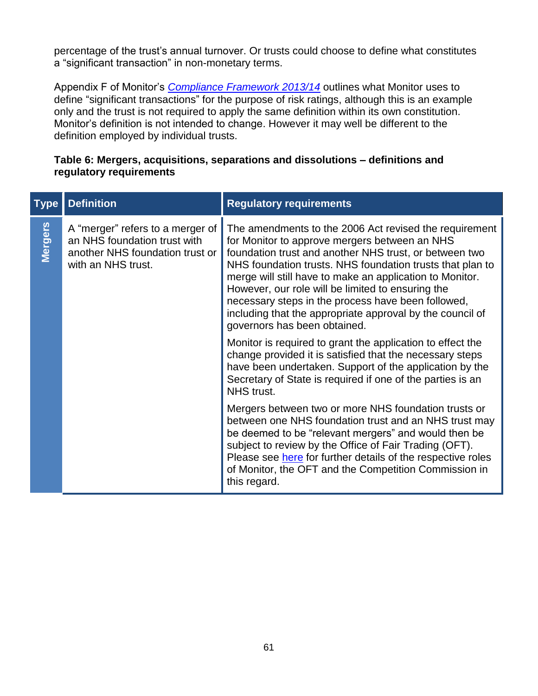percentage of the trust's annual turnover. Or trusts could choose to define what constitutes a "significant transaction" in non-monetary terms.

Appendix F of Monitor's *[Compliance Framework 2013/14](http://www.monitor-nhsft.gov.uk/home/news-events-and-publications/our-publications/browse-category/guidance-foundation-trusts/mandat-7)* outlines what Monitor uses to define "significant transactions" for the purpose of risk ratings, although this is an example only and the trust is not required to apply the same definition within its own constitution. Monitor's definition is not intended to change. However it may well be different to the definition employed by individual trusts.

# **Table 6: Mergers, acquisitions, separations and dissolutions – definitions and regulatory requirements**

| <b>Type</b>    | <b>Definition</b>                                                                                                         | <b>Regulatory requirements</b>                                                                                                                                                                                                                                                                                                                                                                                                                                                                     |
|----------------|---------------------------------------------------------------------------------------------------------------------------|----------------------------------------------------------------------------------------------------------------------------------------------------------------------------------------------------------------------------------------------------------------------------------------------------------------------------------------------------------------------------------------------------------------------------------------------------------------------------------------------------|
| <b>Mergers</b> | A "merger" refers to a merger of<br>an NHS foundation trust with<br>another NHS foundation trust or<br>with an NHS trust. | The amendments to the 2006 Act revised the requirement<br>for Monitor to approve mergers between an NHS<br>foundation trust and another NHS trust, or between two<br>NHS foundation trusts. NHS foundation trusts that plan to<br>merge will still have to make an application to Monitor.<br>However, our role will be limited to ensuring the<br>necessary steps in the process have been followed,<br>including that the appropriate approval by the council of<br>governors has been obtained. |
|                |                                                                                                                           | Monitor is required to grant the application to effect the<br>change provided it is satisfied that the necessary steps<br>have been undertaken. Support of the application by the<br>Secretary of State is required if one of the parties is an<br>NHS trust.                                                                                                                                                                                                                                      |
|                |                                                                                                                           | Mergers between two or more NHS foundation trusts or<br>between one NHS foundation trust and an NHS trust may<br>be deemed to be "relevant mergers" and would then be<br>subject to review by the Office of Fair Trading (OFT).<br>Please see here for further details of the respective roles<br>of Monitor, the OFT and the Competition Commission in<br>this regard.                                                                                                                            |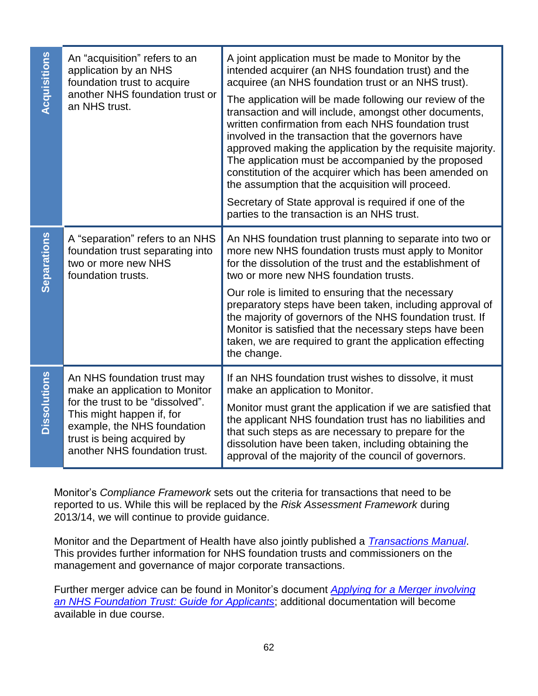| Acquisitions        | An "acquisition" refers to an<br>application by an NHS<br>foundation trust to acquire<br>another NHS foundation trust or<br>an NHS trust.                                                                                    | A joint application must be made to Monitor by the<br>intended acquirer (an NHS foundation trust) and the<br>acquiree (an NHS foundation trust or an NHS trust).<br>The application will be made following our review of the<br>transaction and will include, amongst other documents,<br>written confirmation from each NHS foundation trust<br>involved in the transaction that the governors have<br>approved making the application by the requisite majority.<br>The application must be accompanied by the proposed<br>constitution of the acquirer which has been amended on<br>the assumption that the acquisition will proceed.<br>Secretary of State approval is required if one of the<br>parties to the transaction is an NHS trust. |
|---------------------|------------------------------------------------------------------------------------------------------------------------------------------------------------------------------------------------------------------------------|--------------------------------------------------------------------------------------------------------------------------------------------------------------------------------------------------------------------------------------------------------------------------------------------------------------------------------------------------------------------------------------------------------------------------------------------------------------------------------------------------------------------------------------------------------------------------------------------------------------------------------------------------------------------------------------------------------------------------------------------------|
| Separations         | A "separation" refers to an NHS<br>foundation trust separating into<br>two or more new NHS<br>foundation trusts.                                                                                                             | An NHS foundation trust planning to separate into two or<br>more new NHS foundation trusts must apply to Monitor<br>for the dissolution of the trust and the establishment of<br>two or more new NHS foundation trusts.<br>Our role is limited to ensuring that the necessary<br>preparatory steps have been taken, including approval of<br>the majority of governors of the NHS foundation trust. If<br>Monitor is satisfied that the necessary steps have been<br>taken, we are required to grant the application effecting<br>the change.                                                                                                                                                                                                    |
| <b>Dissolutions</b> | An NHS foundation trust may<br>make an application to Monitor<br>for the trust to be "dissolved".<br>This might happen if, for<br>example, the NHS foundation<br>trust is being acquired by<br>another NHS foundation trust. | If an NHS foundation trust wishes to dissolve, it must<br>make an application to Monitor.<br>Monitor must grant the application if we are satisfied that<br>the applicant NHS foundation trust has no liabilities and<br>that such steps as are necessary to prepare for the<br>dissolution have been taken, including obtaining the<br>approval of the majority of the council of governors.                                                                                                                                                                                                                                                                                                                                                    |

Monitor's *Compliance Framework* sets out the criteria for transactions that need to be reported to us. While this will be replaced by the *Risk Assessment Framework* during 2013/14, we will continue to provide guidance.

Monitor and the Department of Health have also jointly published a *[Transactions Manual](http://www.monitor-nhsft.gov.uk/home/our-publications/browse-category/guidance-foundation-trusts/mandatory-guidance/transactions-man)*. This provides further information for NHS foundation trusts and commissioners on the management and governance of major corporate transactions.

Further merger advice can be found in Monitor's document *[Applying for a Merger involving](http://www.monitor-nhsft.gov.uk/home/our-publications/browse-category/guidance-applicants/applying-merger-involving-nhs-foundation-t)  [an NHS Foundation Trust: Guide for Applicants](http://www.monitor-nhsft.gov.uk/home/our-publications/browse-category/guidance-applicants/applying-merger-involving-nhs-foundation-t)*; additional documentation will become available in due course.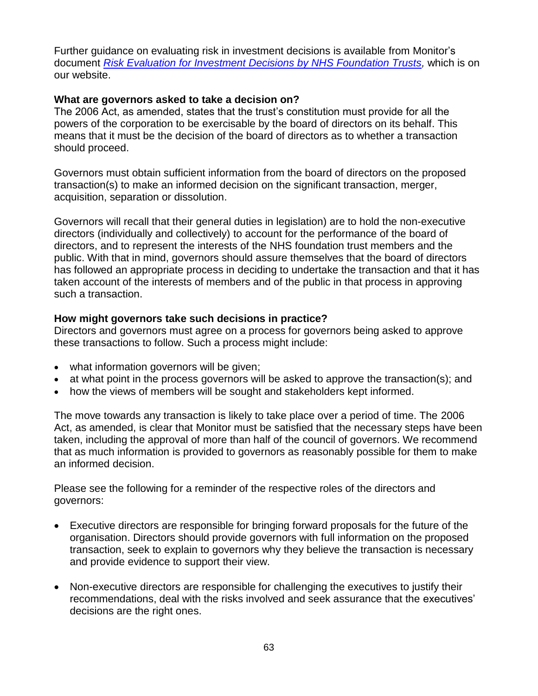Further guidance on evaluating risk in investment decisions is available from Monitor's document *[Risk Evaluation for Investment Decisions by NHS Foundation Trusts,](http://www.monitor-nhsft.gov.uk/home/our-publications/browse-category/guidance-foundation-trusts/mandatory-guidance/risk-evaluation-)* which is on our website.

## **What are governors asked to take a decision on?**

The 2006 Act, as amended, states that the trust's constitution must provide for all the powers of the corporation to be exercisable by the board of directors on its behalf. This means that it must be the decision of the board of directors as to whether a transaction should proceed.

Governors must obtain sufficient information from the board of directors on the proposed transaction(s) to make an informed decision on the significant transaction, merger, acquisition, separation or dissolution.

Governors will recall that their general duties in legislation) are to hold the non-executive directors (individually and collectively) to account for the performance of the board of directors, and to represent the interests of the NHS foundation trust members and the public. With that in mind, governors should assure themselves that the board of directors has followed an appropriate process in deciding to undertake the transaction and that it has taken account of the interests of members and of the public in that process in approving such a transaction.

## **How might governors take such decisions in practice?**

Directors and governors must agree on a process for governors being asked to approve these transactions to follow. Such a process might include:

- what information governors will be given;
- at what point in the process governors will be asked to approve the transaction(s); and
- how the views of members will be sought and stakeholders kept informed.

The move towards any transaction is likely to take place over a period of time. The 2006 Act, as amended, is clear that Monitor must be satisfied that the necessary steps have been taken, including the approval of more than half of the council of governors. We recommend that as much information is provided to governors as reasonably possible for them to make an informed decision.

Please see the following for a reminder of the respective roles of the directors and governors:

- Executive directors are responsible for bringing forward proposals for the future of the organisation. Directors should provide governors with full information on the proposed transaction, seek to explain to governors why they believe the transaction is necessary and provide evidence to support their view.
- Non-executive directors are responsible for challenging the executives to justify their recommendations, deal with the risks involved and seek assurance that the executives' decisions are the right ones.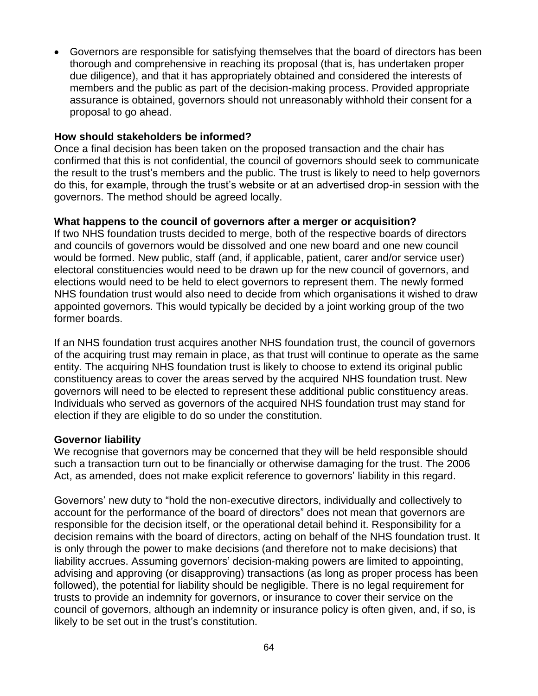Governors are responsible for satisfying themselves that the board of directors has been thorough and comprehensive in reaching its proposal (that is, has undertaken proper due diligence), and that it has appropriately obtained and considered the interests of members and the public as part of the decision-making process. Provided appropriate assurance is obtained, governors should not unreasonably withhold their consent for a proposal to go ahead.

## **How should stakeholders be informed?**

Once a final decision has been taken on the proposed transaction and the chair has confirmed that this is not confidential, the council of governors should seek to communicate the result to the trust's members and the public. The trust is likely to need to help governors do this, for example, through the trust's website or at an advertised drop-in session with the governors. The method should be agreed locally.

### **What happens to the council of governors after a merger or acquisition?**

If two NHS foundation trusts decided to merge, both of the respective boards of directors and councils of governors would be dissolved and one new board and one new council would be formed. New public, staff (and, if applicable, patient, carer and/or service user) electoral constituencies would need to be drawn up for the new council of governors, and elections would need to be held to elect governors to represent them. The newly formed NHS foundation trust would also need to decide from which organisations it wished to draw appointed governors. This would typically be decided by a joint working group of the two former boards.

If an NHS foundation trust acquires another NHS foundation trust, the council of governors of the acquiring trust may remain in place, as that trust will continue to operate as the same entity. The acquiring NHS foundation trust is likely to choose to extend its original public constituency areas to cover the areas served by the acquired NHS foundation trust. New governors will need to be elected to represent these additional public constituency areas. Individuals who served as governors of the acquired NHS foundation trust may stand for election if they are eligible to do so under the constitution.

### **Governor liability**

We recognise that governors may be concerned that they will be held responsible should such a transaction turn out to be financially or otherwise damaging for the trust. The 2006 Act, as amended, does not make explicit reference to governors' liability in this regard.

Governors' new duty to "hold the non-executive directors, individually and collectively to account for the performance of the board of directors" does not mean that governors are responsible for the decision itself, or the operational detail behind it. Responsibility for a decision remains with the board of directors, acting on behalf of the NHS foundation trust. It is only through the power to make decisions (and therefore not to make decisions) that liability accrues. Assuming governors' decision-making powers are limited to appointing, advising and approving (or disapproving) transactions (as long as proper process has been followed), the potential for liability should be negligible. There is no legal requirement for trusts to provide an indemnity for governors, or insurance to cover their service on the council of governors, although an indemnity or insurance policy is often given, and, if so, is likely to be set out in the trust's constitution.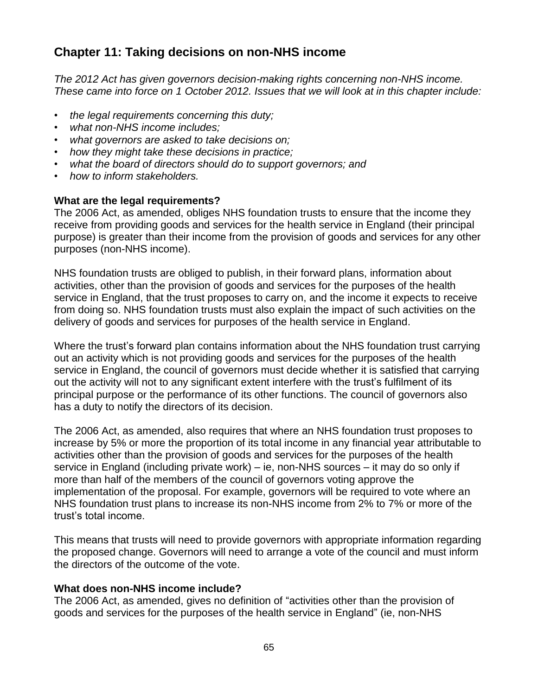# **Chapter 11: Taking decisions on non-NHS income**

*The 2012 Act has given governors decision-making rights concerning non-NHS income. These came into force on 1 October 2012. Issues that we will look at in this chapter include:*

- *the legal requirements concerning this duty;*
- *what non-NHS income includes;*
- *what governors are asked to take decisions on;*
- *how they might take these decisions in practice;*
- *what the board of directors should do to support governors; and*
- *how to inform stakeholders.*

### **What are the legal requirements?**

The 2006 Act, as amended, obliges NHS foundation trusts to ensure that the income they receive from providing goods and services for the health service in England (their principal purpose) is greater than their income from the provision of goods and services for any other purposes (non-NHS income).

NHS foundation trusts are obliged to publish, in their forward plans, information about activities, other than the provision of goods and services for the purposes of the health service in England, that the trust proposes to carry on, and the income it expects to receive from doing so. NHS foundation trusts must also explain the impact of such activities on the delivery of goods and services for purposes of the health service in England.

Where the trust's forward plan contains information about the NHS foundation trust carrying out an activity which is not providing goods and services for the purposes of the health service in England, the council of governors must decide whether it is satisfied that carrying out the activity will not to any significant extent interfere with the trust's fulfilment of its principal purpose or the performance of its other functions. The council of governors also has a duty to notify the directors of its decision.

The 2006 Act, as amended, also requires that where an NHS foundation trust proposes to increase by 5% or more the proportion of its total income in any financial year attributable to activities other than the provision of goods and services for the purposes of the health service in England (including private work) – ie, non-NHS sources – it may do so only if more than half of the members of the council of governors voting approve the implementation of the proposal. For example, governors will be required to vote where an NHS foundation trust plans to increase its non-NHS income from 2% to 7% or more of the trust's total income.

This means that trusts will need to provide governors with appropriate information regarding the proposed change. Governors will need to arrange a vote of the council and must inform the directors of the outcome of the vote.

### **What does non-NHS income include?**

The 2006 Act, as amended, gives no definition of "activities other than the provision of goods and services for the purposes of the health service in England" (ie, non-NHS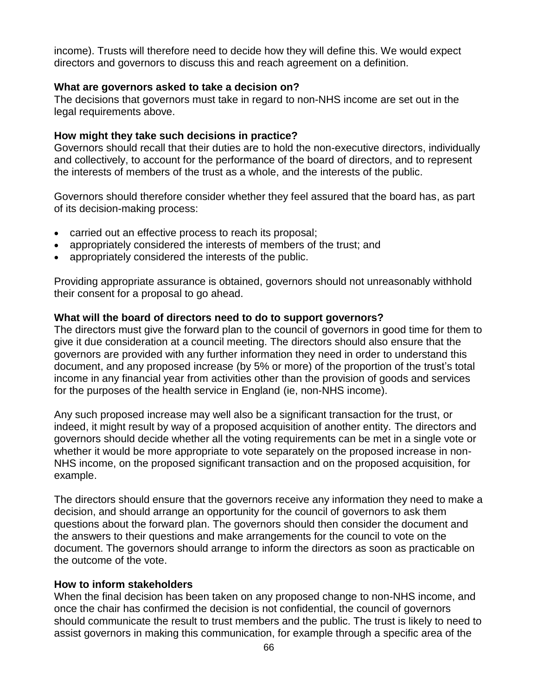income). Trusts will therefore need to decide how they will define this. We would expect directors and governors to discuss this and reach agreement on a definition.

### **What are governors asked to take a decision on?**

The decisions that governors must take in regard to non-NHS income are set out in the legal requirements above.

### **How might they take such decisions in practice?**

Governors should recall that their duties are to hold the non-executive directors, individually and collectively, to account for the performance of the board of directors, and to represent the interests of members of the trust as a whole, and the interests of the public.

Governors should therefore consider whether they feel assured that the board has, as part of its decision-making process:

- carried out an effective process to reach its proposal;
- appropriately considered the interests of members of the trust; and
- appropriately considered the interests of the public.

Providing appropriate assurance is obtained, governors should not unreasonably withhold their consent for a proposal to go ahead.

### **What will the board of directors need to do to support governors?**

The directors must give the forward plan to the council of governors in good time for them to give it due consideration at a council meeting. The directors should also ensure that the governors are provided with any further information they need in order to understand this document, and any proposed increase (by 5% or more) of the proportion of the trust's total income in any financial year from activities other than the provision of goods and services for the purposes of the health service in England (ie, non-NHS income).

Any such proposed increase may well also be a significant transaction for the trust, or indeed, it might result by way of a proposed acquisition of another entity. The directors and governors should decide whether all the voting requirements can be met in a single vote or whether it would be more appropriate to vote separately on the proposed increase in non-NHS income, on the proposed significant transaction and on the proposed acquisition, for example.

The directors should ensure that the governors receive any information they need to make a decision, and should arrange an opportunity for the council of governors to ask them questions about the forward plan. The governors should then consider the document and the answers to their questions and make arrangements for the council to vote on the document. The governors should arrange to inform the directors as soon as practicable on the outcome of the vote.

### **How to inform stakeholders**

When the final decision has been taken on any proposed change to non-NHS income, and once the chair has confirmed the decision is not confidential, the council of governors should communicate the result to trust members and the public. The trust is likely to need to assist governors in making this communication, for example through a specific area of the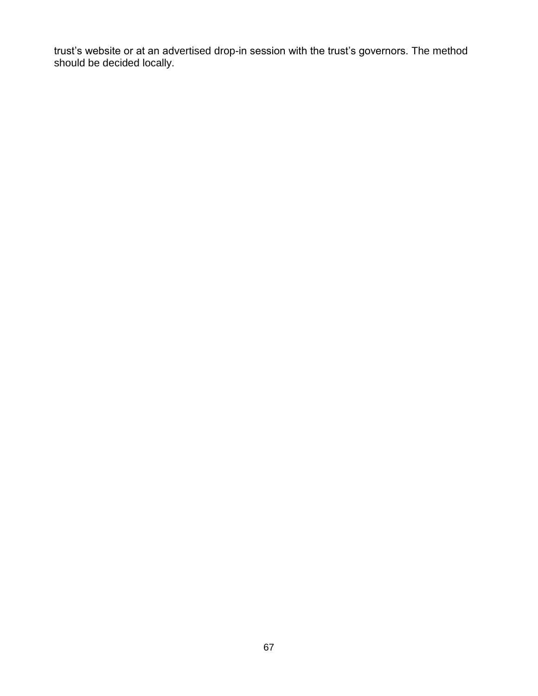trust's website or at an advertised drop-in session with the trust's governors. The method should be decided locally.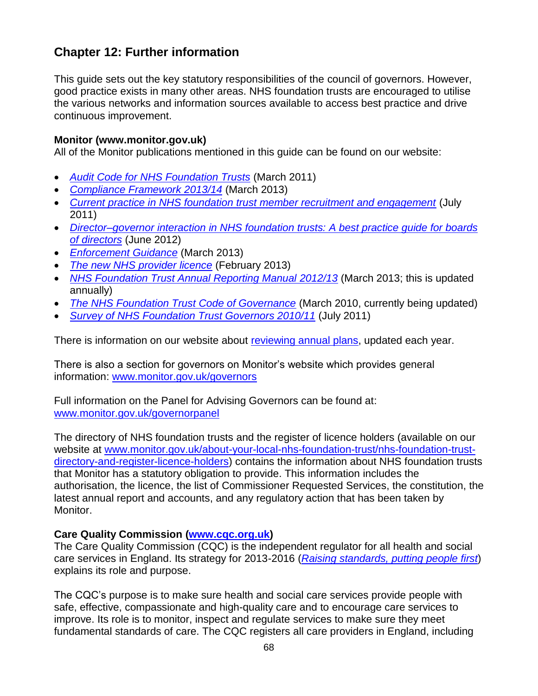# **Chapter 12: Further information**

This guide sets out the key statutory responsibilities of the council of governors. However, good practice exists in many other areas. NHS foundation trusts are encouraged to utilise the various networks and information sources available to access best practice and drive continuous improvement.

## **Monitor (www.monitor.gov.uk)**

All of the Monitor publications mentioned in this guide can be found on our website:

- *[Audit Code for NHS Foundation Trusts](http://www.monitor-nhsft.gov.uk/home/our-publications/browse-category/guidance-foundation-trusts/mandatory-guidance/audit-code-nhs-f)* (March 2011)
- *[Compliance Framework](http://www.monitor-nhsft.gov.uk/home/news-events-and-publications/our-publications/browse-category/guidance-foundation-trusts/mandat-7) 2013/14* (March 2013)
- *[Current practice in NHS foundation trust member recruitment and engagement](http://www.monitor-nhsft.gov.uk/our-publications/browse-category/guidance-foundation-trusts/reports/guidance-governors/current-pract)* (July 2011)
- *[Director–governor interaction in NHS foundation trusts:](http://www.monitor-nhsft.gov.uk/home/browse-category/developing-foundation-trusts/director-governor-interaction-nhs-foundation-trust) A best practice guide for boards [of directors](http://www.monitor-nhsft.gov.uk/home/browse-category/developing-foundation-trusts/director-governor-interaction-nhs-foundation-trust)* (June 2012)
- *[Enforcement Guidance](http://www.monitor-nhsft.gov.uk/home/news-events-publications/our-publications/browse-category/guidance-health-care-providers-and-co-7)* (March 2013)
- *[The new NHS provider licence](http://www.monitor-nhsft.gov.uk/home/news-events-publications/our-publications/browse-category/guidance-health-care-providers-and-co-8)* (February 2013)
- *[NHS Foundation Trust Annual Reporting Manual](http://www.monitor-nhsft.gov.uk/home/news-events-publications/our-publications/browse-category/guidance-health-care-providers-and-co-25) 2012/13* (March 2013; this is updated annually)
- *[The NHS Foundation Trust Code of Governance](http://www.monitor-nhsft.gov.uk/home/news-events-and-publications/our-publications/browse-category/guidance-foundation-trusts/mandat-3)* (March 2010, currently being updated)
- *[Survey of NHS Foundation Trust Governors 2010/11](http://www.monitor-nhsft.gov.uk/home/our-publications/browse-category/guidance-foundation-trusts/reports/guidance-governors/survey-n)* (July 2011)

There is information on our website about [reviewing annual plans,](http://www.monitor.gov.uk/APR13-14) updated each year.

There is also a section for governors on Monitor's website which provides general information: [www.monitor.gov.uk/governors](http://www.monitor-nhsft.gov.uk/governors)

Full information on the Panel for Advising Governors can be found at: [www.monitor.gov.uk/governorpanel](http://www.monitor.gov.uk/governorpanel)

The directory of NHS foundation trusts and the register of licence holders (available on our website at [www.monitor.gov.uk/about-your-local-nhs-foundation-trust/nhs-foundation-trust](http://www.monitor.gov.uk/about-your-local-nhs-foundation-trust/nhs-foundation-trust-directory-and-register-licence-holders)[directory-and-register-licence-holders\)](http://www.monitor.gov.uk/about-your-local-nhs-foundation-trust/nhs-foundation-trust-directory-and-register-licence-holders) contains the information about NHS foundation trusts that Monitor has a statutory obligation to provide. This information includes the authorisation, the licence, the list of Commissioner Requested Services, the constitution, the latest annual report and accounts, and any regulatory action that has been taken by Monitor.

# **Care Quality Commission [\(www.cqc.org.uk\)](http://www.cqc.org.uk/)**

The Care Quality Commission (CQC) is the independent regulator for all health and social care services in England. Its strategy for 2013-2016 (*[Raising standards, putting people first](http://www.cqc.org.uk/sites/default/files/media/documents/20130503_cqc_strategy_2013_final_cm_tagged.pdf)*) explains its role and purpose.

The CQC's purpose is to make sure health and social care services provide people with safe, effective, compassionate and high-quality care and to encourage care services to improve. Its role is to monitor, inspect and regulate services to make sure they meet fundamental standards of care. The CQC registers all care providers in England, including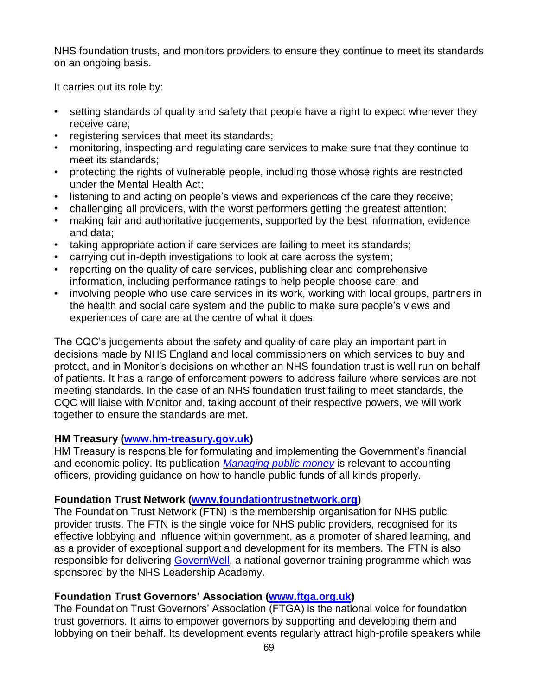NHS foundation trusts, and monitors providers to ensure they continue to meet its standards on an ongoing basis.

It carries out its role by:

- setting standards of quality and safety that people have a right to expect whenever they receive care;
- registering services that meet its standards;
- monitoring, inspecting and regulating care services to make sure that they continue to meet its standards;
- protecting the rights of vulnerable people, including those whose rights are restricted under the Mental Health Act;
- listening to and acting on people's views and experiences of the care they receive;
- challenging all providers, with the worst performers getting the greatest attention;
- making fair and authoritative judgements, supported by the best information, evidence and data;
- taking appropriate action if care services are failing to meet its standards;
- carrying out in-depth investigations to look at care across the system;
- reporting on the quality of care services, publishing clear and comprehensive information, including performance ratings to help people choose care; and
- involving people who use care services in its work, working with local groups, partners in the health and social care system and the public to make sure people's views and experiences of care are at the centre of what it does.

The CQC's judgements about the safety and quality of care play an important part in decisions made by NHS England and local commissioners on which services to buy and protect, and in Monitor's decisions on whether an NHS foundation trust is well run on behalf of patients. It has a range of enforcement powers to address failure where services are not meeting standards. In the case of an NHS foundation trust failing to meet standards, the CQC will liaise with Monitor and, taking account of their respective powers, we will work together to ensure the standards are met.

# **HM Treasury [\(www.hm-treasury.gov.uk\)](http://www.hm-treasury.gov.uk/)**

HM Treasury is responsible for formulating and implementing the Government's financial and economic policy. Its publication *[Managing public money](http://www.hm-treasury.gov.uk/psr_mpm_index.htm)* is relevant to accounting officers, providing guidance on how to handle public funds of all kinds properly.

# **Foundation Trust Network [\(www.foundationtrustnetwork.org\)](http://www.foundationtrustnetwork.org/)**

The Foundation Trust Network (FTN) is the membership organisation for NHS public provider trusts. The FTN is the single voice for NHS public providers, recognised for its effective lobbying and influence within government, as a promoter of shared learning, and as a provider of exceptional support and development for its members. The FTN is also responsible for delivering [GovernWell,](http://www.foundationtrustnetwork.org/governwell/) a national governor training programme which was sponsored by the NHS Leadership Academy.

# **Foundation Trust Governors' Association [\(www.ftga.org.uk\)](http://www.ftga.org.uk/)**

The Foundation Trust Governors' Association (FTGA) is the national voice for foundation trust governors. It aims to empower governors by supporting and developing them and lobbying on their behalf. Its development events regularly attract high-profile speakers while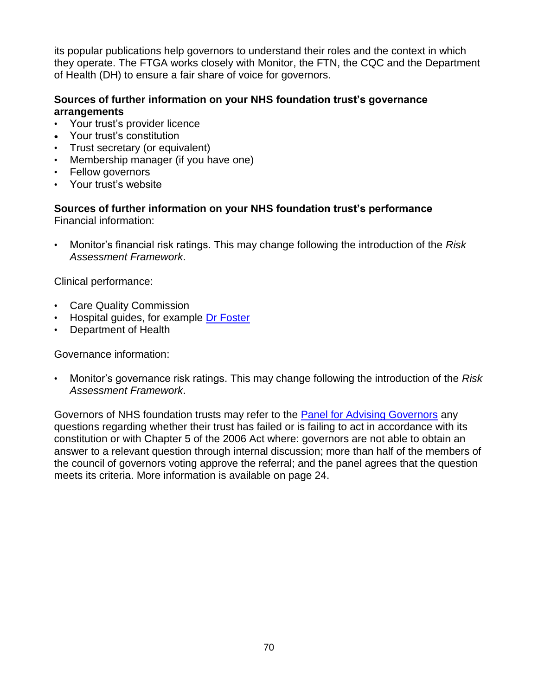its popular publications help governors to understand their roles and the context in which they operate. The FTGA works closely with Monitor, the FTN, the CQC and the Department of Health (DH) to ensure a fair share of voice for governors.

# **Sources of further information on your NHS foundation trust's governance arrangements**

- Your trust's provider licence
- Your trust's constitution
- Trust secretary (or equivalent)
- Membership manager (if you have one)
- Fellow governors
- Your trust's website

**Sources of further information on your NHS foundation trust's performance** Financial information:

• Monitor's financial risk ratings. This may change following the introduction of the *Risk Assessment Framework*.

Clinical performance:

- Care Quality Commission
- Hospital guides, for example [Dr Foster](http://www.drfosterhealth.co.uk/hospital-guide/)
- Department of Health

Governance information:

• Monitor's governance risk ratings. This may change following the introduction of the *Risk Assessment Framework*.

Governors of NHS foundation trusts may refer to the [Panel for Advising Governors](http://www.monitor.gov.uk/governorpanel) any questions regarding whether their trust has failed or is failing to act in accordance with its constitution or with Chapter 5 of the 2006 Act where: governors are not able to obtain an answer to a relevant question through internal discussion; more than half of the members of the council of governors voting approve the referral; and the panel agrees that the question meets its criteria. More information is available on page 24.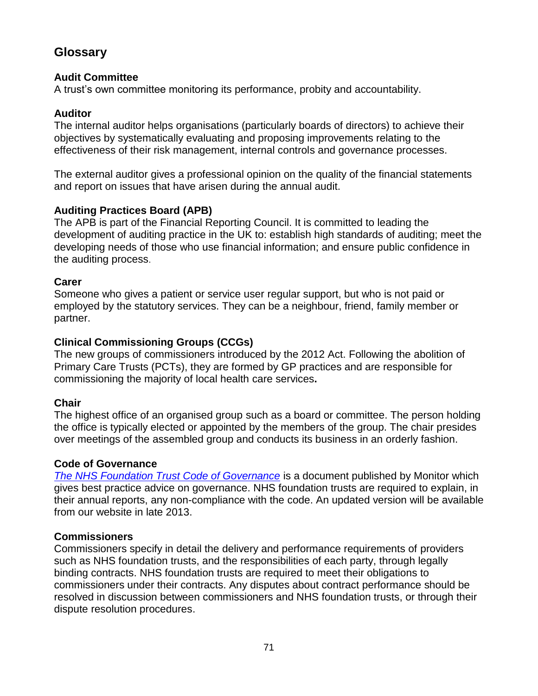# **Glossary**

## **Audit Committee**

A trust's own committee monitoring its performance, probity and accountability.

## **Auditor**

The internal auditor helps organisations (particularly boards of directors) to achieve their objectives by systematically evaluating and proposing improvements relating to the effectiveness of their risk management, internal controls and governance processes.

The external auditor gives a professional opinion on the quality of the financial statements and report on issues that have arisen during the annual audit.

# **Auditing Practices Board (APB)**

The APB is part of the Financial Reporting Council. It is committed to leading the development of auditing practice in the UK to: establish high standards of auditing; meet the developing needs of those who use financial information; and ensure public confidence in the auditing process.

## **Carer**

Someone who gives a patient or service user regular support, but who is not paid or employed by the statutory services. They can be a neighbour, friend, family member or partner.

## **Clinical Commissioning Groups (CCGs)**

The new groups of commissioners introduced by the 2012 Act. Following the abolition of Primary Care Trusts (PCTs), they are formed by GP practices and are responsible for commissioning the majority of local health care services**.**

# **Chair**

The highest office of an organised group such as a board or committee. The person holding the office is typically elected or appointed by the members of the group. The chair presides over meetings of the assembled group and conducts its business in an orderly fashion.

## **Code of Governance**

*[The NHS Foundation Trust Code of Governance](http://www.monitor-nhsft.gov.uk/home/news-events-and-publications/our-publications/browse-category/guidance-foundation-trusts/mandat-3)* is a document published by Monitor which gives best practice advice on governance. NHS foundation trusts are required to explain, in their annual reports, any non-compliance with the code. An updated version will be available from our website in late 2013.

# **Commissioners**

Commissioners specify in detail the delivery and performance requirements of providers such as NHS foundation trusts, and the responsibilities of each party, through legally binding contracts. NHS foundation trusts are required to meet their obligations to commissioners under their contracts. Any disputes about contract performance should be resolved in discussion between commissioners and NHS foundation trusts, or through their dispute resolution procedures.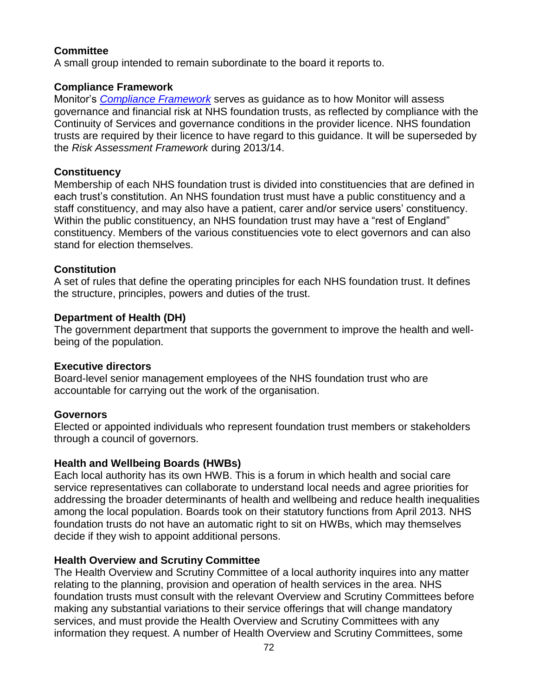# **Committee**

A small group intended to remain subordinate to the board it reports to.

### **Compliance Framework**

Monitor's *[Compliance Framework](http://www.monitor-nhsft.gov.uk/home/news-events-and-publications/our-publications/browse-category/guidance-foundation-trusts/mandat-7)* serves as guidance as to how Monitor will assess governance and financial risk at NHS foundation trusts, as reflected by compliance with the Continuity of Services and governance conditions in the provider licence. NHS foundation trusts are required by their licence to have regard to this guidance. It will be superseded by the *Risk Assessment Framework* during 2013/14.

### **Constituency**

Membership of each NHS foundation trust is divided into constituencies that are defined in each trust's constitution. An NHS foundation trust must have a public constituency and a staff constituency, and may also have a patient, carer and/or service users' constituency. Within the public constituency, an NHS foundation trust may have a "rest of England" constituency. Members of the various constituencies vote to elect governors and can also stand for election themselves.

### **Constitution**

A set of rules that define the operating principles for each NHS foundation trust. It defines the structure, principles, powers and duties of the trust.

### **Department of Health (DH)**

The government department that supports the government to improve the health and wellbeing of the population.

# **Executive directors**

Board-level senior management employees of the NHS foundation trust who are accountable for carrying out the work of the organisation.

### **Governors**

Elected or appointed individuals who represent foundation trust members or stakeholders through a council of governors.

# **Health and Wellbeing Boards (HWBs)**

Each local authority has its own HWB. This is a forum in which health and social care service representatives can collaborate to understand local needs and agree priorities for addressing the broader determinants of health and wellbeing and reduce health inequalities among the local population. Boards took on their statutory functions from April 2013. NHS foundation trusts do not have an automatic right to sit on HWBs, which may themselves decide if they wish to appoint additional persons.

# **Health Overview and Scrutiny Committee**

The Health Overview and Scrutiny Committee of a local authority inquires into any matter relating to the planning, provision and operation of health services in the area. NHS foundation trusts must consult with the relevant Overview and Scrutiny Committees before making any substantial variations to their service offerings that will change mandatory services, and must provide the Health Overview and Scrutiny Committees with any information they request. A number of Health Overview and Scrutiny Committees, some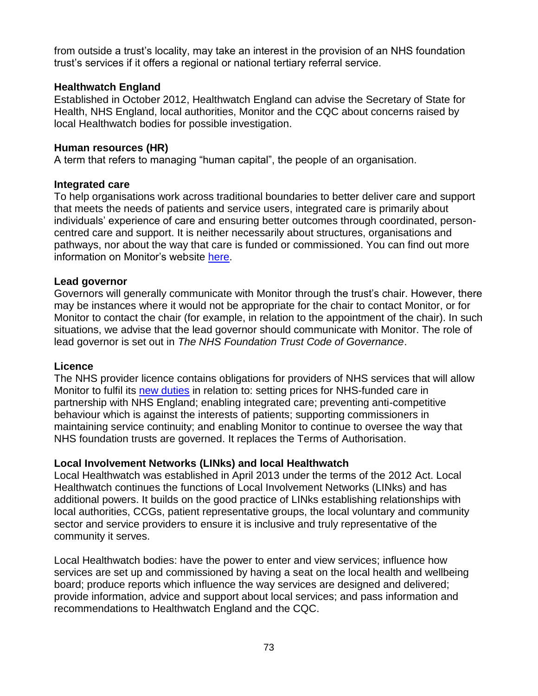from outside a trust's locality, may take an interest in the provision of an NHS foundation trust's services if it offers a regional or national tertiary referral service.

# **Healthwatch England**

Established in October 2012, Healthwatch England can advise the Secretary of State for Health, NHS England, local authorities, Monitor and the CQC about concerns raised by local Healthwatch bodies for possible investigation.

# **Human resources (HR)**

A term that refers to managing "human capital", the people of an organisation.

# **Integrated care**

To help organisations work across traditional boundaries to better deliver care and support that meets the needs of patients and service users, integrated care is primarily about individuals' experience of care and ensuring better outcomes through coordinated, personcentred care and support. It is neither necessarily about structures, organisations and pathways, nor about the way that care is funded or commissioned. You can find out more information on Monitor's website [here.](http://www.monitor-nhsft.gov.uk/regulating-health-care-providers-commissioners/enabling-integrated-care/working-national-partners/ou)

# **Lead governor**

Governors will generally communicate with Monitor through the trust's chair. However, there may be instances where it would not be appropriate for the chair to contact Monitor, or for Monitor to contact the chair (for example, in relation to the appointment of the chair). In such situations, we advise that the lead governor should communicate with Monitor. The role of lead governor is set out in *The NHS Foundation Trust Code of Governance*.

# **Licence**

The NHS provider licence contains obligations for providers of NHS services that will allow Monitor to fulfil its [new duties](http://www.monitor-nhsft.gov.uk/monitors-new-role) in relation to: setting prices for NHS-funded care in partnership with NHS England; enabling integrated care; preventing anti-competitive behaviour which is against the interests of patients; supporting commissioners in maintaining service continuity; and enabling Monitor to continue to oversee the way that NHS foundation trusts are governed. It replaces the Terms of Authorisation.

# **Local Involvement Networks (LINks) and local Healthwatch**

Local Healthwatch was established in April 2013 under the terms of the 2012 Act. Local Healthwatch continues the functions of Local Involvement Networks (LINks) and has additional powers. It builds on the good practice of LINks establishing relationships with local authorities, CCGs, patient representative groups, the local voluntary and community sector and service providers to ensure it is inclusive and truly representative of the community it serves.

Local Healthwatch bodies: have the power to enter and view services; influence how services are set up and commissioned by having a seat on the local health and wellbeing board; produce reports which influence the way services are designed and delivered; provide information, advice and support about local services; and pass information and recommendations to Healthwatch England and the CQC.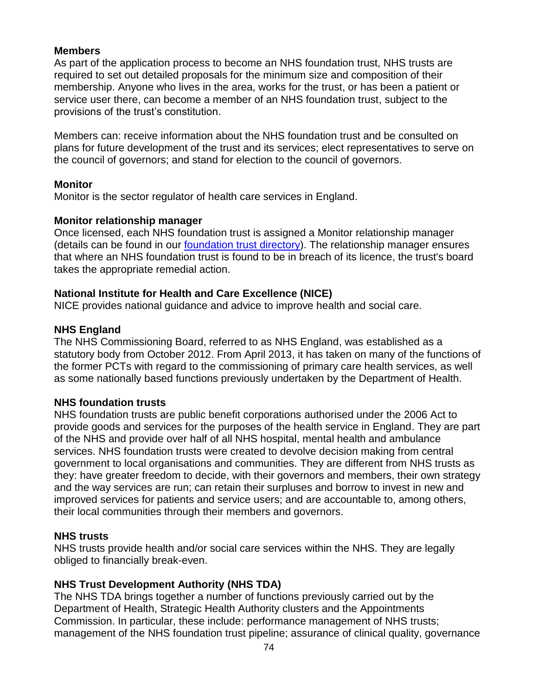# **Members**

As part of the application process to become an NHS foundation trust, NHS trusts are required to set out detailed proposals for the minimum size and composition of their membership. Anyone who lives in the area, works for the trust, or has been a patient or service user there, can become a member of an NHS foundation trust, subject to the provisions of the trust's constitution.

Members can: receive information about the NHS foundation trust and be consulted on plans for future development of the trust and its services; elect representatives to serve on the council of governors; and stand for election to the council of governors.

# **Monitor**

Monitor is the sector regulator of health care services in England.

# **Monitor relationship manager**

Once licensed, each NHS foundation trust is assigned a Monitor relationship manager (details can be found in our [foundation trust directory\)](http://www.monitor.gov.uk/home/about-nhs-foundation-trusts/nhs-foundation-trust-directory). The relationship manager ensures that where an NHS foundation trust is found to be in breach of its licence, the trust's board takes the appropriate remedial action.

# **National Institute for Health and Care Excellence (NICE)**

NICE provides national guidance and advice to improve health and social care.

# **NHS England**

The NHS Commissioning Board, referred to as NHS England, was established as a statutory body from October 2012. From April 2013, it has taken on many of the functions of the former PCTs with regard to the commissioning of primary care health services, as well as some nationally based functions previously undertaken by the Department of Health.

# **NHS foundation trusts**

NHS foundation trusts are public benefit corporations authorised under the 2006 Act to provide goods and services for the purposes of the health service in England. They are part of the NHS and provide over half of all NHS hospital, mental health and ambulance services. NHS foundation trusts were created to devolve decision making from central government to local organisations and communities. They are different from NHS trusts as they: have greater freedom to decide, with their governors and members, their own strategy and the way services are run; can retain their surpluses and borrow to invest in new and improved services for patients and service users; and are accountable to, among others, their local communities through their members and governors.

# **NHS trusts**

NHS trusts provide health and/or social care services within the NHS. They are legally obliged to financially break-even.

# **NHS Trust Development Authority (NHS TDA)**

The NHS TDA brings together a number of functions previously carried out by the Department of Health, Strategic Health Authority clusters and the Appointments Commission. In particular, these include: performance management of NHS trusts; management of the NHS foundation trust pipeline; assurance of clinical quality, governance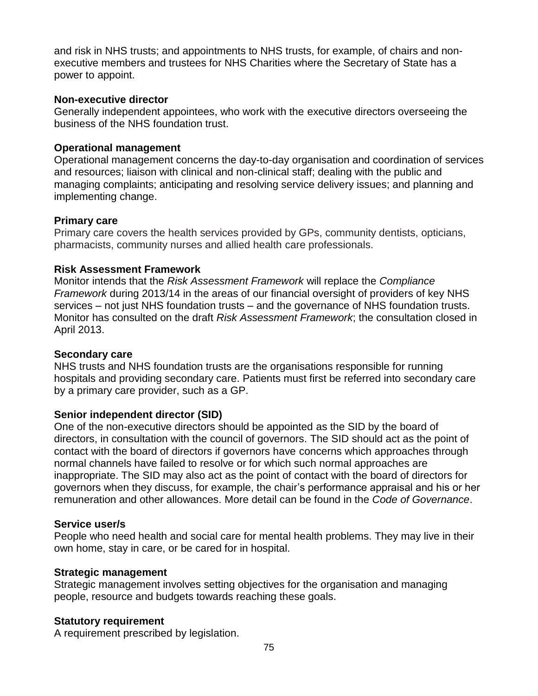and risk in NHS trusts; and appointments to NHS trusts, for example, of chairs and nonexecutive members and trustees for NHS Charities where the Secretary of State has a power to appoint.

### **Non-executive director**

Generally independent appointees, who work with the executive directors overseeing the business of the NHS foundation trust.

### **Operational management**

Operational management concerns the day-to-day organisation and coordination of services and resources; liaison with clinical and non-clinical staff; dealing with the public and managing complaints; anticipating and resolving service delivery issues; and planning and implementing change.

### **Primary care**

Primary care covers the health services provided by GPs, community dentists, opticians, pharmacists, community nurses and allied health care professionals.

### **Risk Assessment Framework**

Monitor intends that the *Risk Assessment Framework* will replace the *Compliance Framework* during 2013/14 in the areas of our financial oversight of providers of key NHS services – not just NHS foundation trusts – and the governance of NHS foundation trusts. Monitor has consulted on the draft *Risk Assessment Framework*; the consultation closed in April 2013.

### **Secondary care**

NHS trusts and NHS foundation trusts are the organisations responsible for running hospitals and providing secondary care. Patients must first be referred into secondary care by a primary care provider, such as a GP.

# **Senior independent director (SID)**

One of the non-executive directors should be appointed as the SID by the board of directors, in consultation with the council of governors. The SID should act as the point of contact with the board of directors if governors have concerns which approaches through normal channels have failed to resolve or for which such normal approaches are inappropriate. The SID may also act as the point of contact with the board of directors for governors when they discuss, for example, the chair's performance appraisal and his or her remuneration and other allowances. More detail can be found in the *Code of Governance*.

### **Service user/s**

People who need health and social care for mental health problems. They may live in their own home, stay in care, or be cared for in hospital.

### **Strategic management**

Strategic management involves setting objectives for the organisation and managing people, resource and budgets towards reaching these goals.

### **Statutory requirement**

A requirement prescribed by legislation.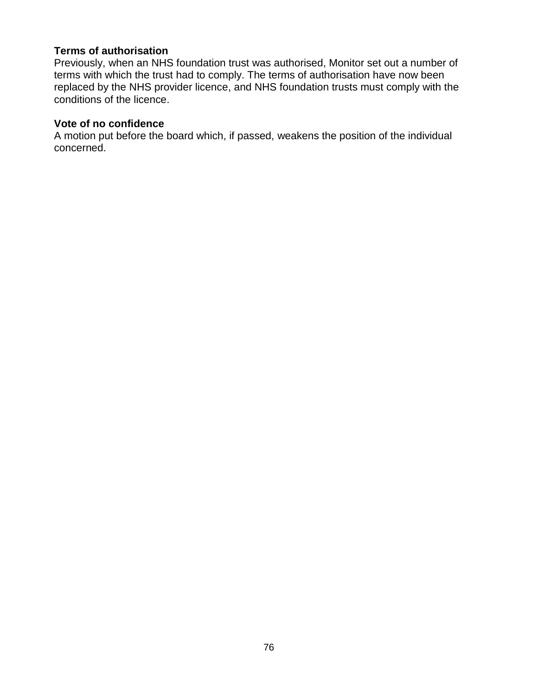### **Terms of authorisation**

Previously, when an NHS foundation trust was authorised, Monitor set out a number of terms with which the trust had to comply. The terms of authorisation have now been replaced by the NHS provider licence, and NHS foundation trusts must comply with the conditions of the licence.

### **Vote of no confidence**

A motion put before the board which, if passed, weakens the position of the individual concerned.